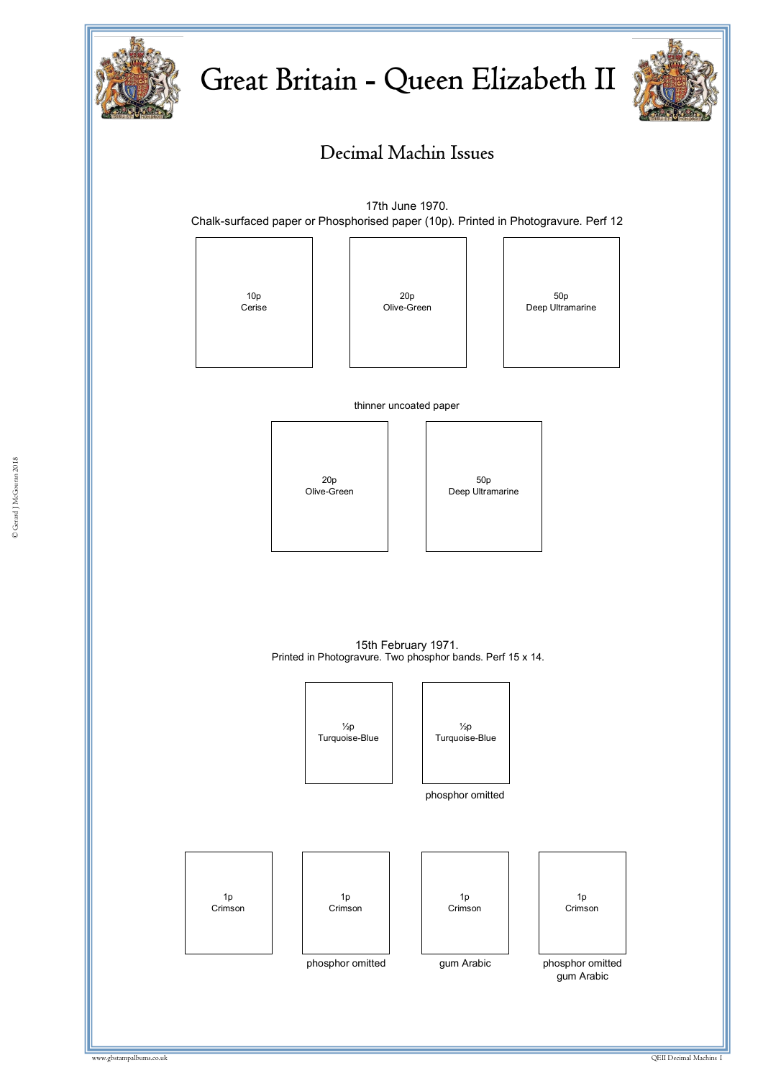

# Great Britain - Queen Elizabeth II



## Decimal Machin Issues

17th June 1970. Chalk-surfaced paper or Phosphorised paper (10p). Printed in Photogravure. Perf 12



thinner uncoated paper





15th February 1971. Printed in Photogravure. Two phosphor bands. Perf 15 x 14.

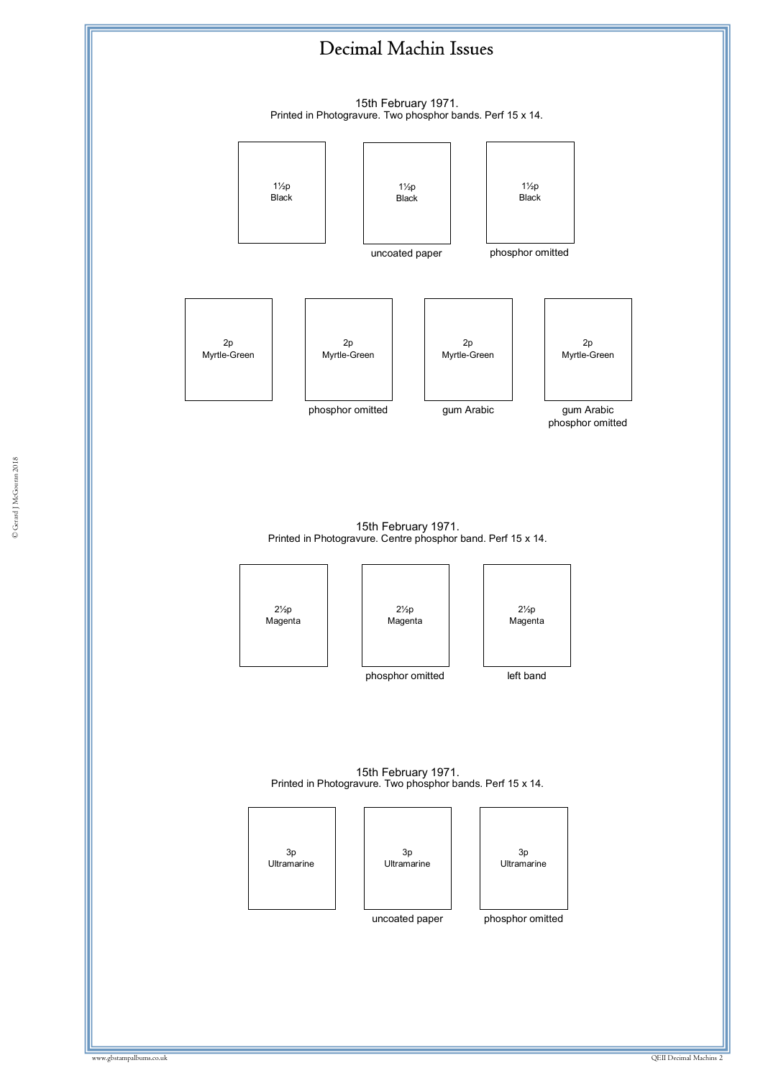15th February 1971. Printed in Photogravure. Two phosphor bands. Perf 15 x 14.



15th February 1971. Printed in Photogravure. Centre phosphor band. Perf 15 x 14.







phosphor omitted

left band

15th February 1971. Printed in Photogravure. Two phosphor bands. Perf 15 x 14.

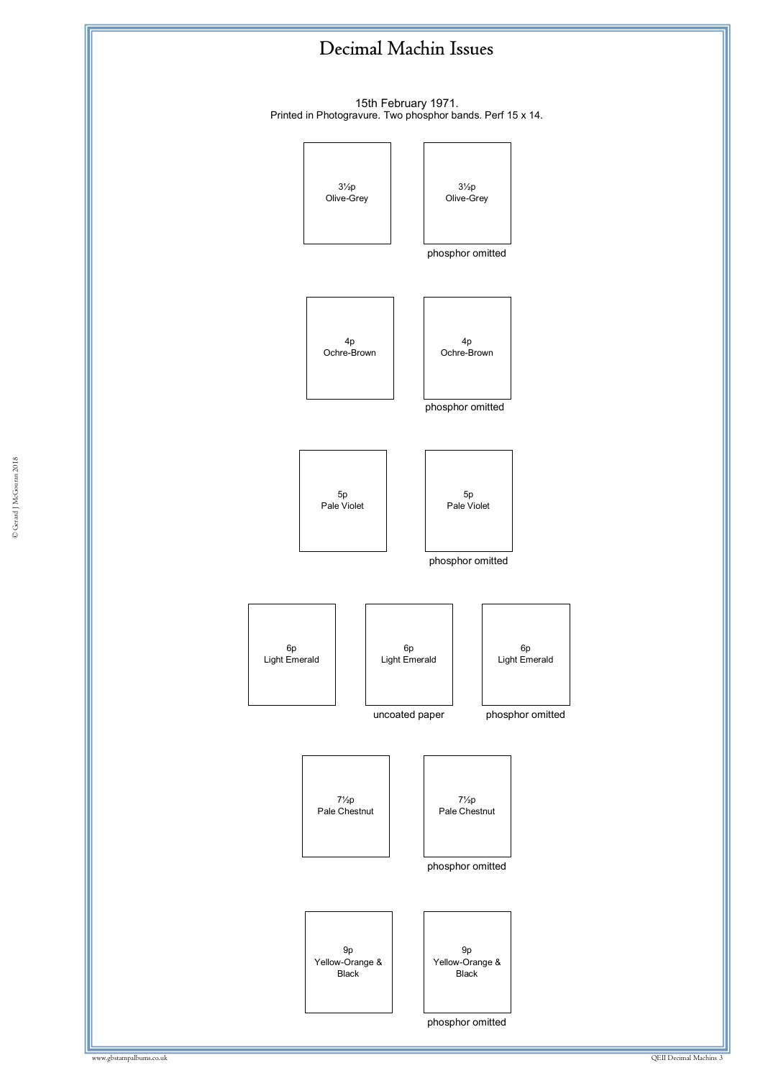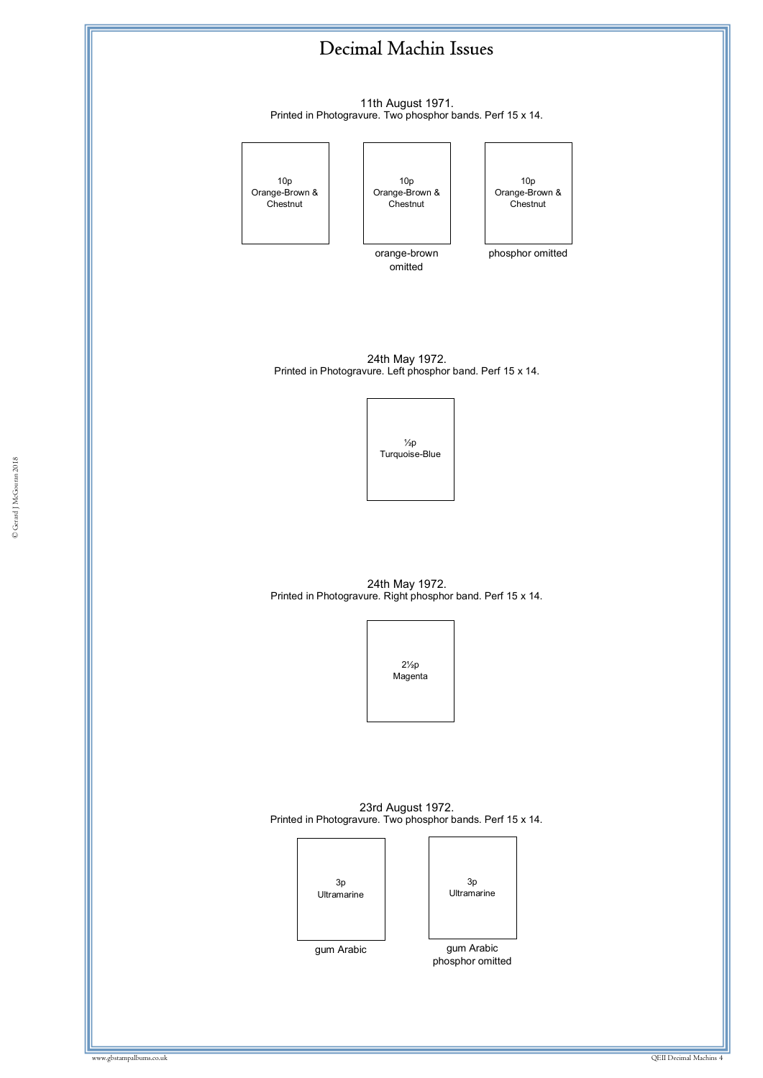11th August 1971. Printed in Photogravure. Two phosphor bands. Perf 15 x 14.



24th May 1972. Printed in Photogravure. Right phosphor band. Perf 15 x 14.



23rd August 1972. Printed in Photogravure. Two phosphor bands. Perf 15 x 14.

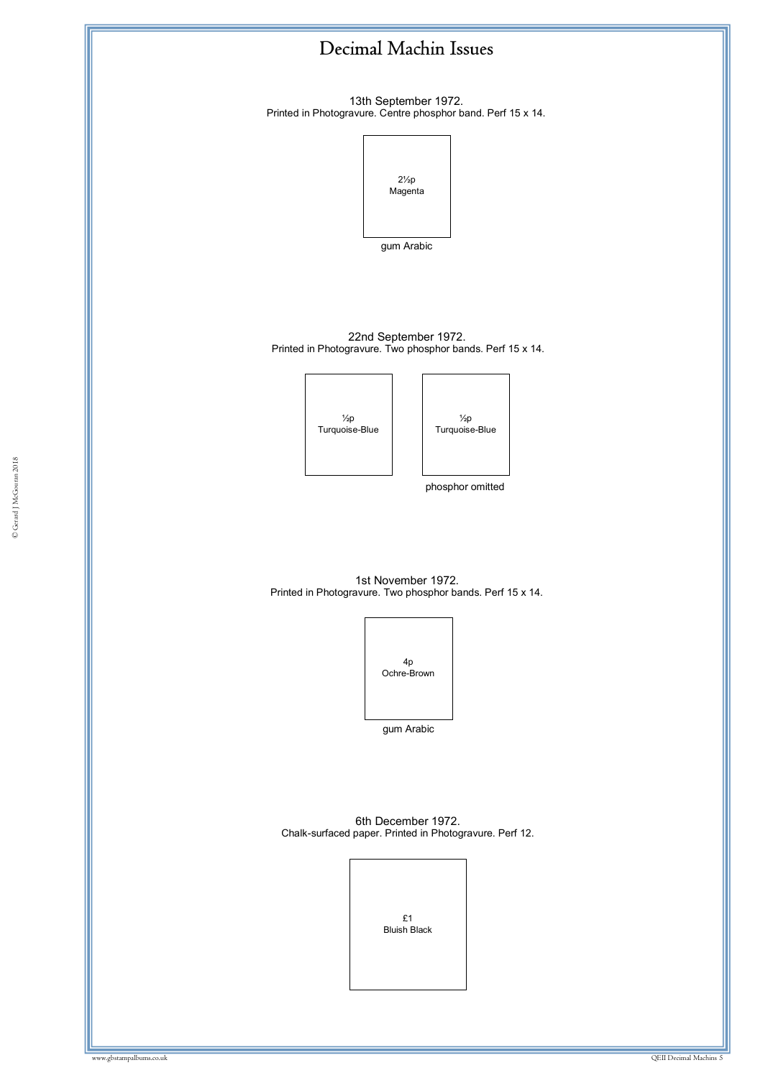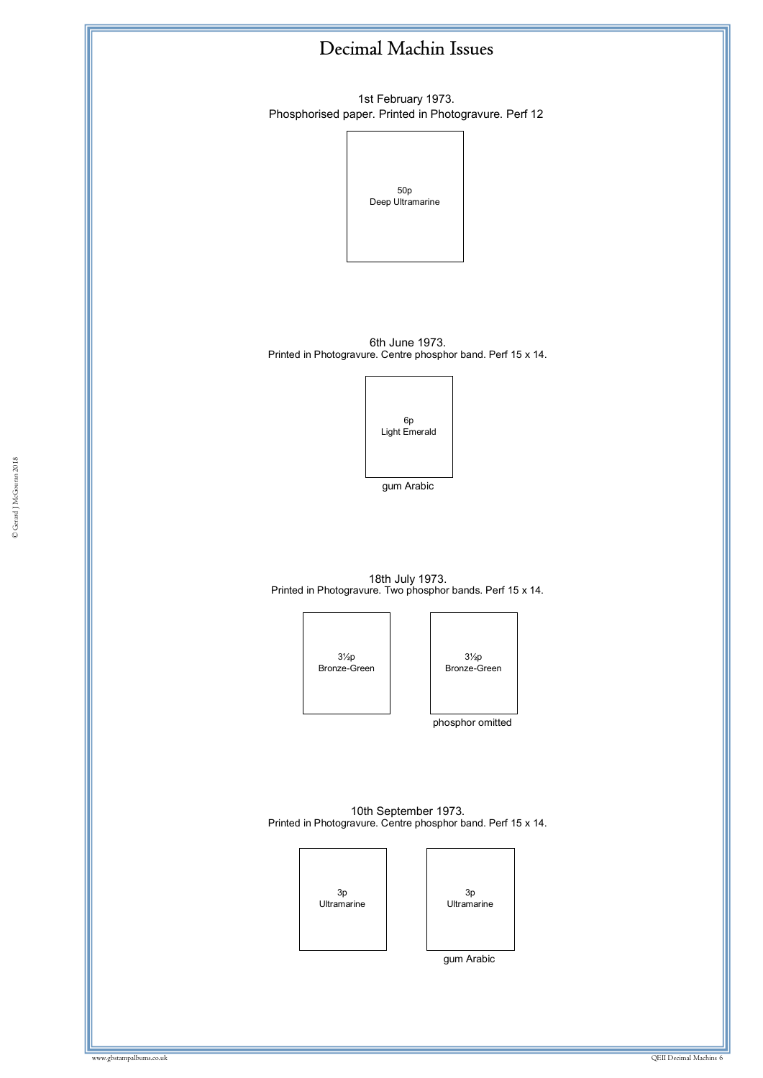

1st February 1973. Phosphorised paper. Printed in Photogravure. Perf 12

> 50p Deep Ultramarine

6th June 1973. Printed in Photogravure. Centre phosphor band. Perf 15 x 14.



gum Arabic

18th July 1973. Printed in Photogravure. Two phosphor bands. Perf 15 x 14.





phosphor omitted

10th September 1973. Printed in Photogravure. Centre phosphor band. Perf 15 x 14.



gum Arabic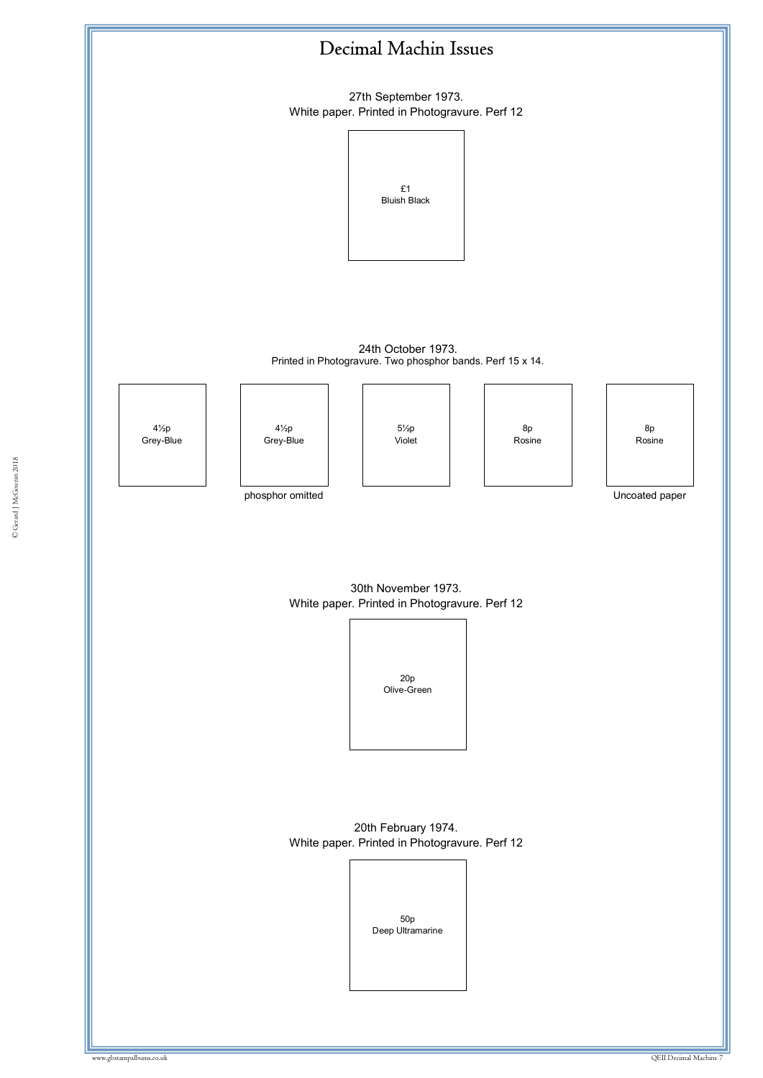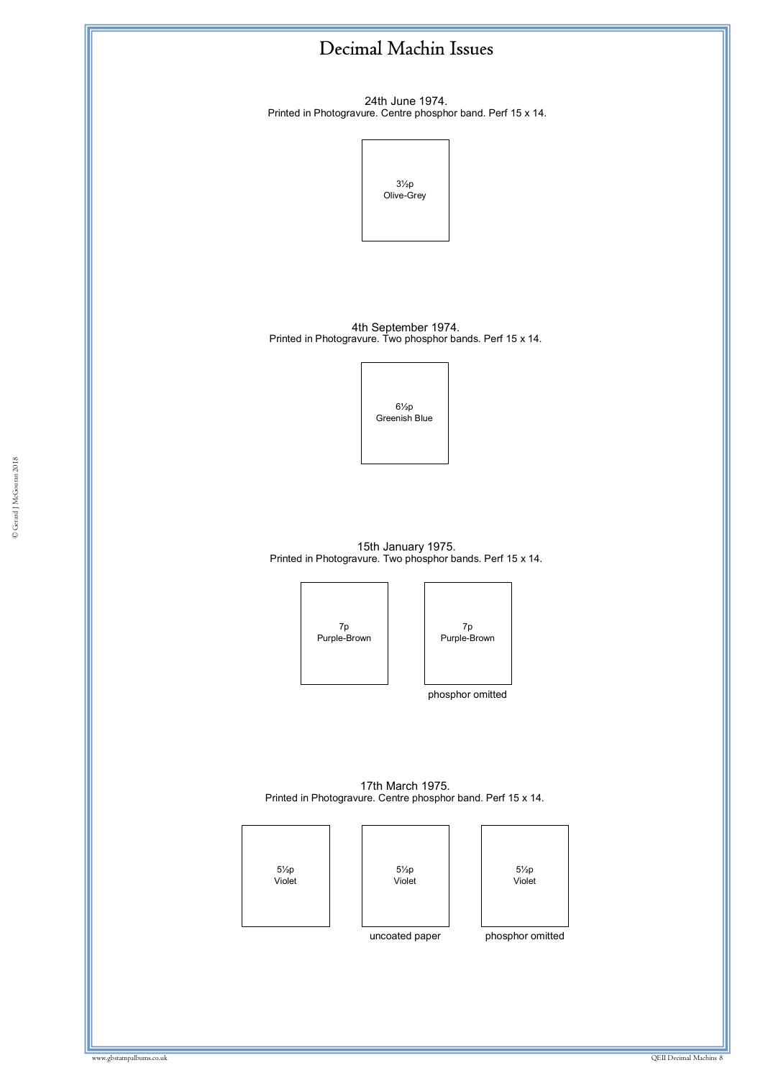

24th June 1974. Printed in Photogravure. Centre phosphor band. Perf 15 x 14.



4th September 1974. Printed in Photogravure. Two phosphor bands. Perf 15 x 14.



15th January 1975. Printed in Photogravure. Two phosphor bands. Perf 15 x 14.

© Gerard J McGouran 2018

7p Purple-Brown



phosphor omitted

17th March 1975. Printed in Photogravure. Centre phosphor band. Perf 15 x 14.

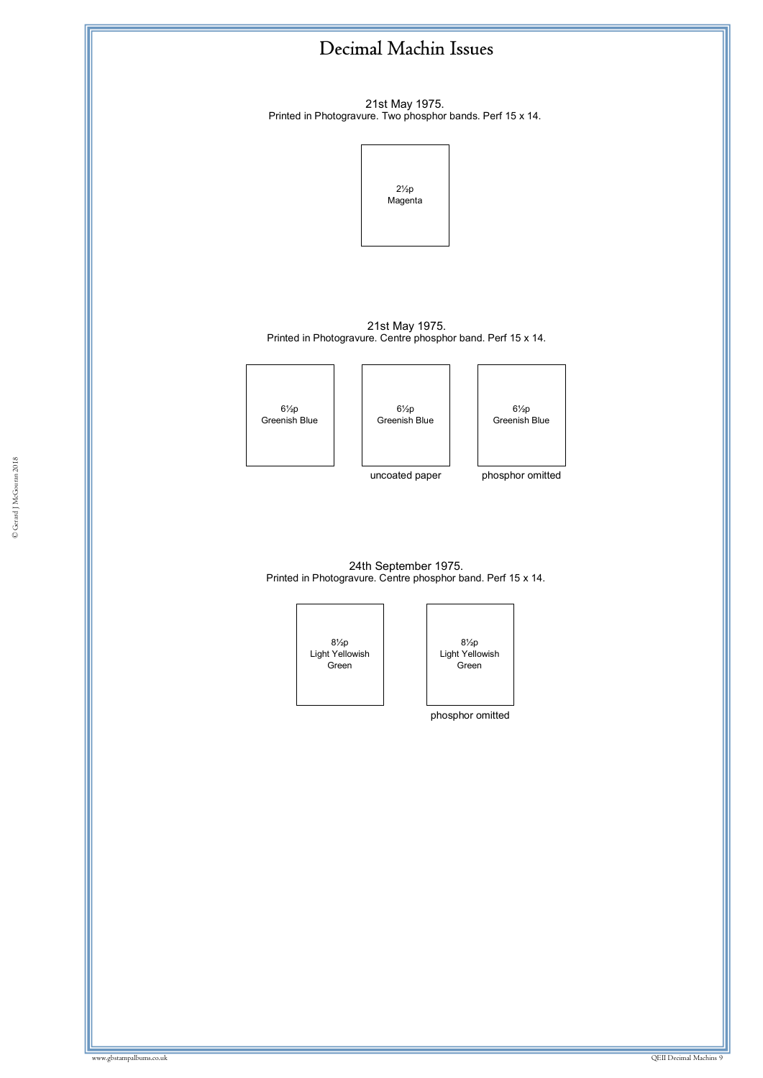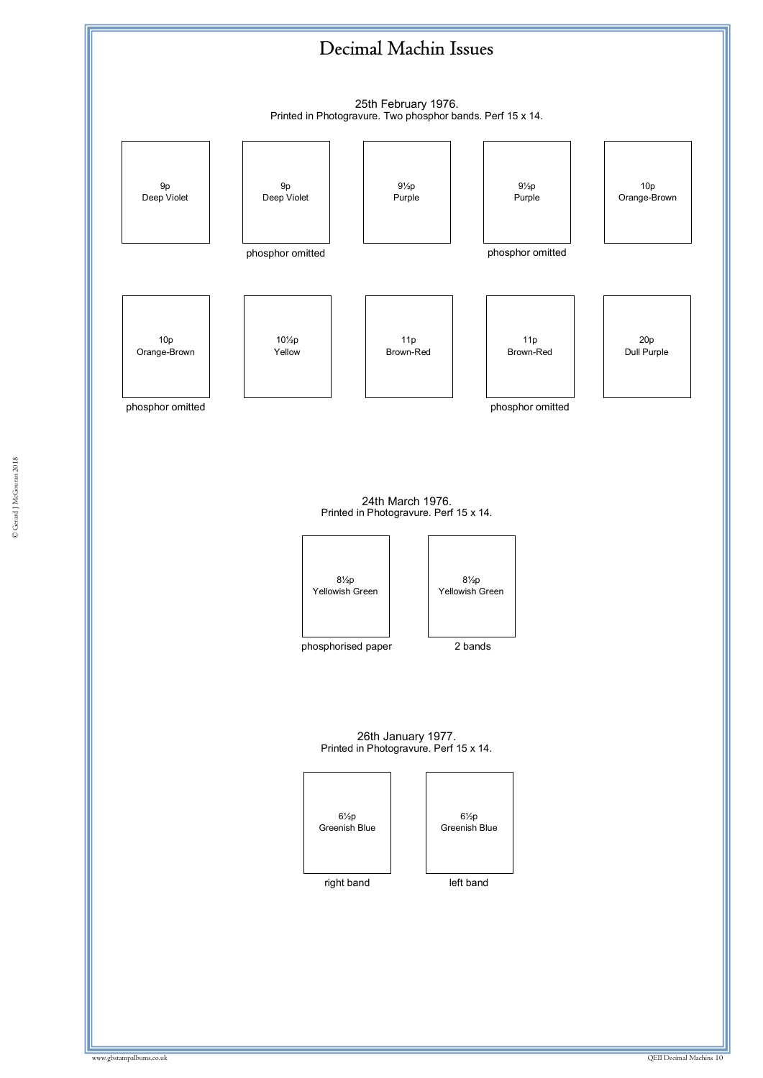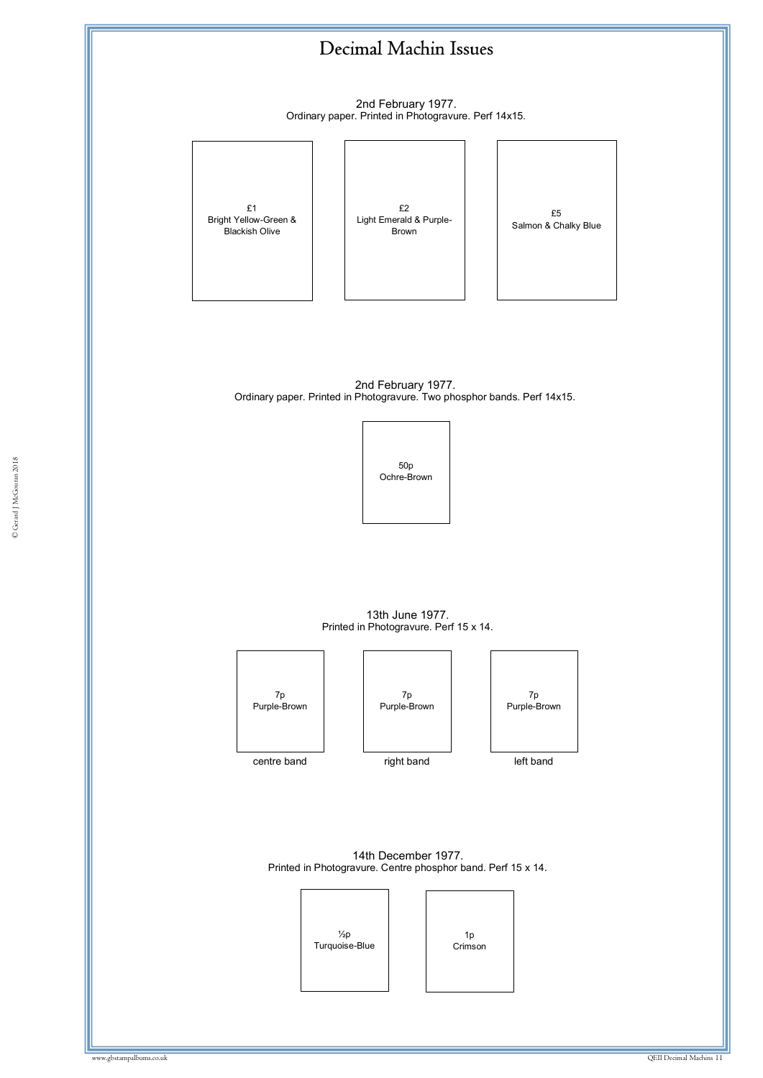2nd February 1977. Ordinary paper. Printed in Photogravure. Perf 14x15.



£2 Light Emerald & Purple-Brown

£5 Salmon & Chalky Blue

2nd February 1977. Ordinary paper. Printed in Photogravure. Two phosphor bands. Perf 14x15.



13th June 1977. Printed in Photogravure. Perf 15 x 14.



14th December 1977. Printed in Photogravure. Centre phosphor band. Perf 15 x 14.

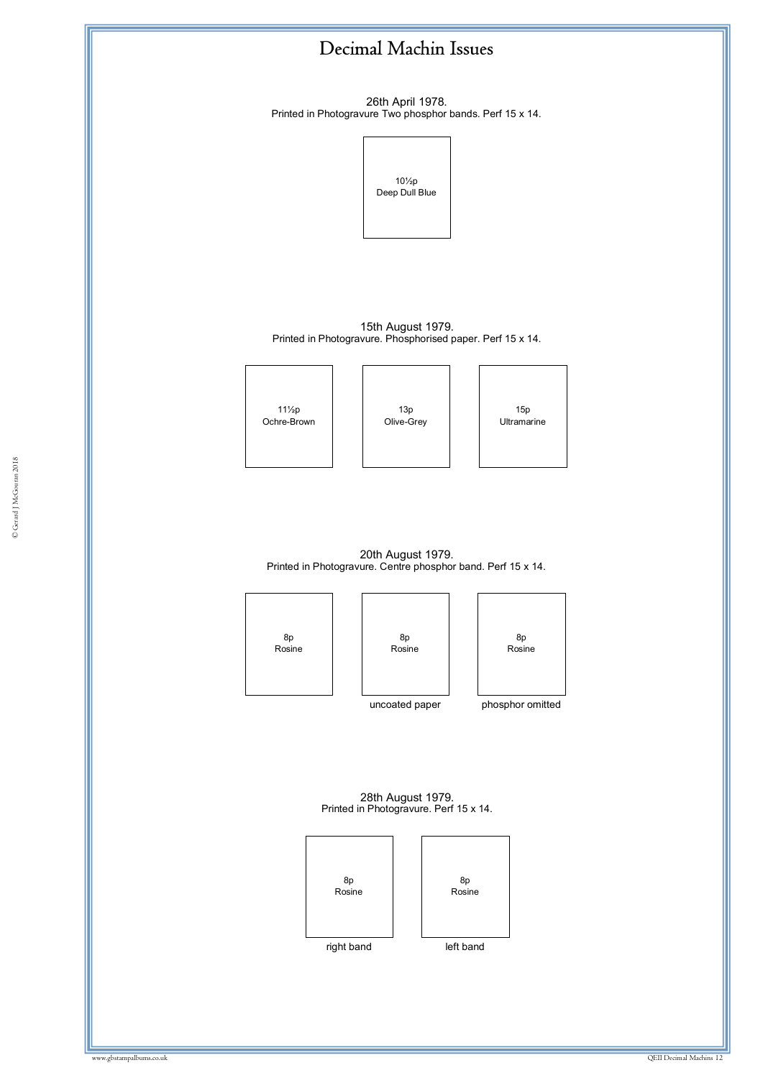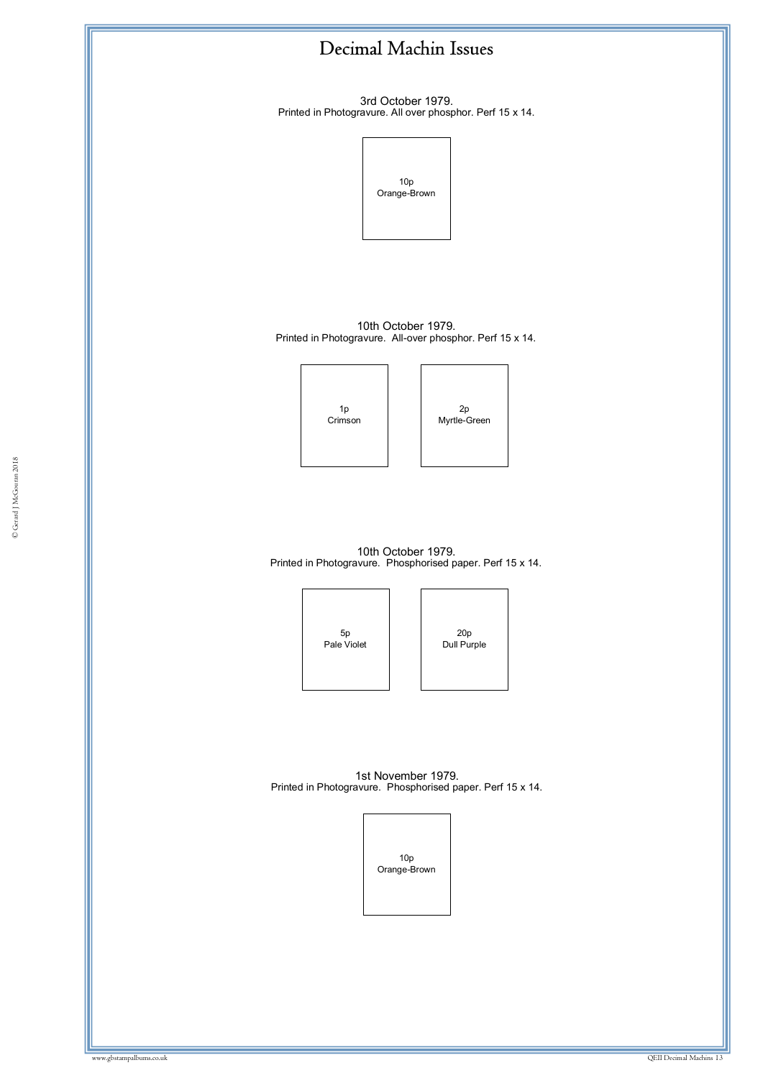

3rd October 1979. Printed in Photogravure. All over phosphor. Perf 15 x 14.



10th October 1979. Printed in Photogravure. All-over phosphor. Perf 15 x 14.

> 1p Crimson



10th October 1979. Printed in Photogravure. Phosphorised paper. Perf 15 x 14.

> 5p Pale Violet

20p Dull Purple

1st November 1979. Printed in Photogravure. Phosphorised paper. Perf 15 x 14.

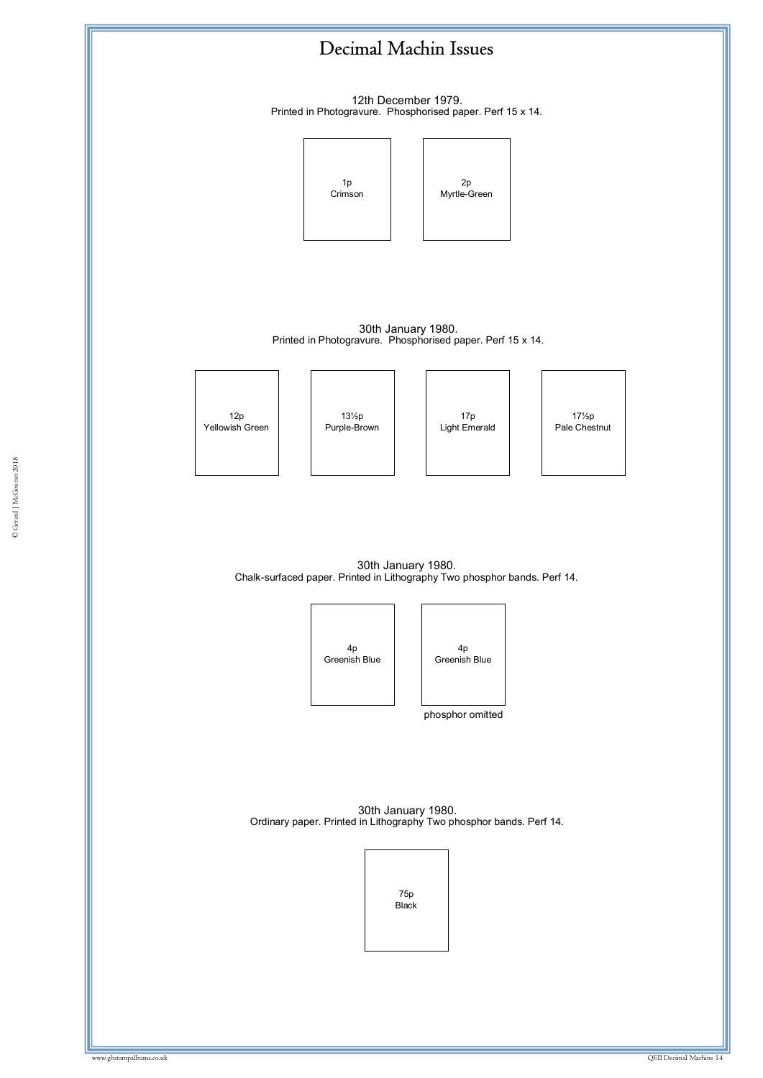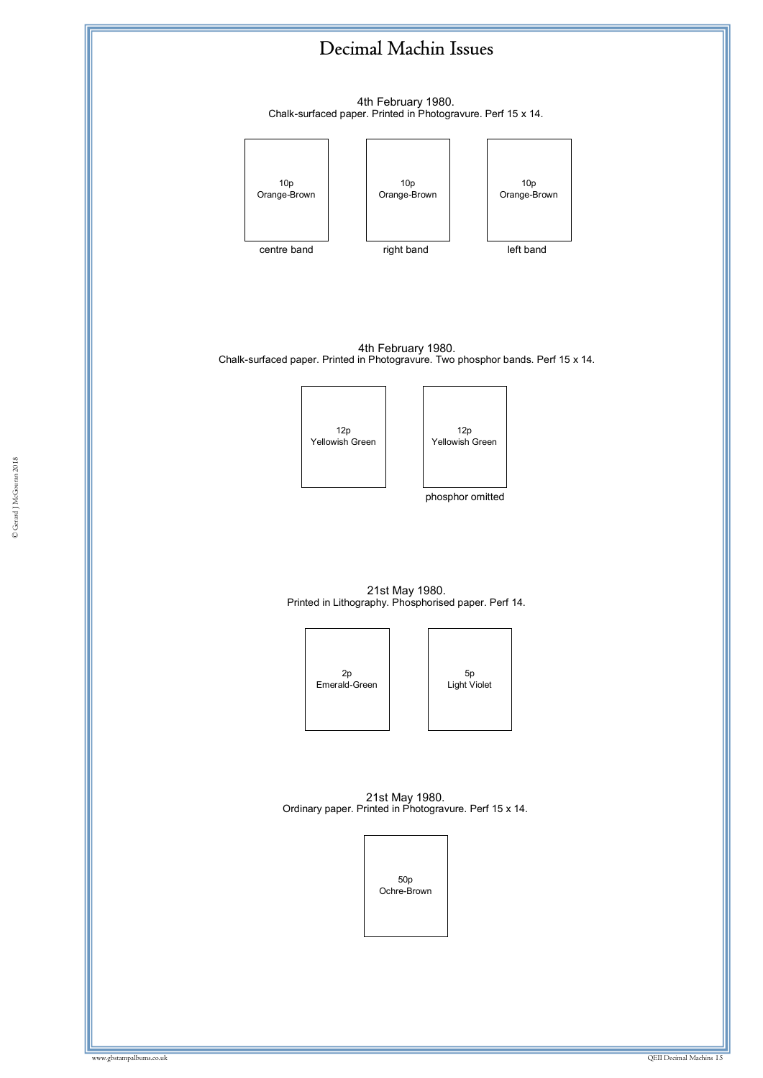4th February 1980. Chalk-surfaced paper. Printed in Photogravure. Perf 15 x 14.



4th February 1980. Chalk-surfaced paper. Printed in Photogravure. Two phosphor bands. Perf 15 x 14.





phosphor omitted

21st May 1980. Printed in Lithography. Phosphorised paper. Perf 14.



21st May 1980. Ordinary paper. Printed in Photogravure. Perf 15 x 14.

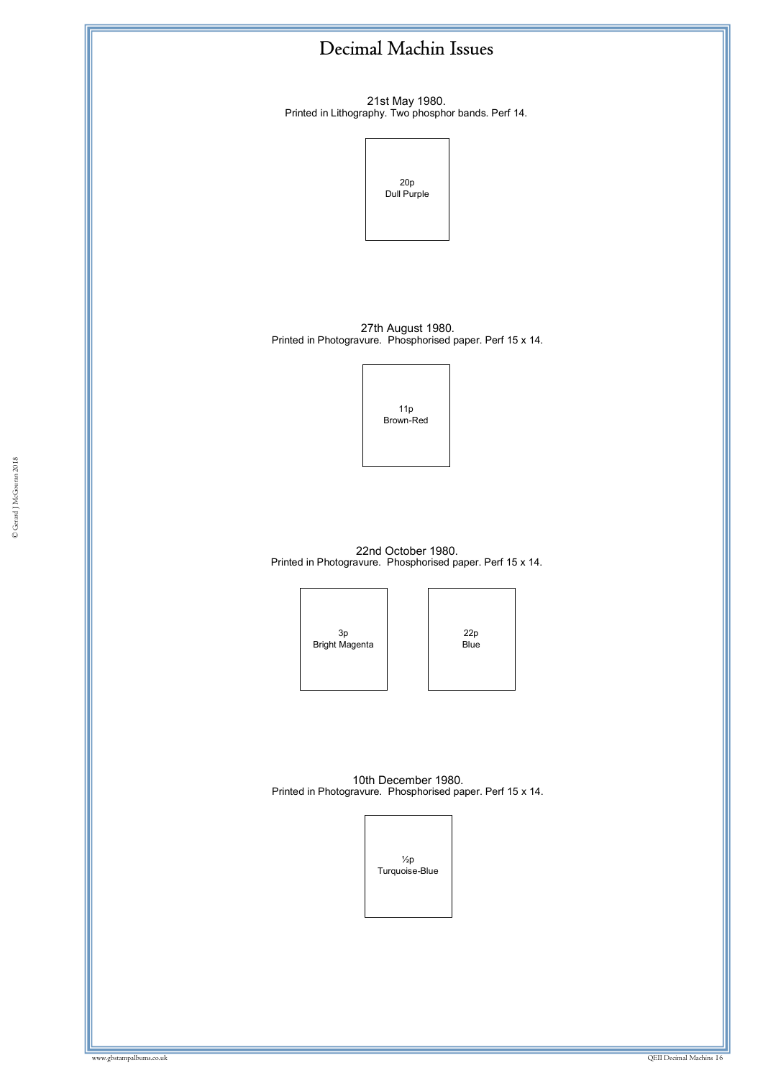21st May 1980. Printed in Lithography. Two phosphor bands. Perf 14.



27th August 1980. Printed in Photogravure. Phosphorised paper. Perf 15 x 14.



© Gerard J McGouran 2018

22nd October 1980. Printed in Photogravure. Phosphorised paper. Perf 15 x 14.

> 3p Bright Magenta

22p Blue

10th December 1980. Printed in Photogravure. Phosphorised paper. Perf 15 x 14.

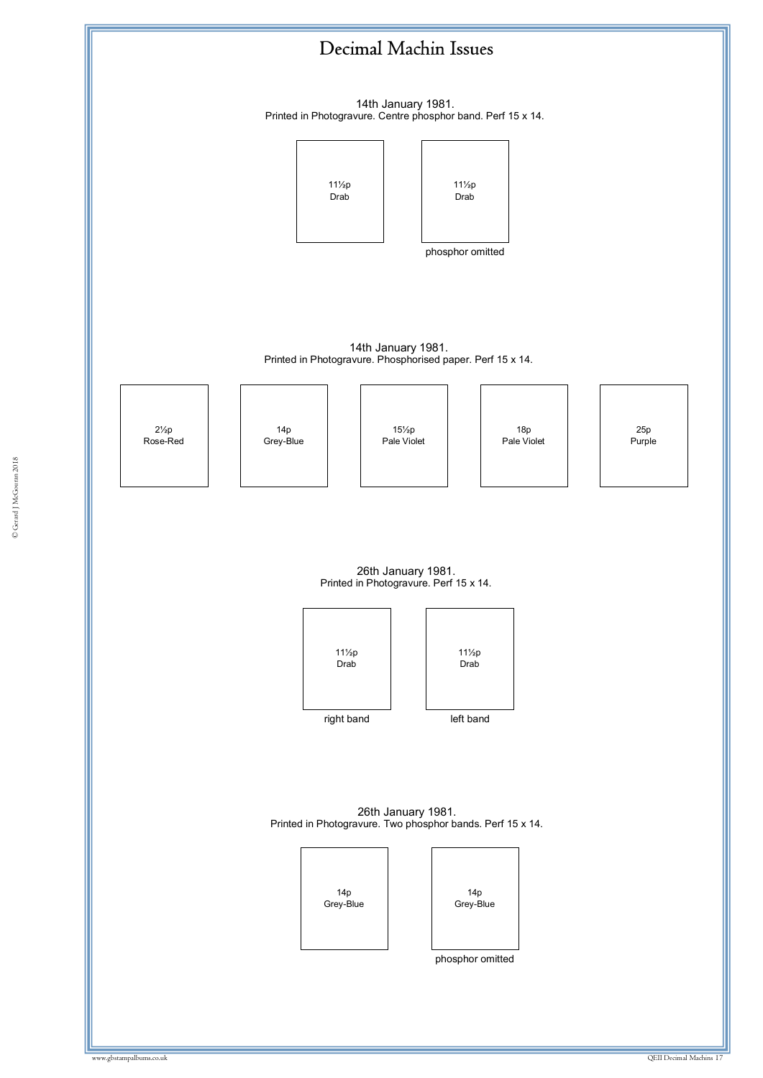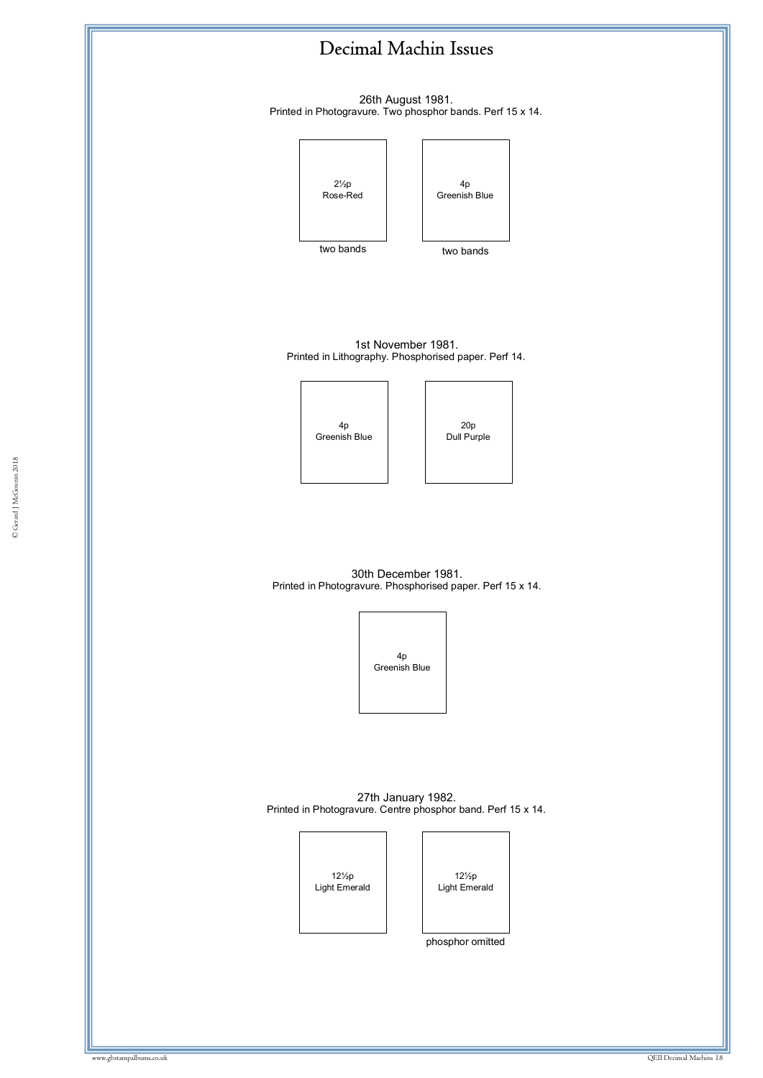

phosphor omitted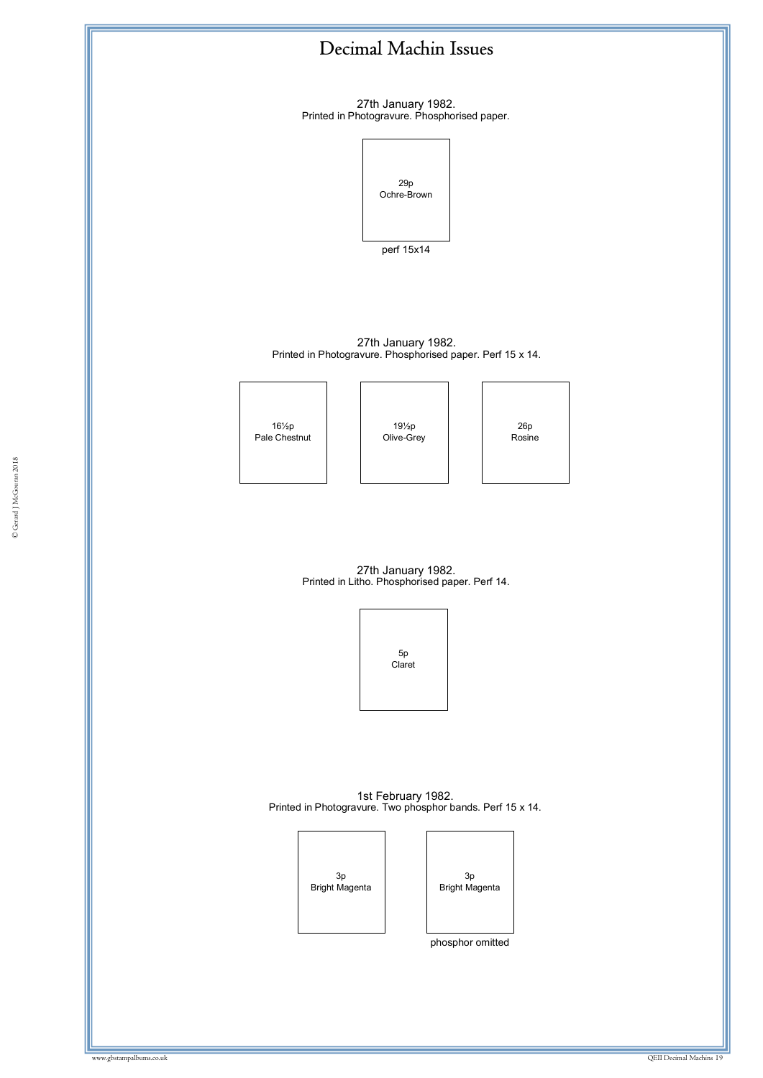

Bright Magenta

Bright Magenta

phosphor omitted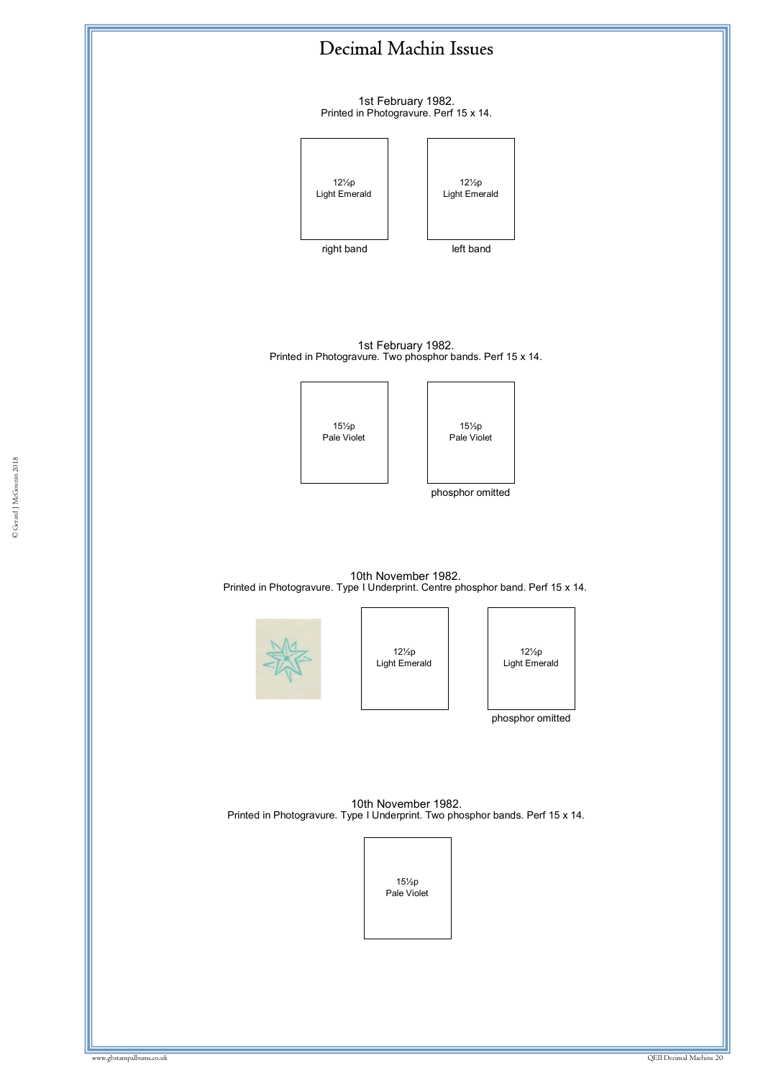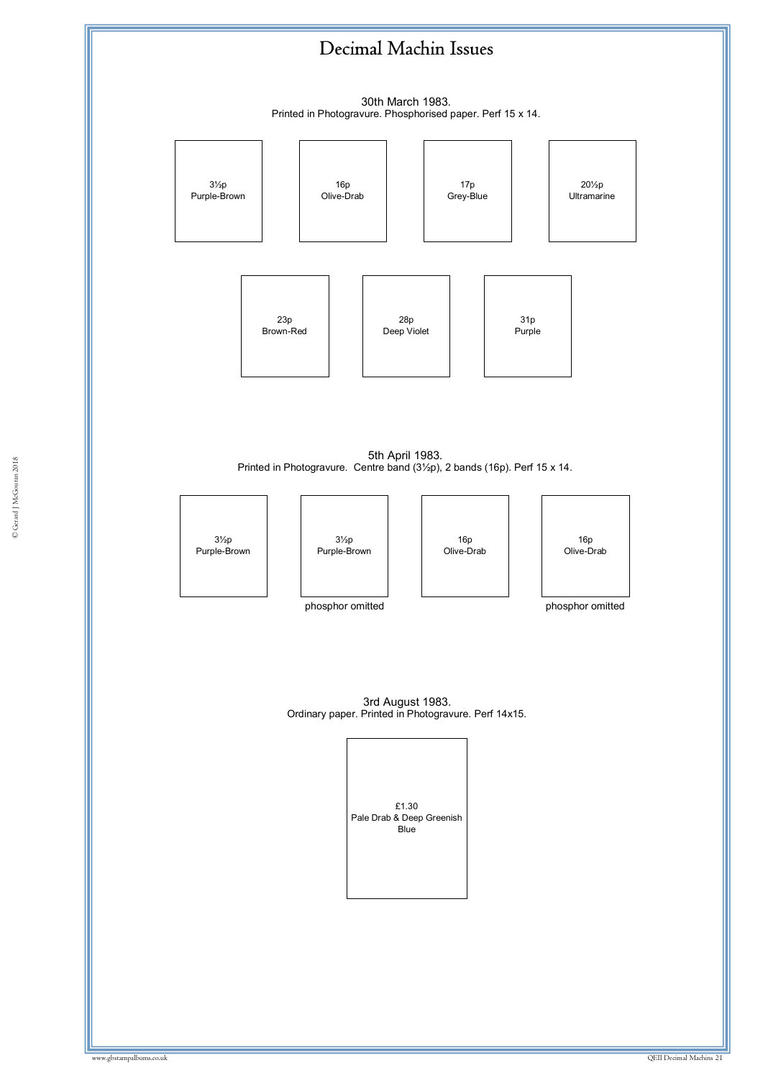30th March 1983.



3rd August 1983. Ordinary paper. Printed in Photogravure. Perf 14x15.

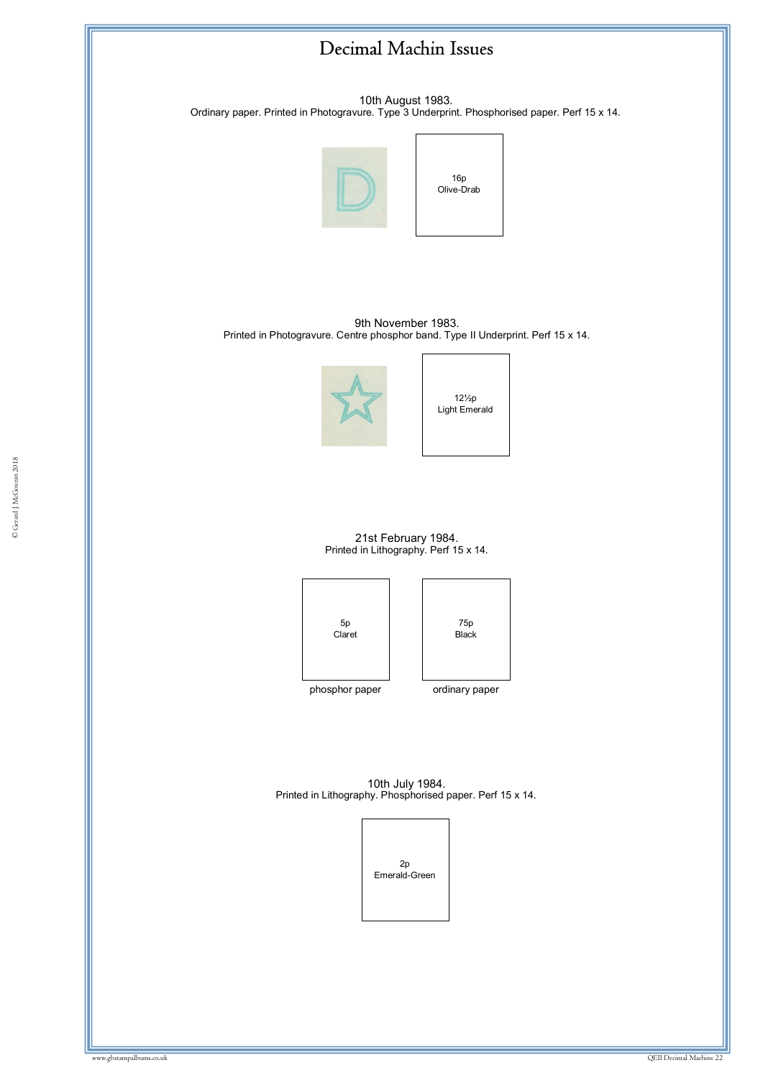

10th August 1983. Ordinary paper. Printed in Photogravure. Type 3 Underprint. Phosphorised paper. Perf 15 x 14.



16p Olive-Drab

9th November 1983. Printed in Photogravure. Centre phosphor band. Type II Underprint. Perf 15 x 14.



12½p Light Emerald

21st February 1984. Printed in Lithography. Perf 15 x 14.





phosphor paper ordinary paper

10th July 1984. Printed in Lithography. Phosphorised paper. Perf 15 x 14.

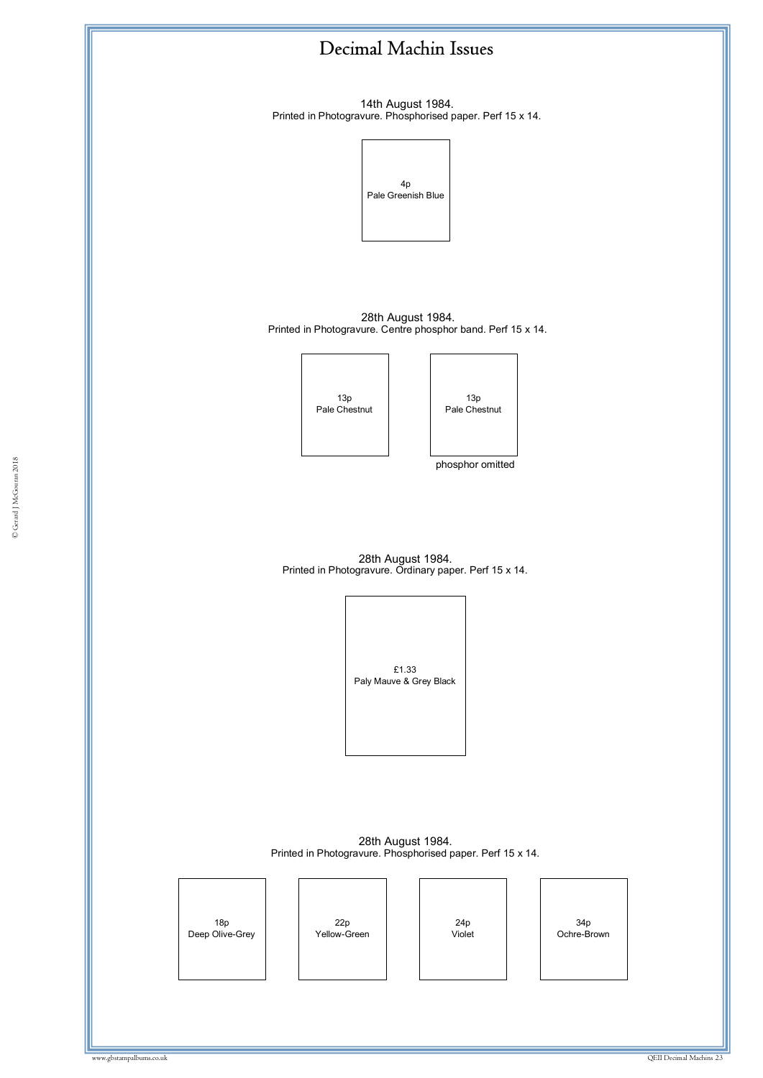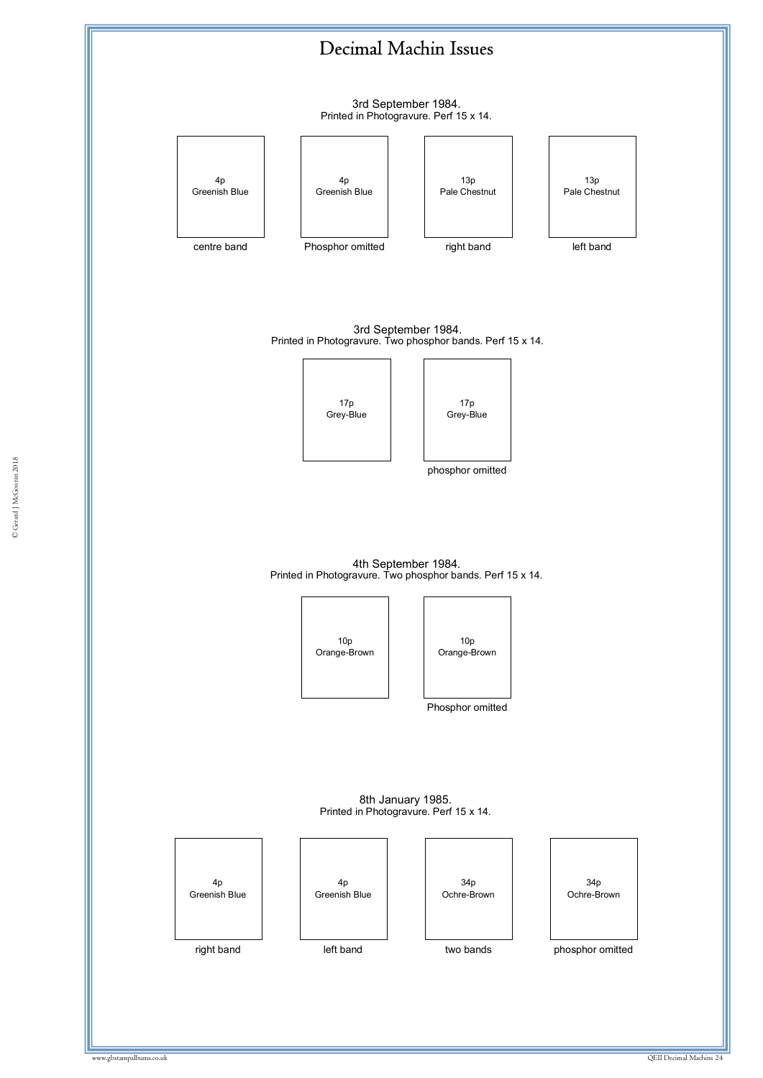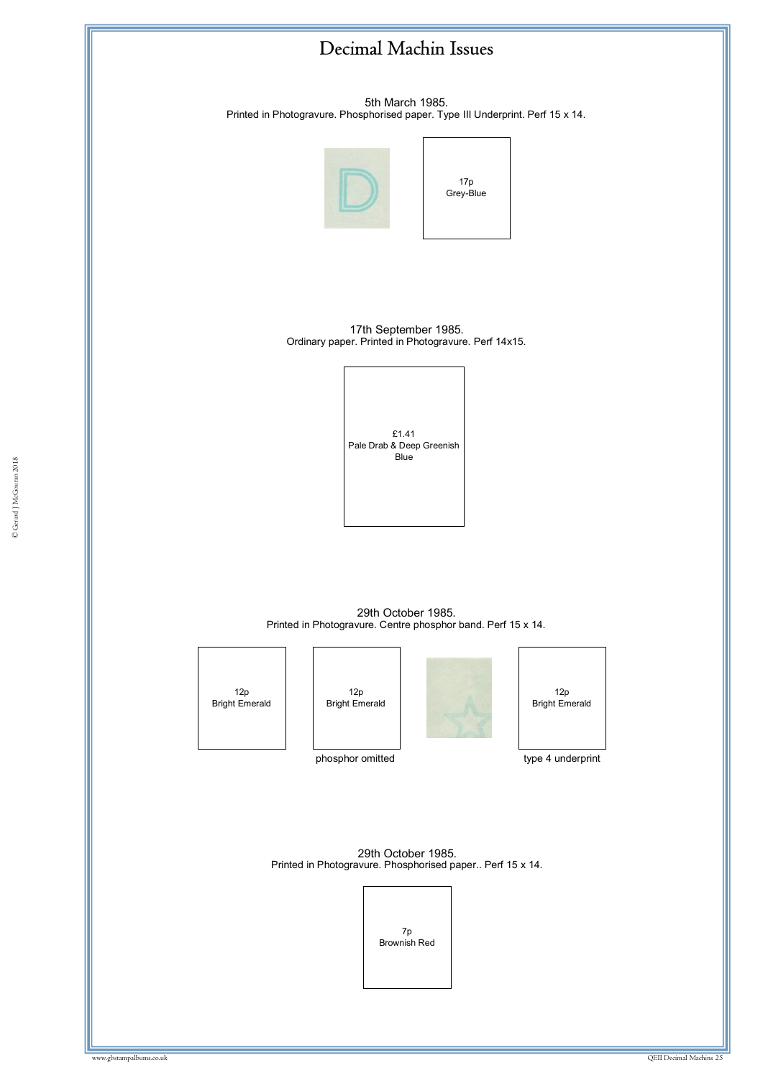5th March 1985. Printed in Photogravure. Phosphorised paper. Type III Underprint. Perf 15 x 14.



17p Grey-Blue

17th September 1985. Ordinary paper. Printed in Photogravure. Perf 14x15.



29th October 1985. Printed in Photogravure. Centre phosphor band. Perf 15 x 14.

12p Bright Emerald

12p Bright Emerald





phosphor omitted

type 4 underprint

29th October 1985. Printed in Photogravure. Phosphorised paper.. Perf 15 x 14.

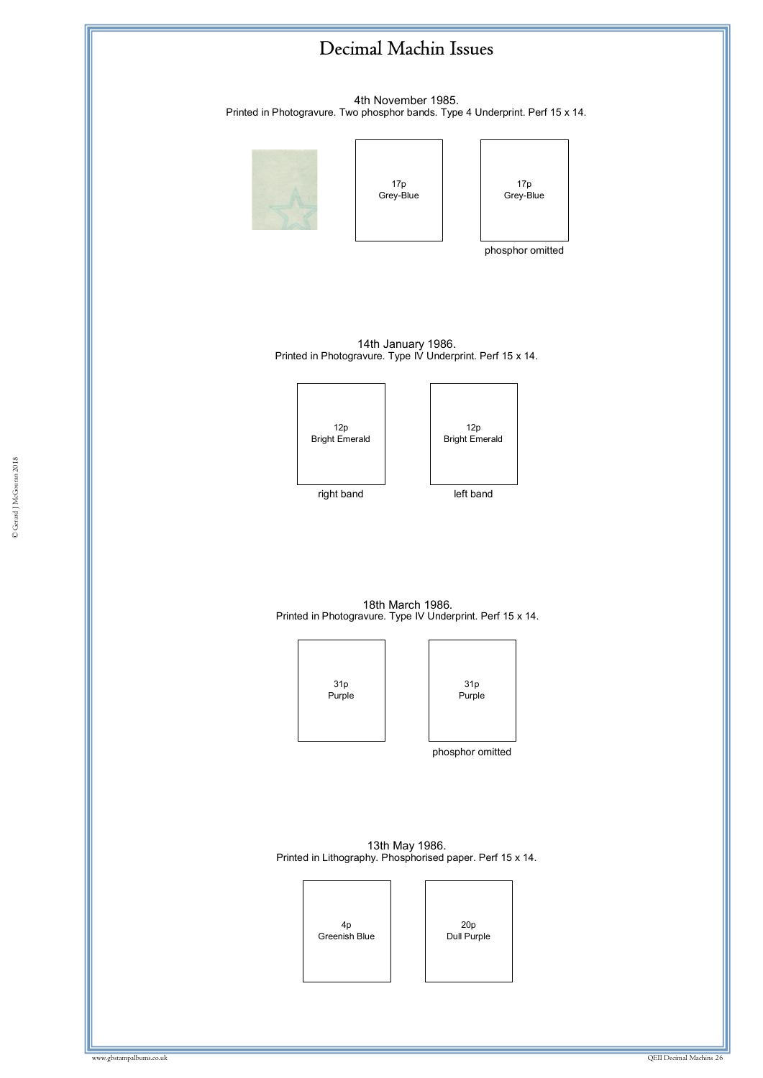

4th November 1985. Printed in Photogravure. Two phosphor bands. Type 4 Underprint. Perf 15 x 14.

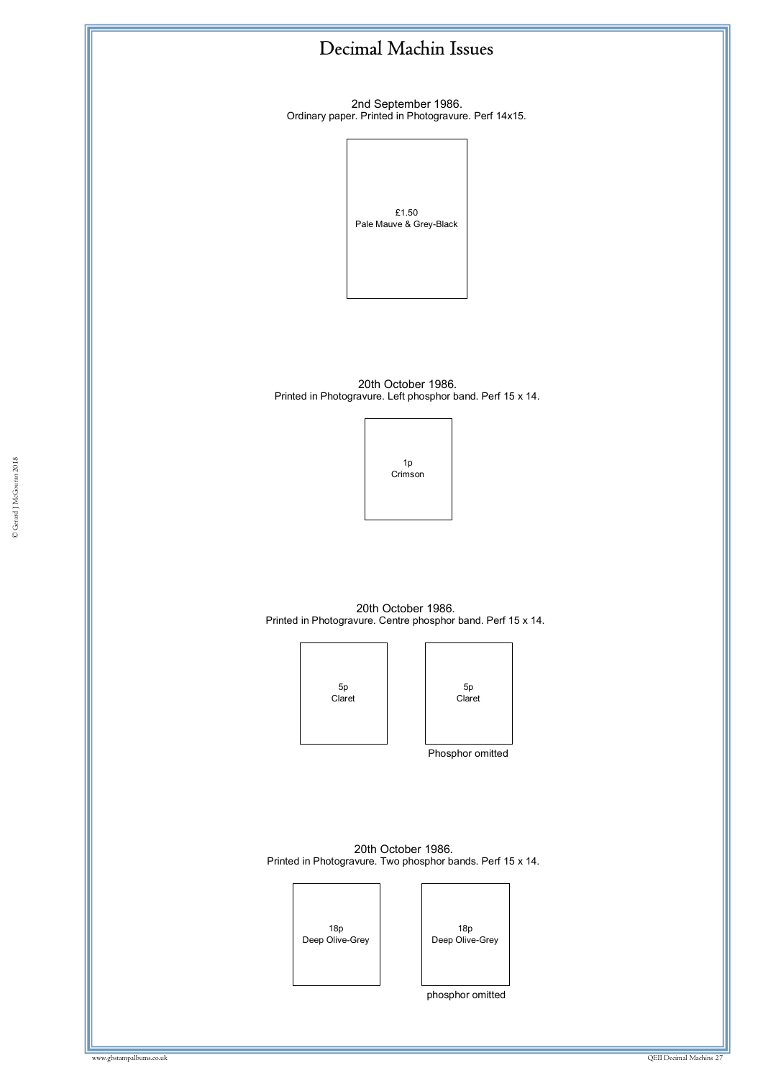2nd September 1986. Ordinary paper. Printed in Photogravure. Perf 14x15.



20th October 1986. Printed in Photogravure. Left phosphor band. Perf 15 x 14.



20th October 1986. Printed in Photogravure. Centre phosphor band. Perf 15 x 14.





20th October 1986. Printed in Photogravure. Two phosphor bands. Perf 15 x 14.

> 18p Deep Olive-Grey

18p Deep Olive-Grey

phosphor omitted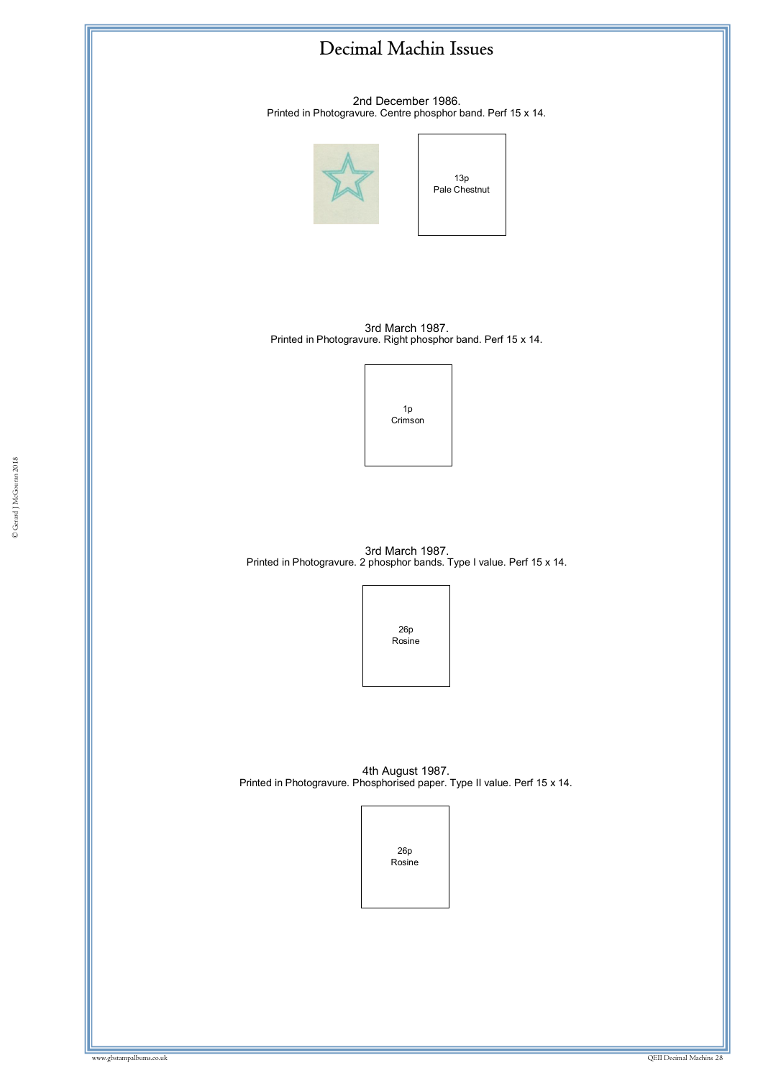2nd December 1986. Printed in Photogravure. Centre phosphor band. Perf 15 x 14.



13p Pale Chestnut

3rd March 1987. Printed in Photogravure. Right phosphor band. Perf 15 x 14.



3rd March 1987. Printed in Photogravure. 2 phosphor bands. Type I value. Perf 15 x 14.

> 26p Rosine

4th August 1987. Printed in Photogravure. Phosphorised paper. Type II value. Perf 15 x 14.

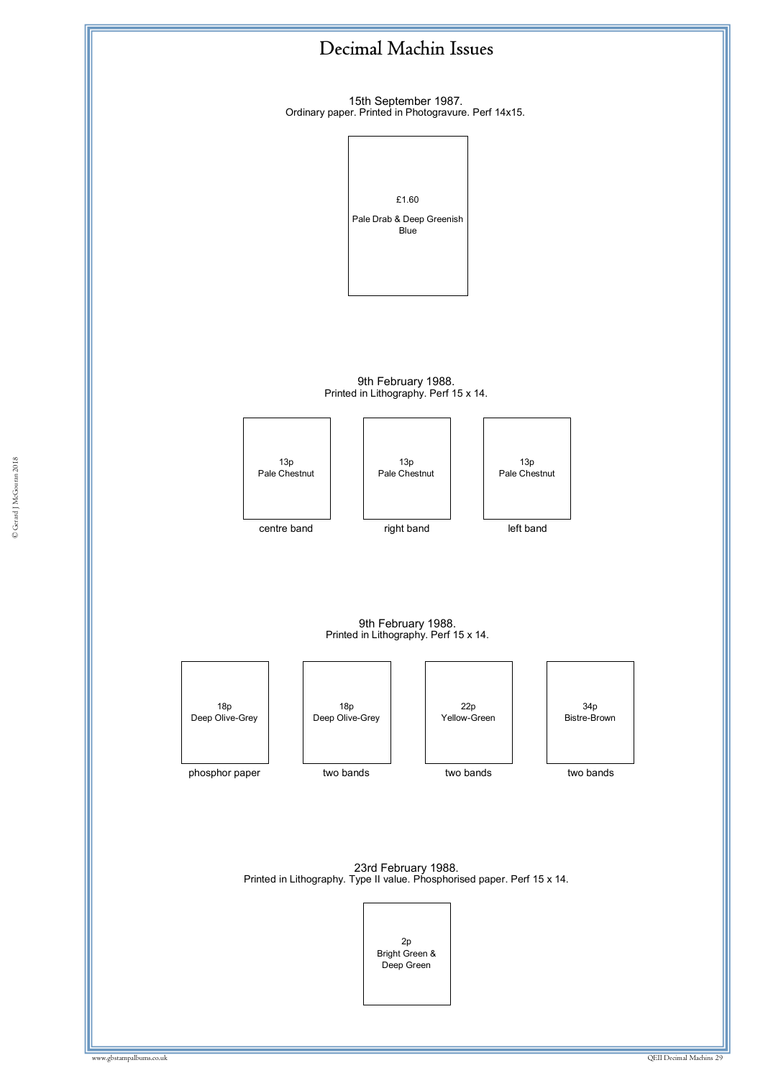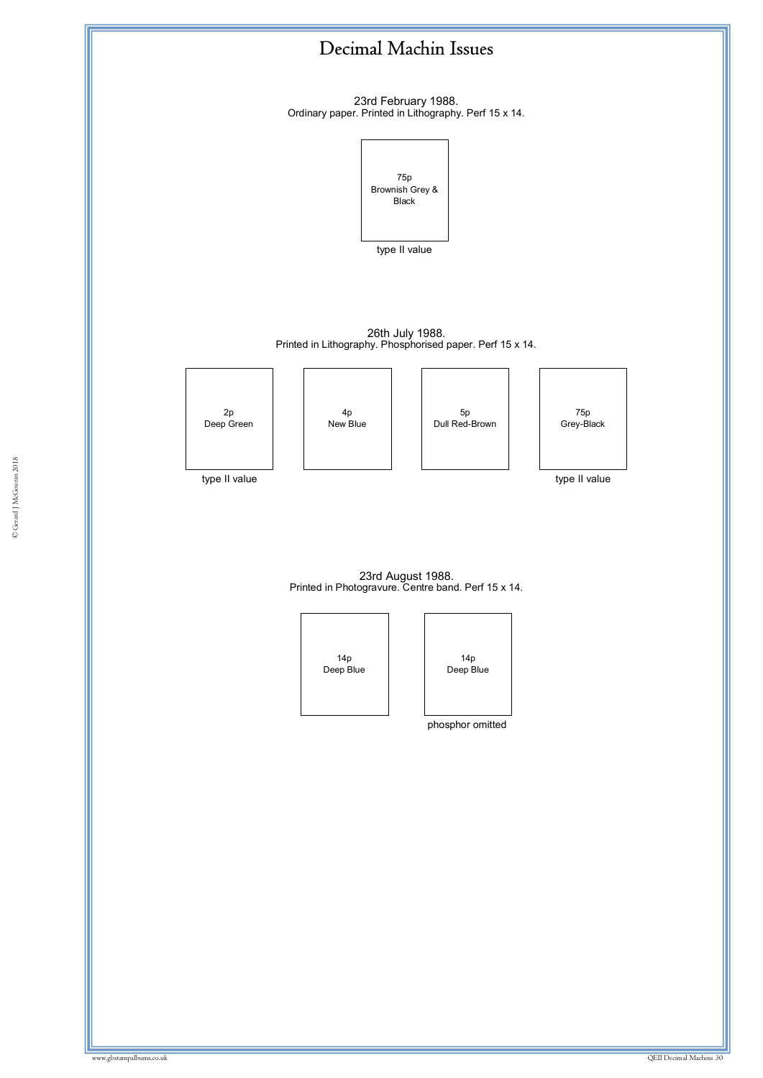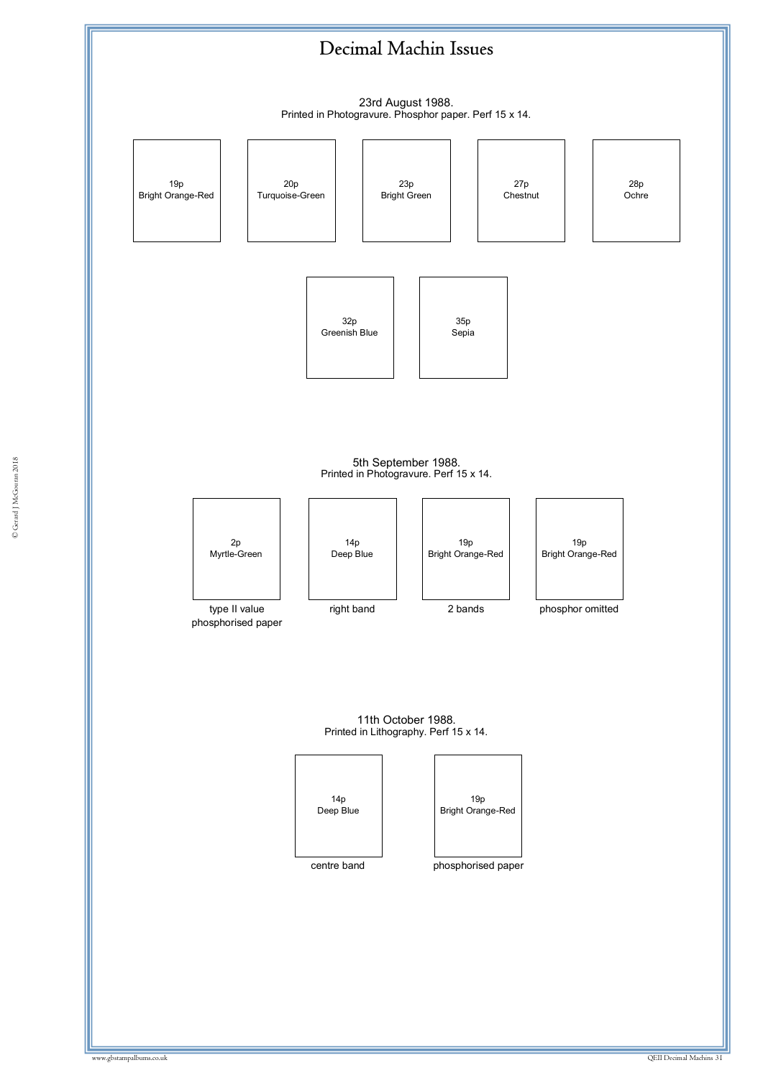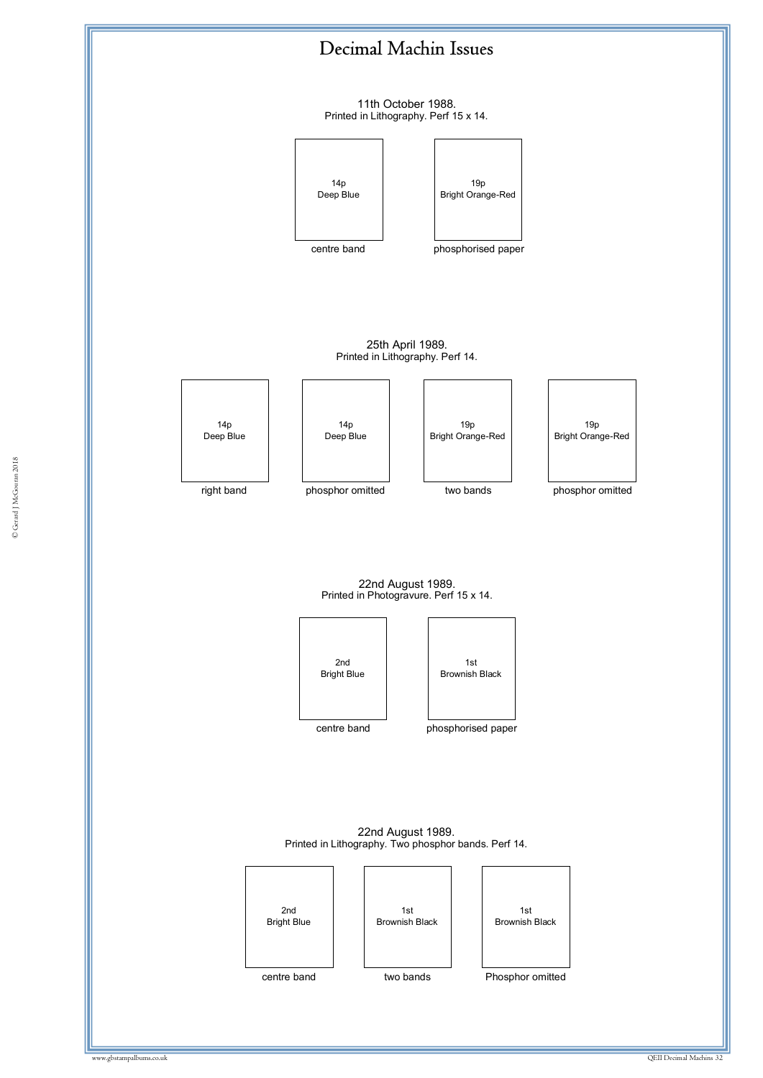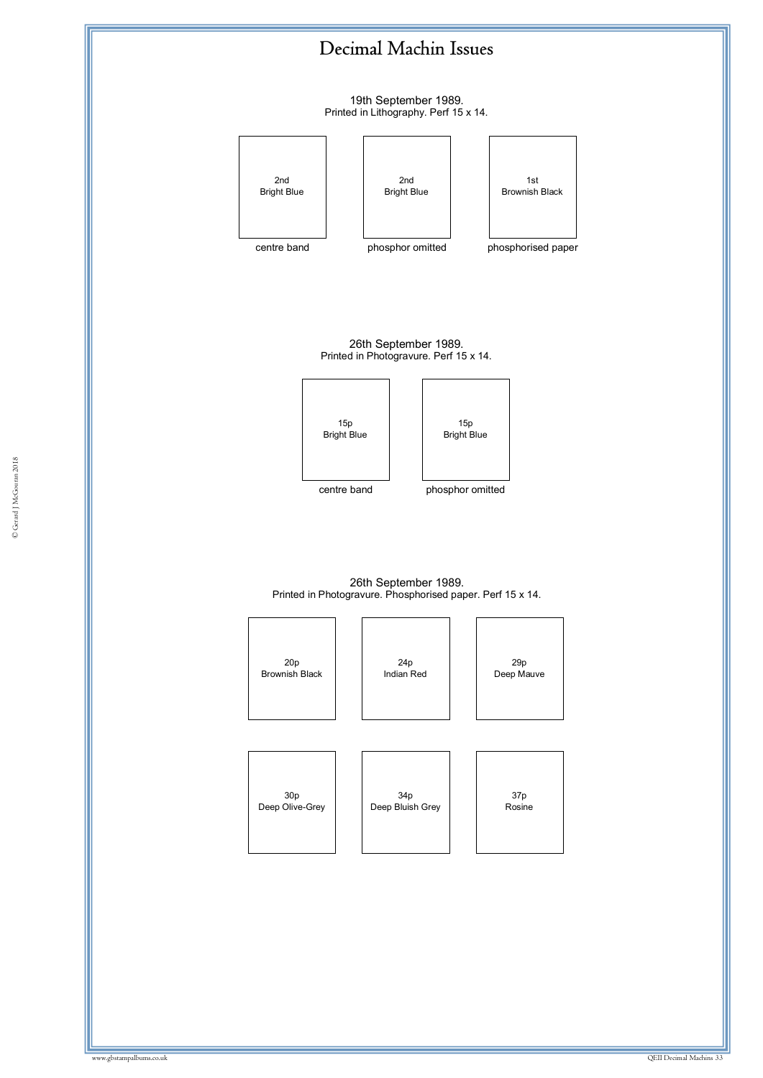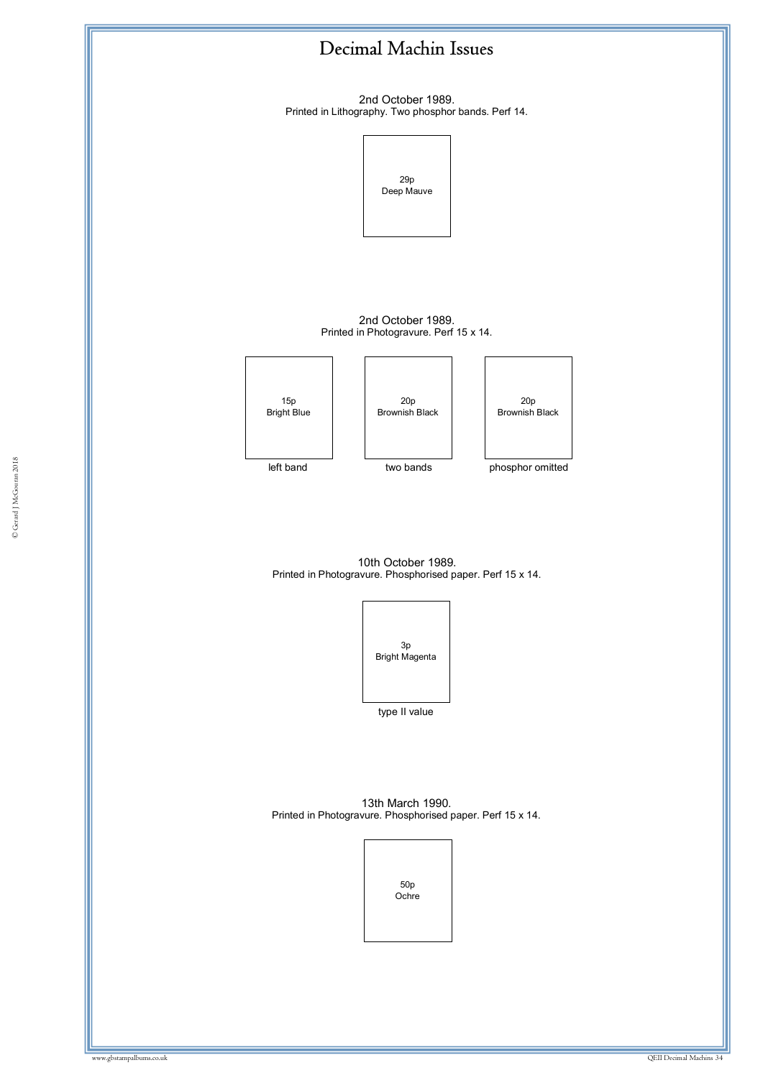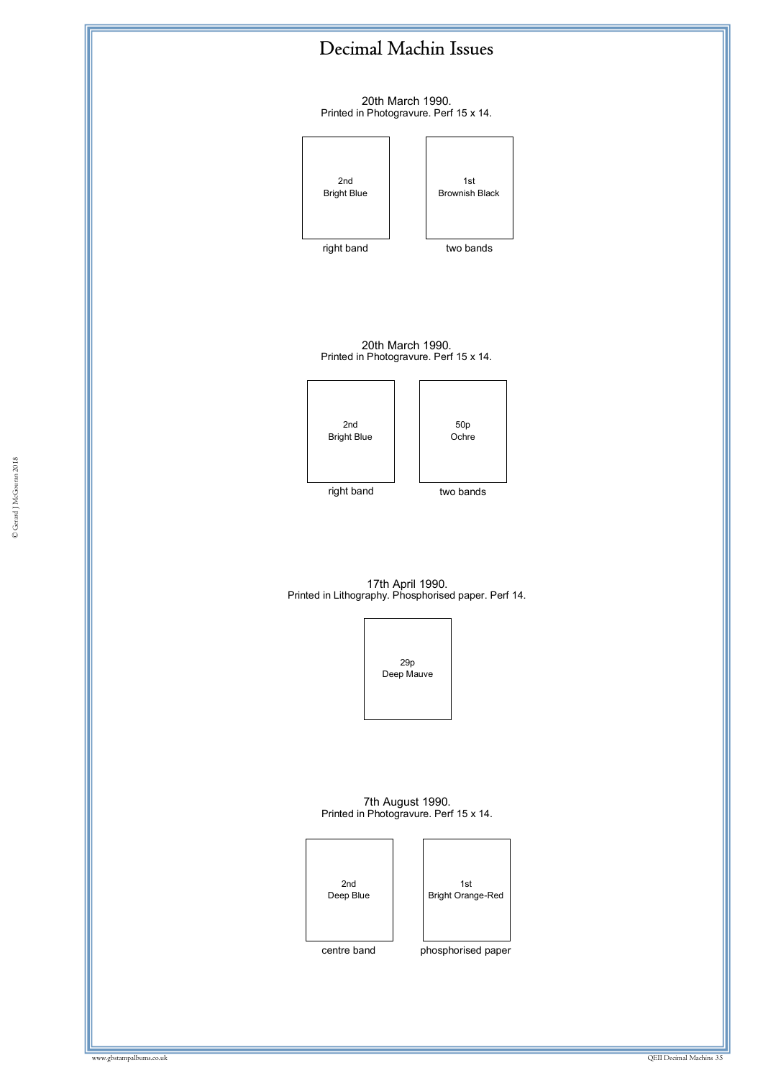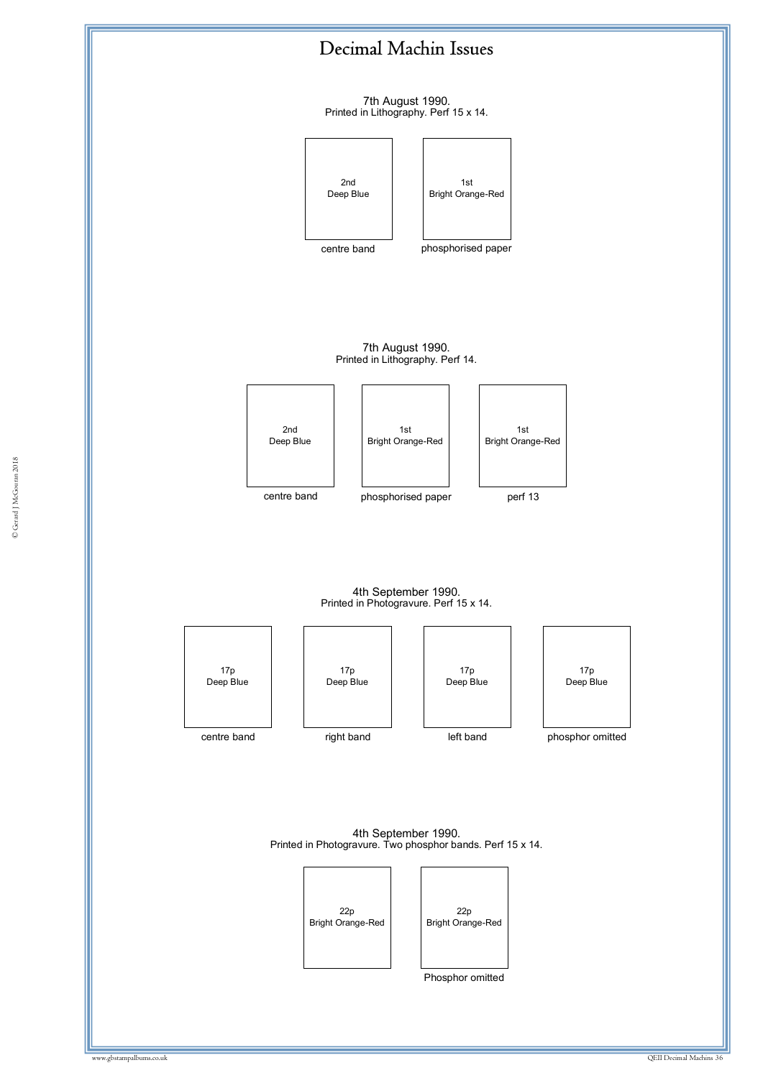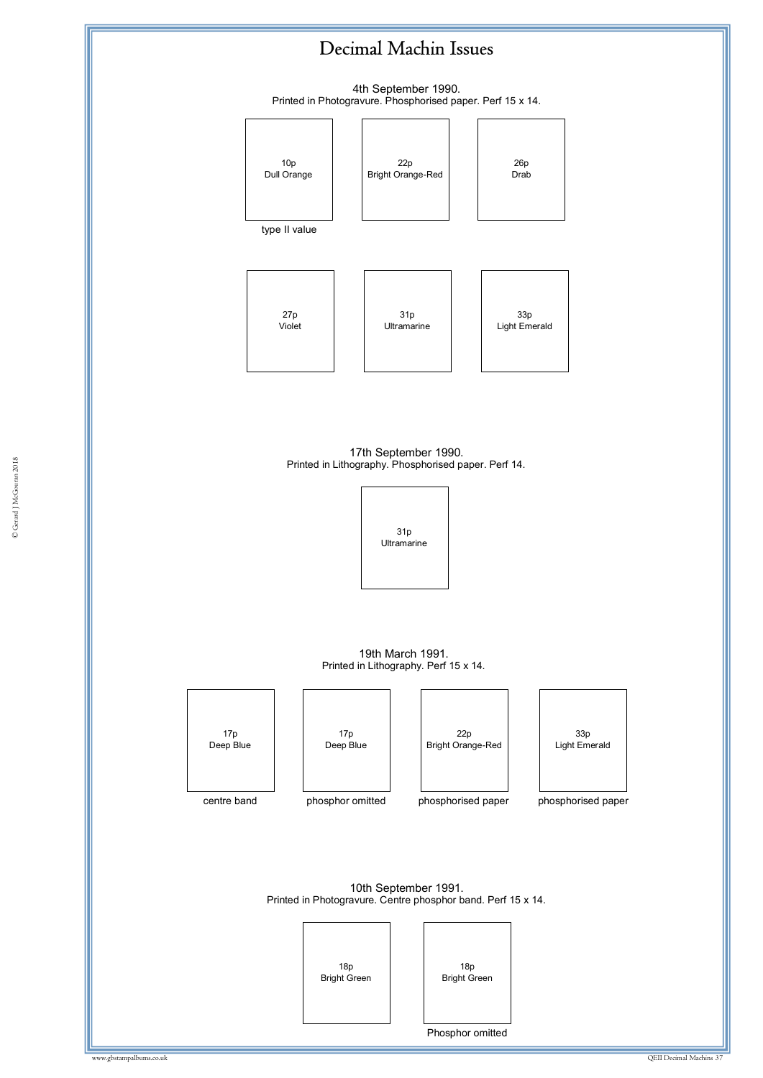4th September 1990. Printed in Photogravure. Phosphorised paper. Perf 15 x 14.



Printed in Lithography. Phosphorised paper. Perf 14.<br>———————————————————— 17th September 1990.



19th March 1991. Printed in Lithography. Perf 15 x 14.

17p Deep Blue

centre band

17p Deep Blue

phosphor omitted



phosphorised paper



phosphorised paper

10th September 1991. Printed in Photogravure. Centre phosphor band. Perf 15 x 14.





Phosphor omitted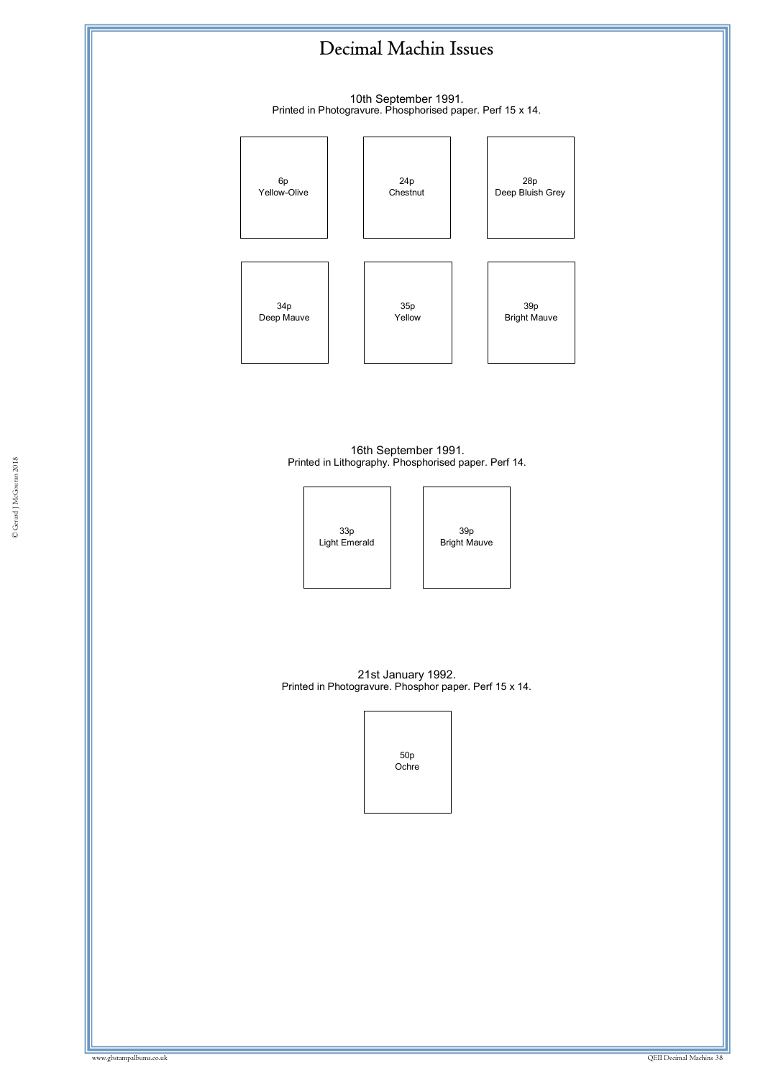10th September 1991. Printed in Photogravure. Phosphorised paper. Perf 15 x 14.



© Gerard J McGouran 2018 16th September 1991. Printed in Lithography. Phosphorised paper. Perf 14.



39p Bright Mauve

21st January 1992. Printed in Photogravure. Phosphor paper. Perf 15 x 14.

> 50p Ochre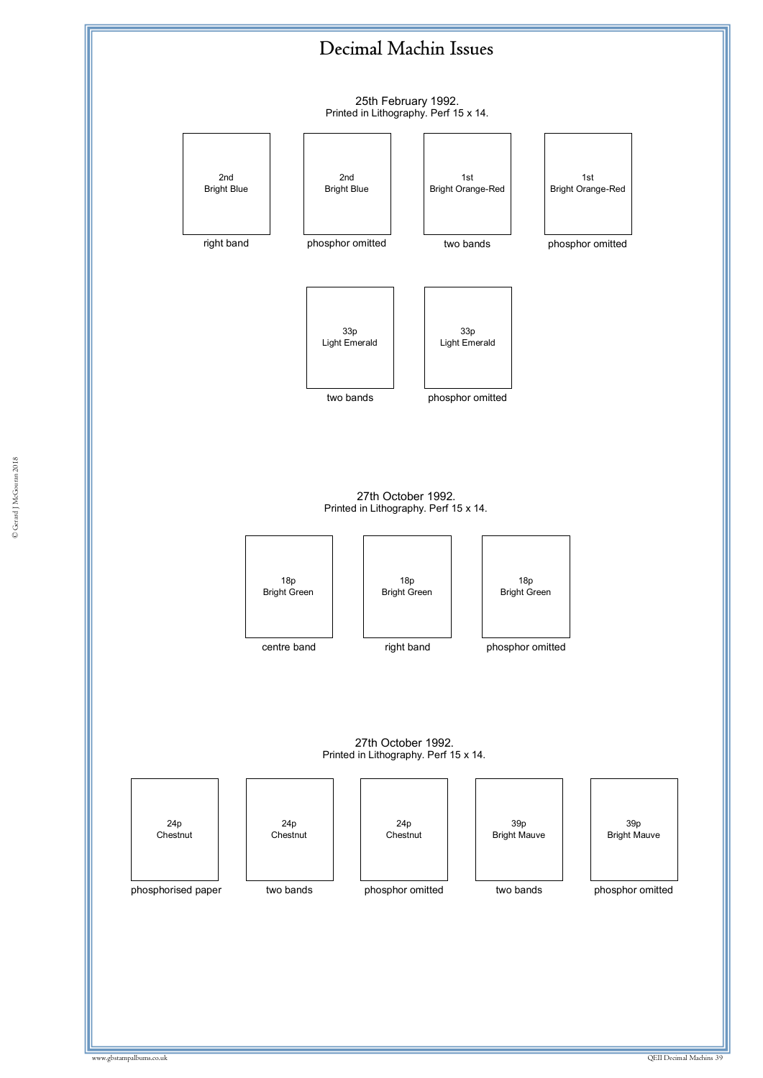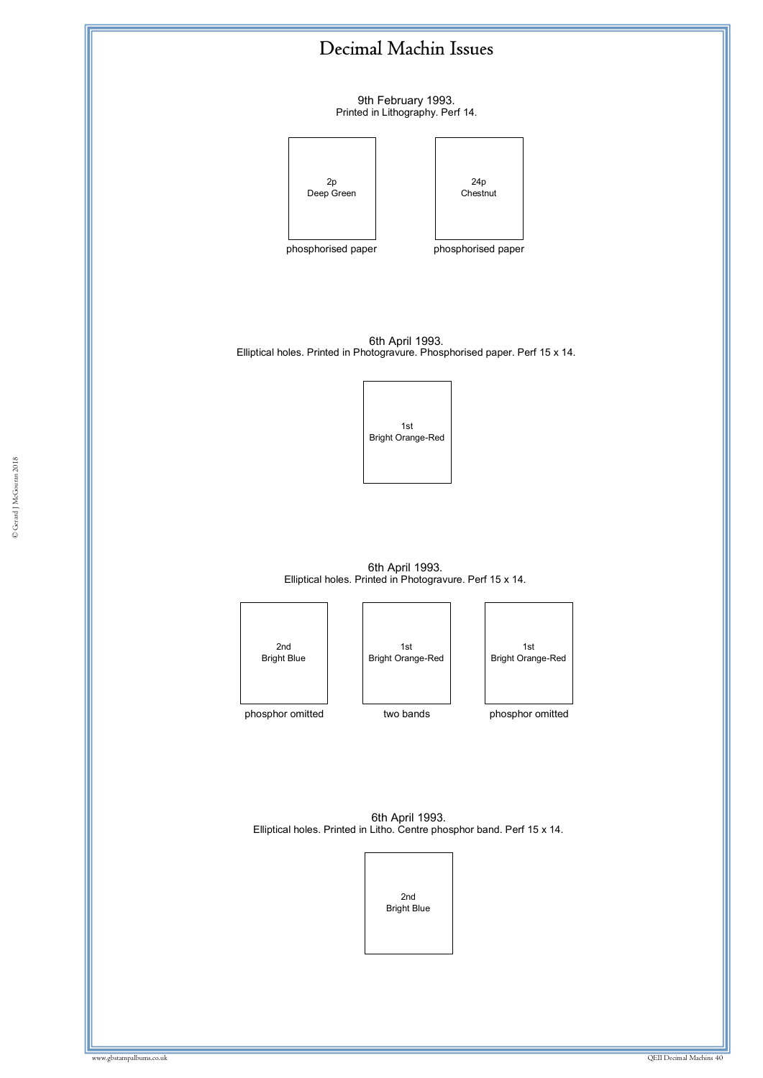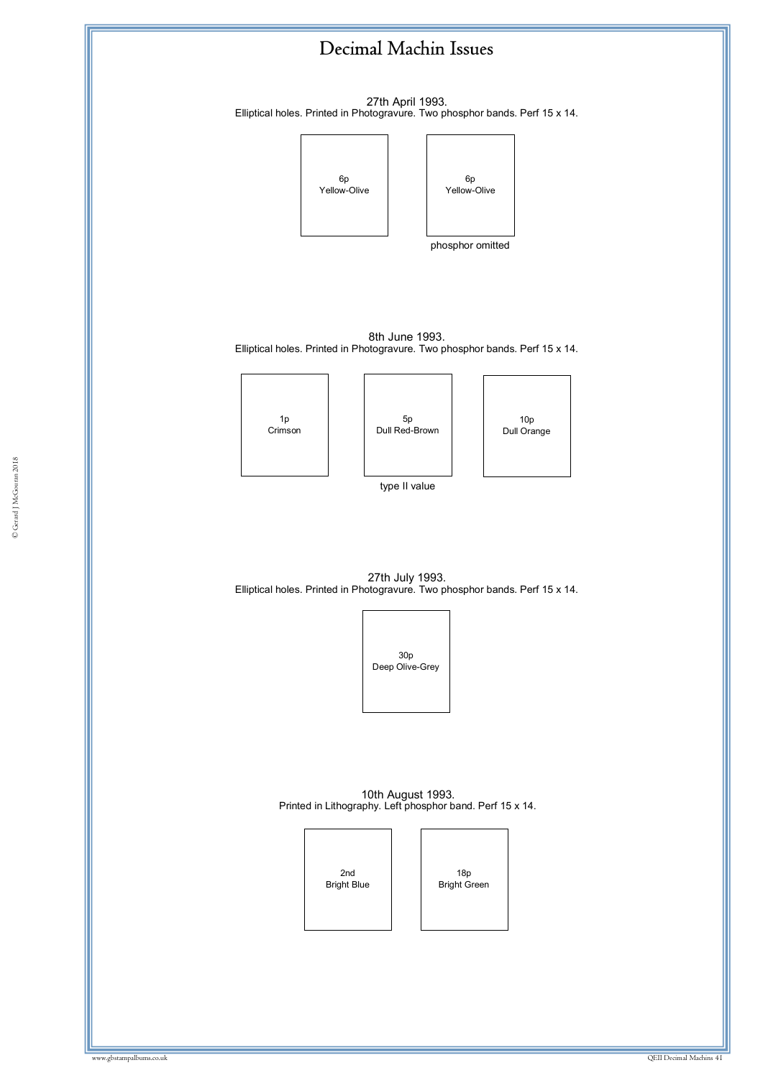![](_page_40_Figure_0.jpeg)

27th April 1993. Elliptical holes. Printed in Photogravure. Two phosphor bands. Perf 15 x 14.

![](_page_40_Figure_2.jpeg)

phosphor omitted

6p

8th June 1993. Elliptical holes. Printed in Photogravure. Two phosphor bands. Perf 15 x 14.

![](_page_40_Figure_5.jpeg)

![](_page_40_Figure_6.jpeg)

10p Dull Orange

type II value

27th July 1993. Elliptical holes. Printed in Photogravure. Two phosphor bands. Perf 15 x 14.

![](_page_40_Picture_10.jpeg)

10th August 1993. Printed in Lithography. Left phosphor band. Perf 15 x 14.

![](_page_40_Picture_12.jpeg)

18p Bright Green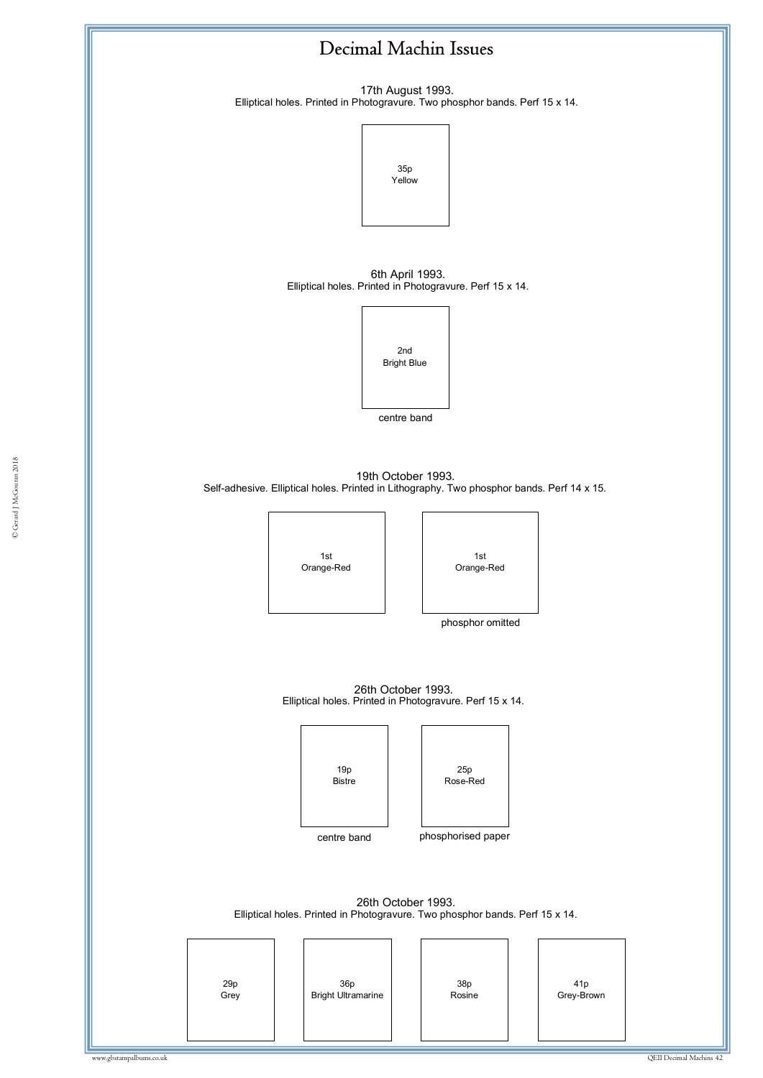17th August 1993. Elliptical holes. Printed in Photogravure. Two phosphor bands. Perf 15 x 14.

![](_page_41_Figure_2.jpeg)

6th April 1993. Elliptical holes. Printed in Photogravure. Perf 15 x 14.

![](_page_41_Picture_4.jpeg)

centre band

© Gerard J McGouran 2018 Self-adhesive. Elliptical holes. Printed in Lithography. Two phosphor bands. Perf 14 x 15. 19th October 1993.

ww.gbstampalbums.com

1st Orange-Red

![](_page_41_Picture_8.jpeg)

phosphor omitted

26th October 1993. Elliptical holes. Printed in Photogravure. Perf 15 x 14.

![](_page_41_Figure_11.jpeg)

![](_page_41_Picture_12.jpeg)

26th October 1993. Elliptical holes. Printed in Photogravure. Two phosphor bands. Perf 15 x 14.

| 29p<br>Grey<br>36p<br>Bright Ultramarine | 38p<br>Rosine | 41p<br>Grey-Brown |
|------------------------------------------|---------------|-------------------|
|------------------------------------------|---------------|-------------------|

# © Gerard J McGouran 2018 © Gerard J McGouran 2018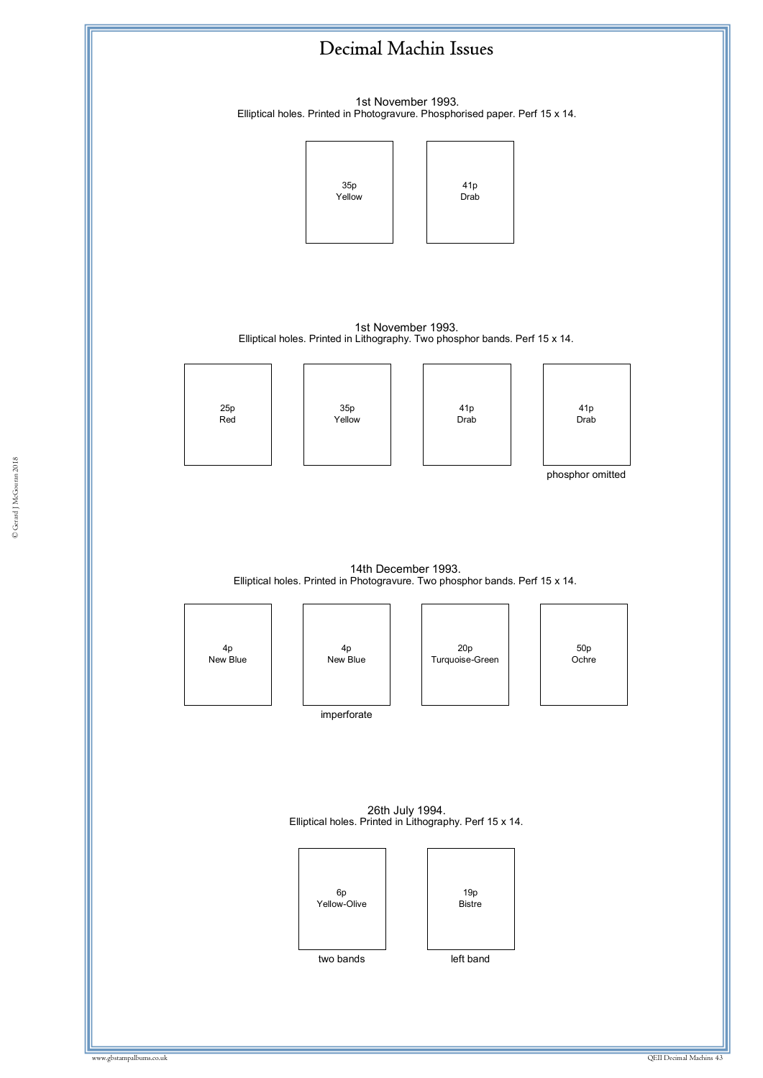![](_page_42_Figure_0.jpeg)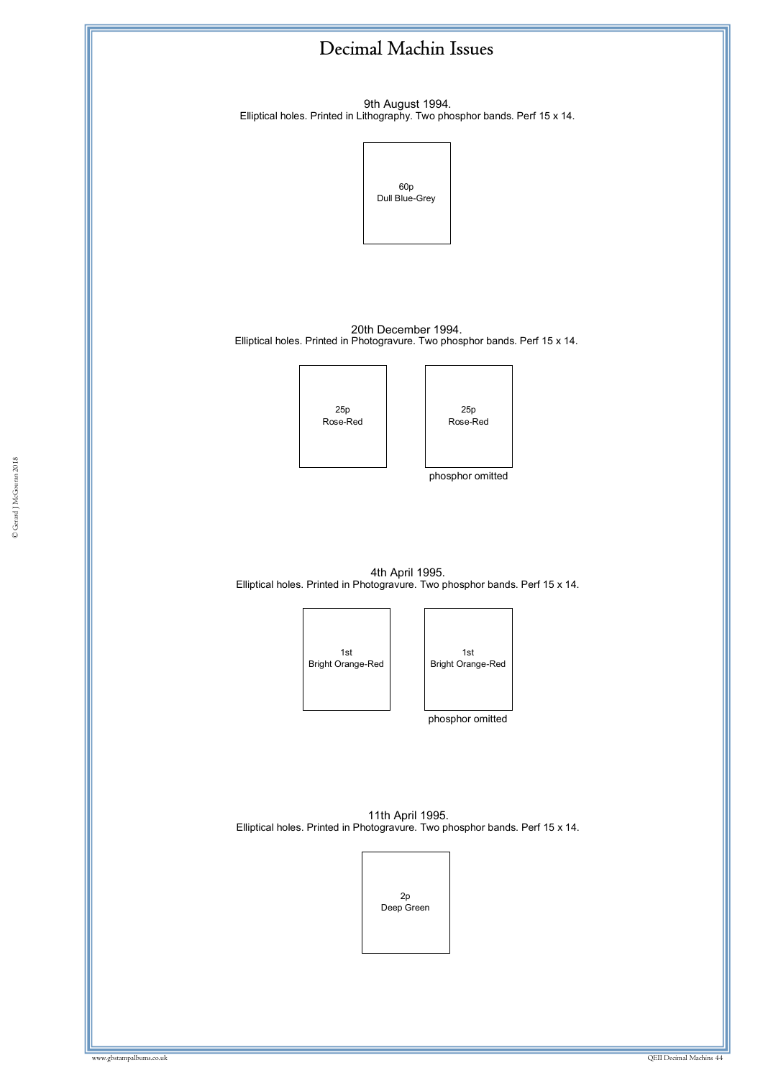![](_page_43_Figure_0.jpeg)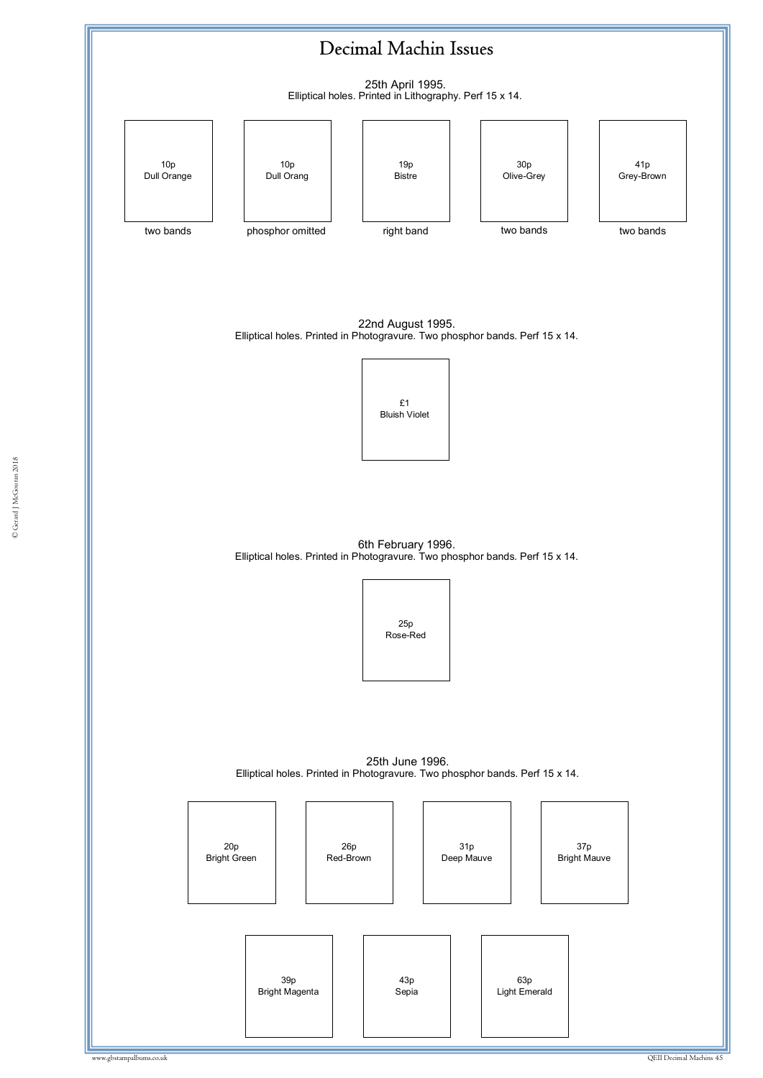![](_page_44_Figure_0.jpeg)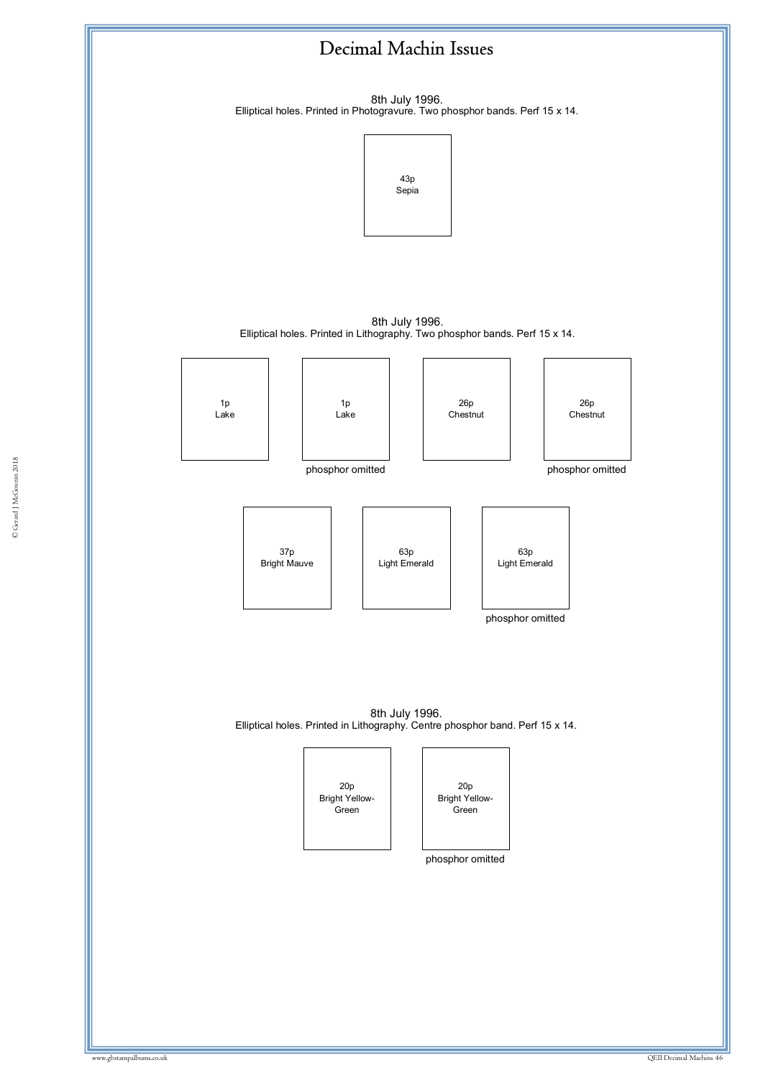![](_page_45_Figure_0.jpeg)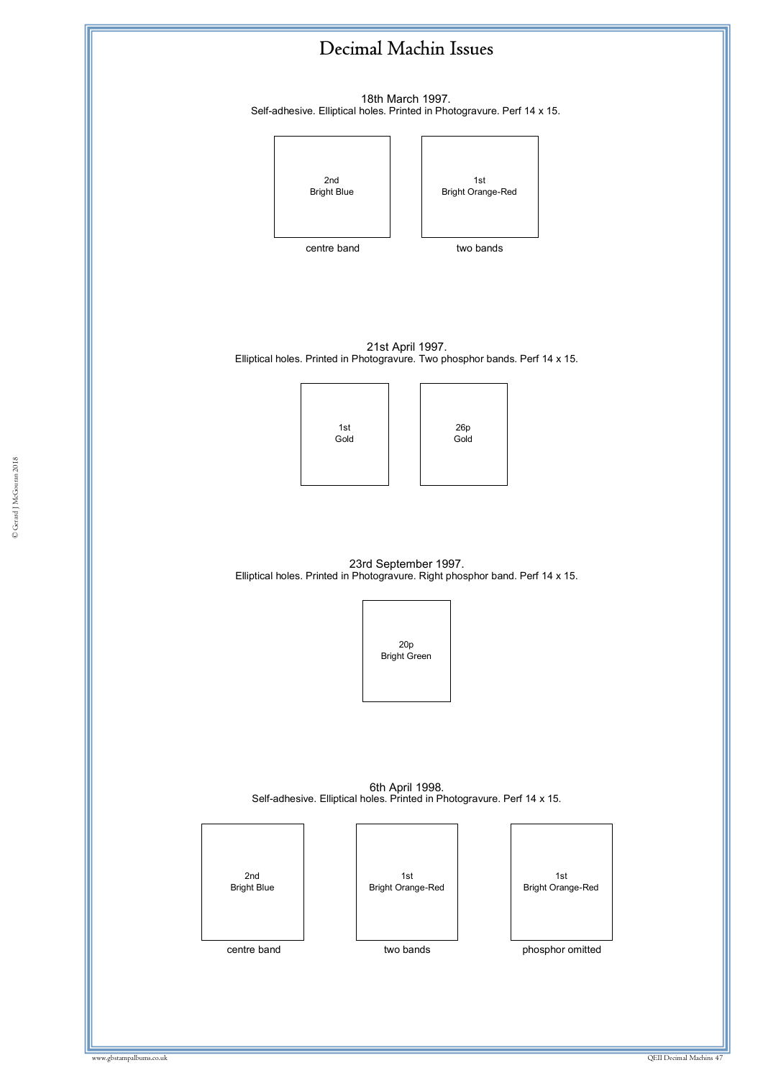![](_page_46_Figure_0.jpeg)

© Gerard J McGouran 2018 © Gerard J McGouran 2018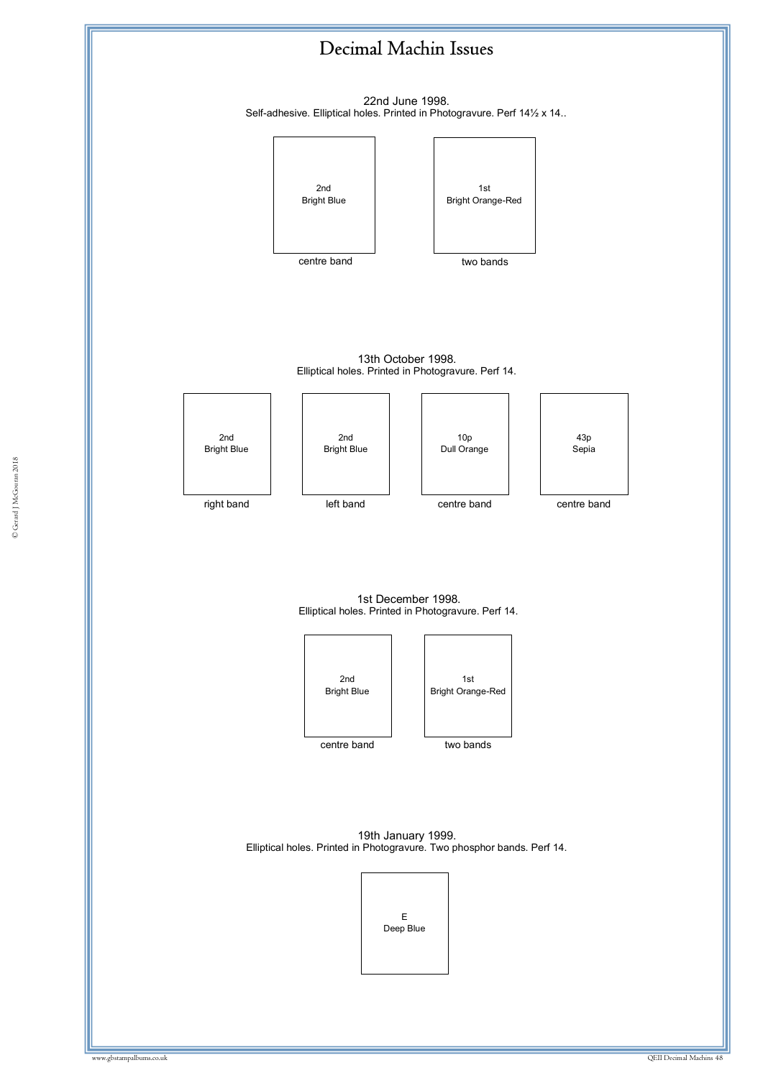![](_page_47_Figure_0.jpeg)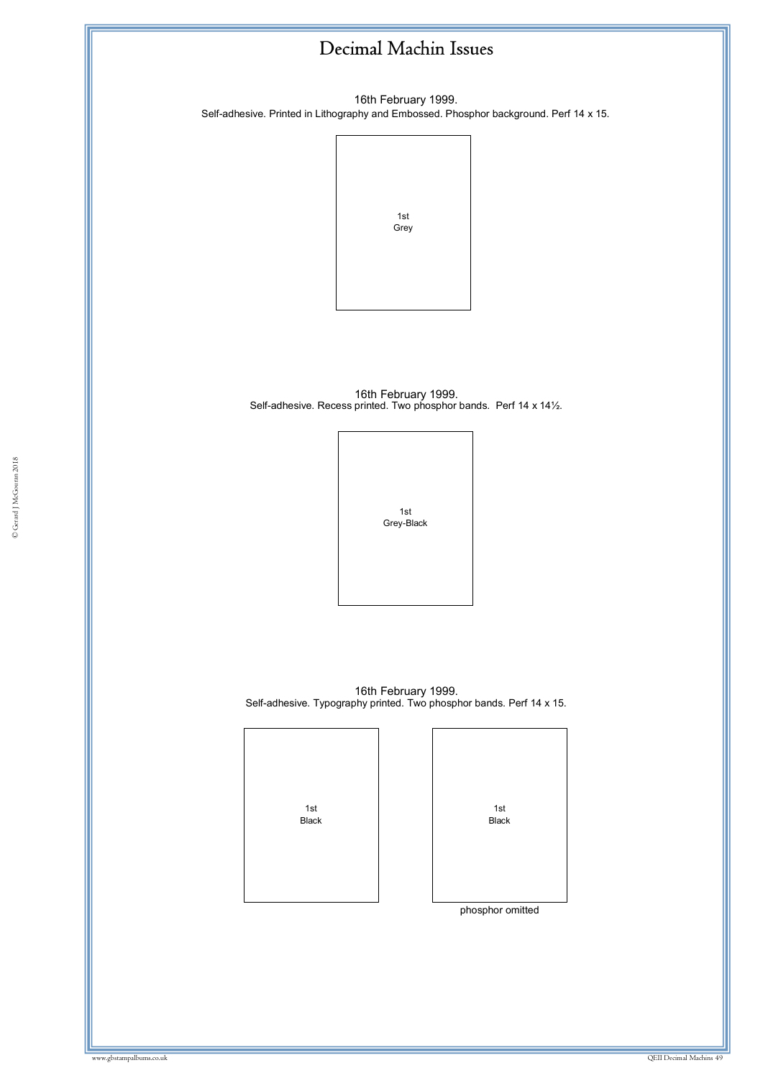16th February 1999. Self-adhesive. Printed in Lithography and Embossed. Phosphor background. Perf 14 x 15.

![](_page_48_Figure_2.jpeg)

16th February 1999. Self-adhesive. Recess printed. Two phosphor bands. Perf 14 x 14½.

![](_page_48_Picture_4.jpeg)

16th February 1999. Self-adhesive. Typography printed. Two phosphor bands. Perf 14 x 15.

| 1st<br>Black | 1st<br><b>Black</b> |
|--------------|---------------------|
|              | phosphor omitted    |
|              |                     |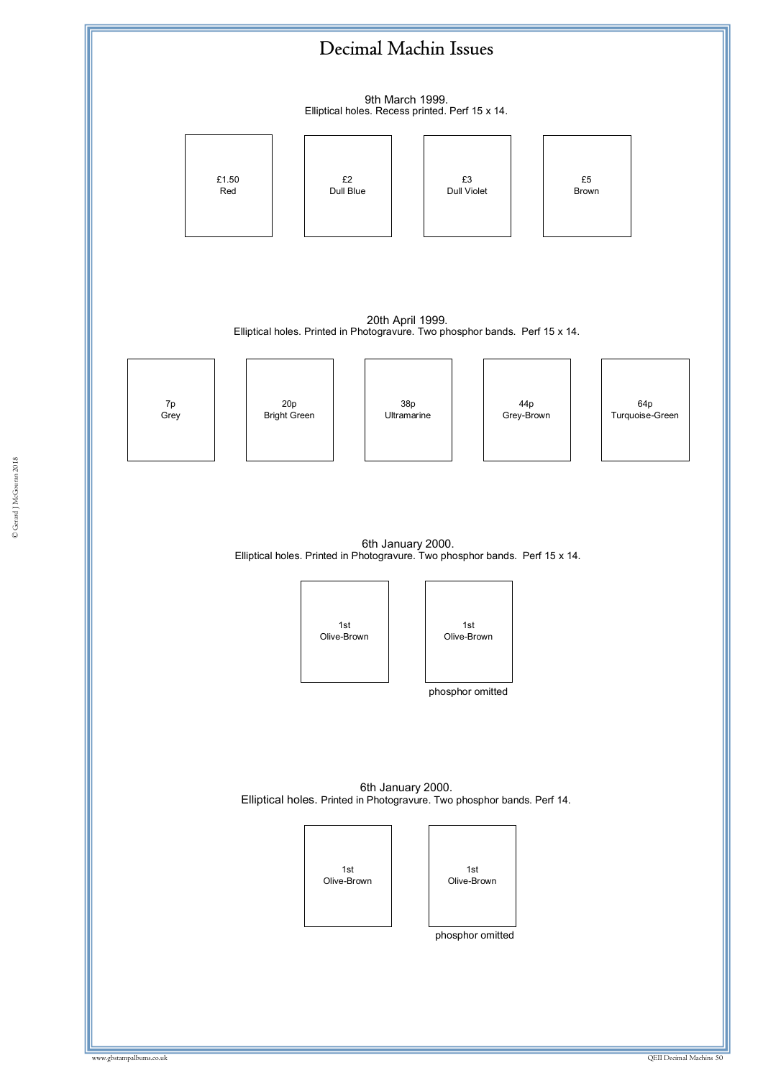![](_page_49_Figure_0.jpeg)

© Gerard J McGouran 2018 © Gerard J McGouran 2018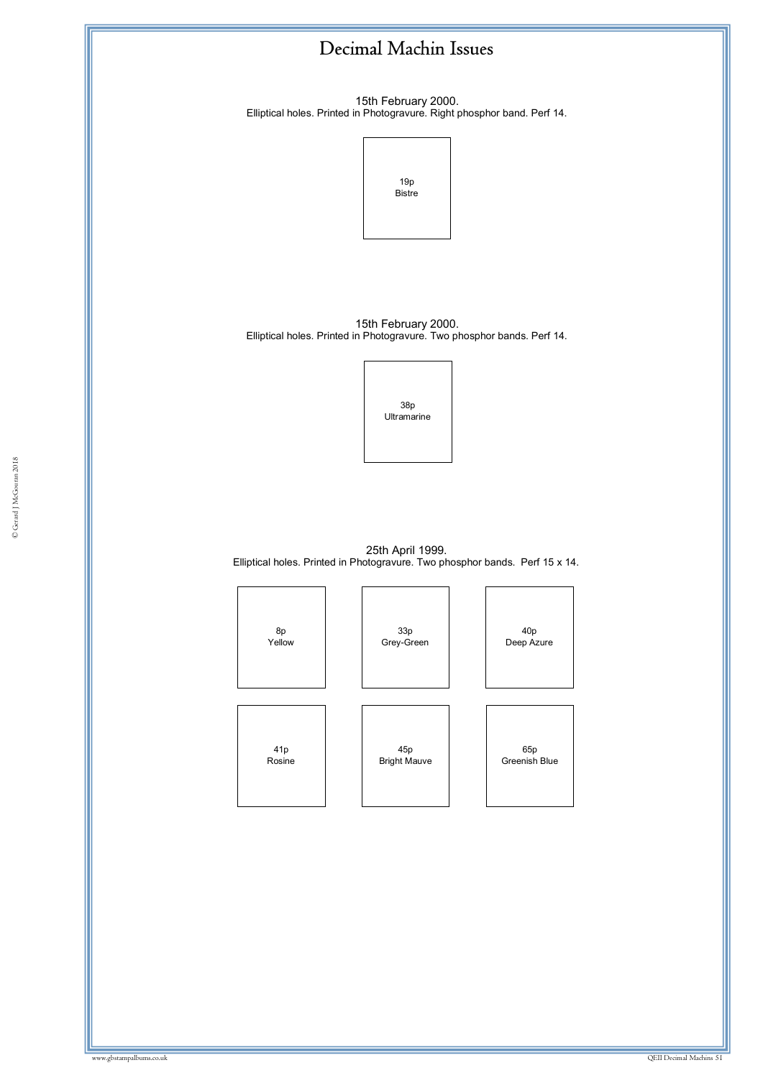![](_page_50_Figure_0.jpeg)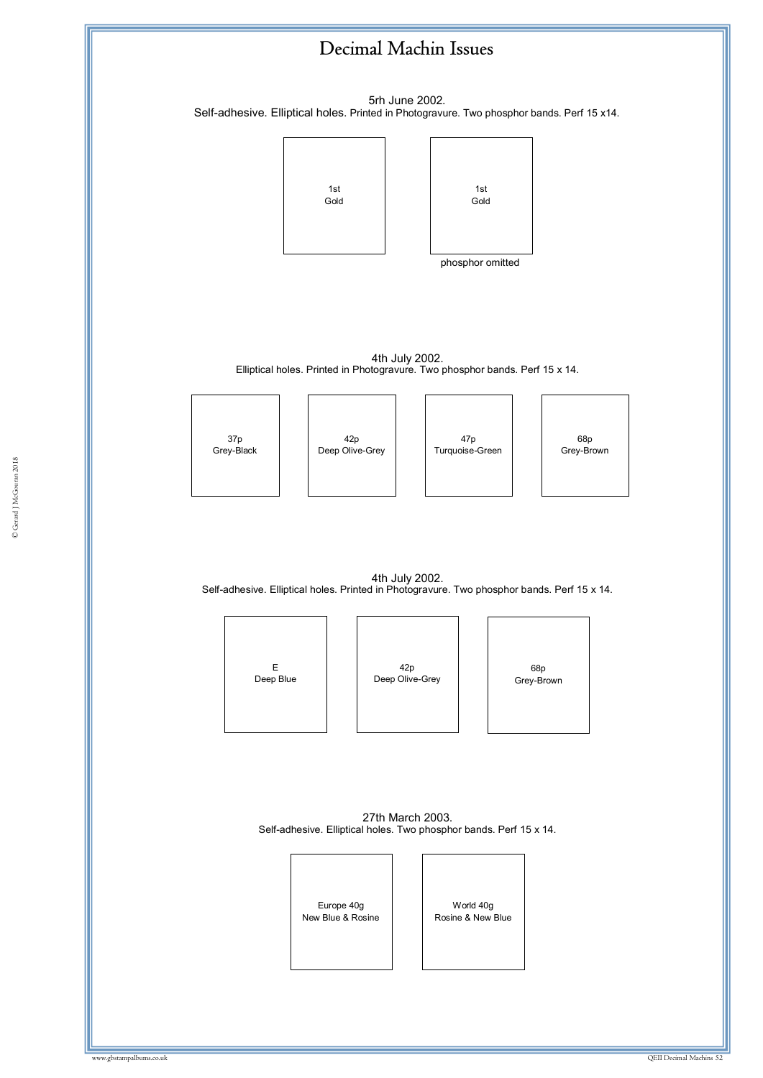![](_page_51_Figure_0.jpeg)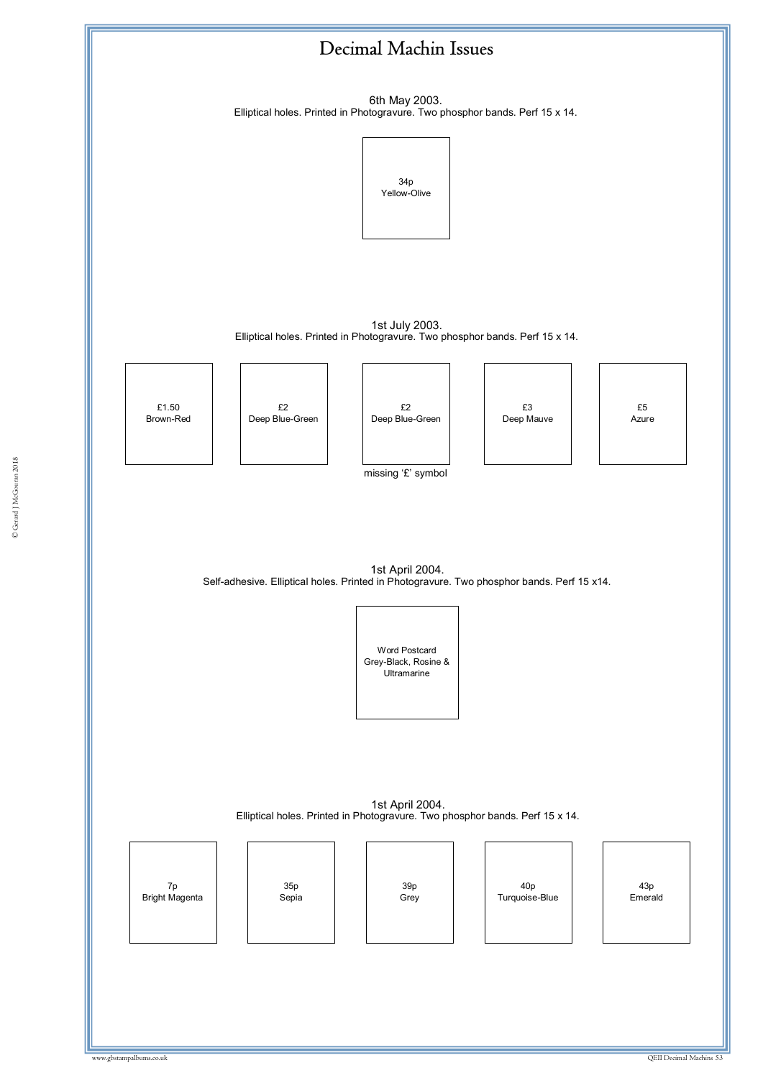![](_page_52_Figure_0.jpeg)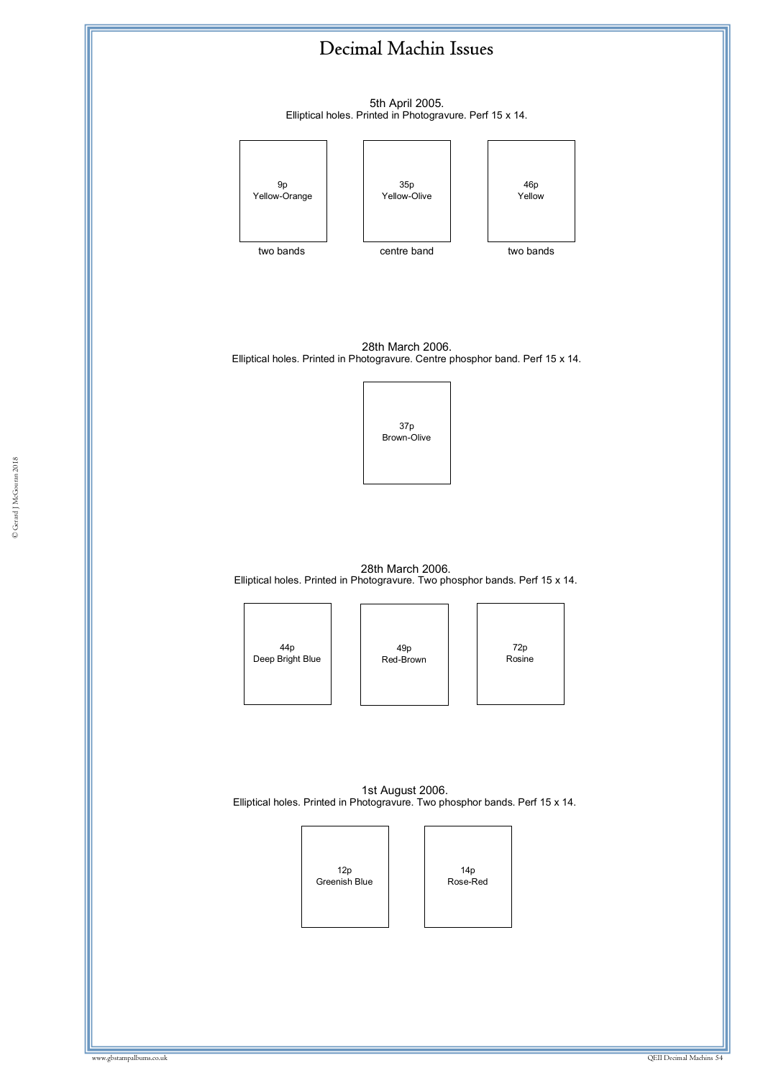5th April 2005. Elliptical holes. Printed in Photogravure. Perf 15 x 14.

![](_page_53_Figure_2.jpeg)

28th March 2006. Elliptical holes. Printed in Photogravure. Centre phosphor band. Perf 15 x 14.

![](_page_53_Picture_4.jpeg)

28th March 2006. Elliptical holes. Printed in Photogravure. Two phosphor bands. Perf 15 x 14.

![](_page_53_Figure_6.jpeg)

49p Red-Brown

72p Rosine

1st August 2006. Elliptical holes. Printed in Photogravure. Two phosphor bands. Perf 15 x 14.

![](_page_53_Picture_10.jpeg)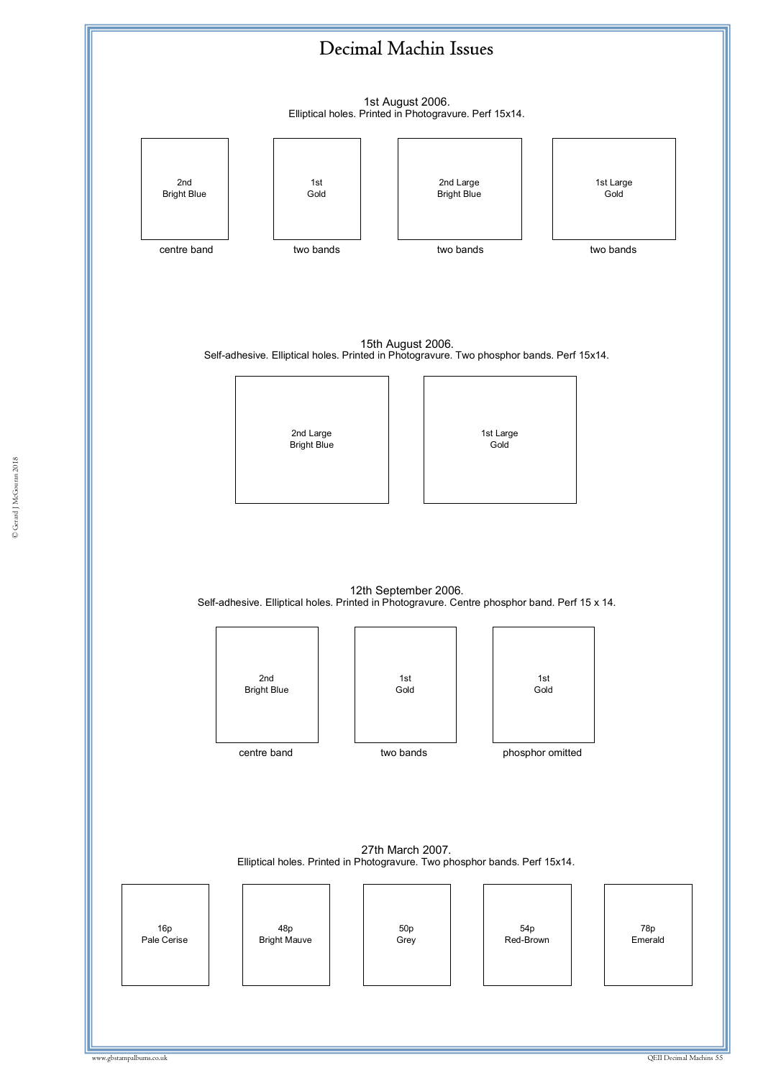![](_page_54_Figure_0.jpeg)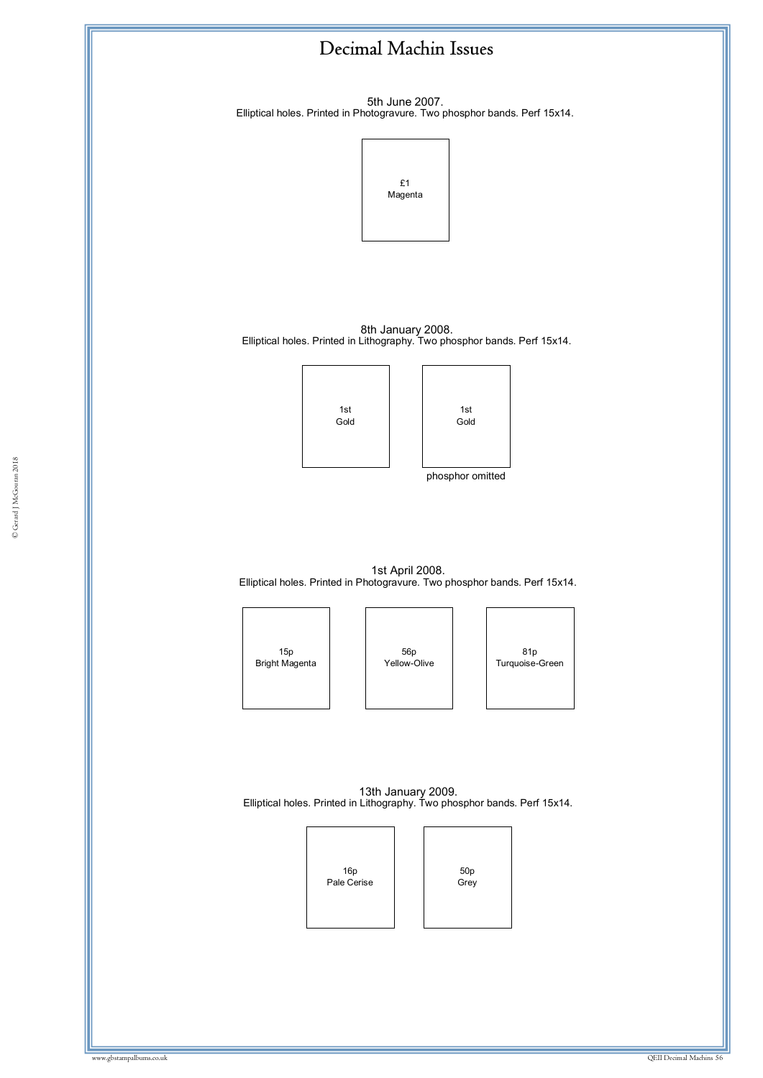![](_page_55_Figure_0.jpeg)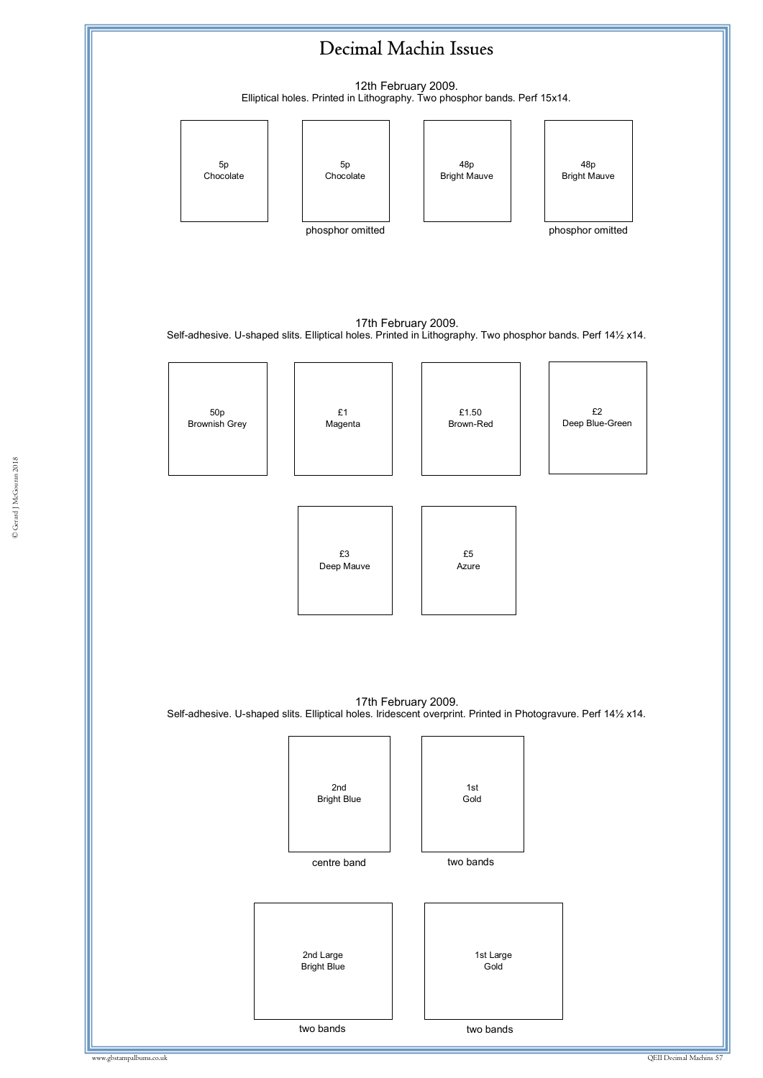![](_page_56_Figure_0.jpeg)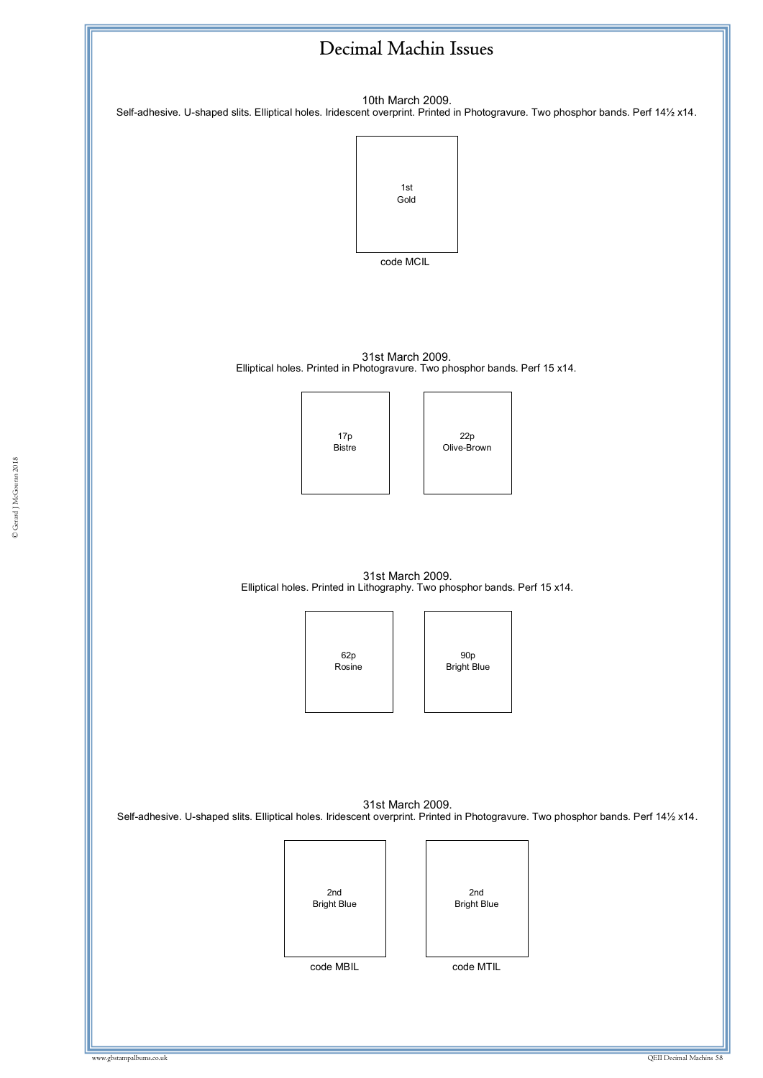![](_page_57_Figure_0.jpeg)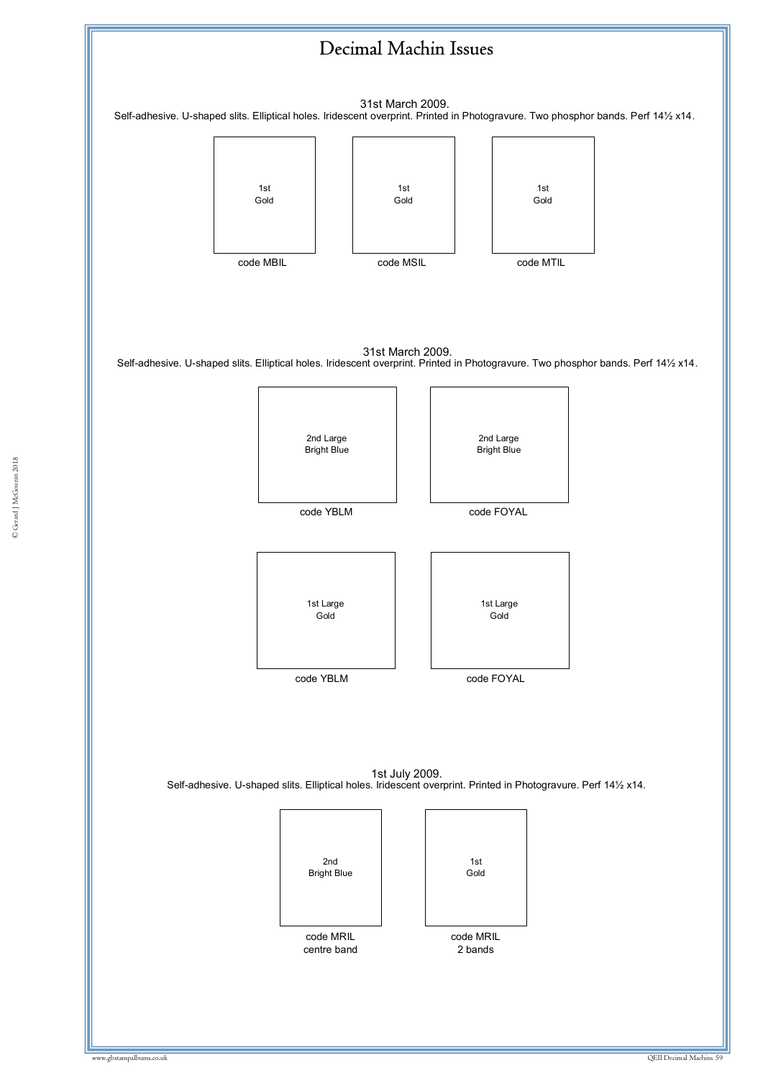![](_page_58_Figure_0.jpeg)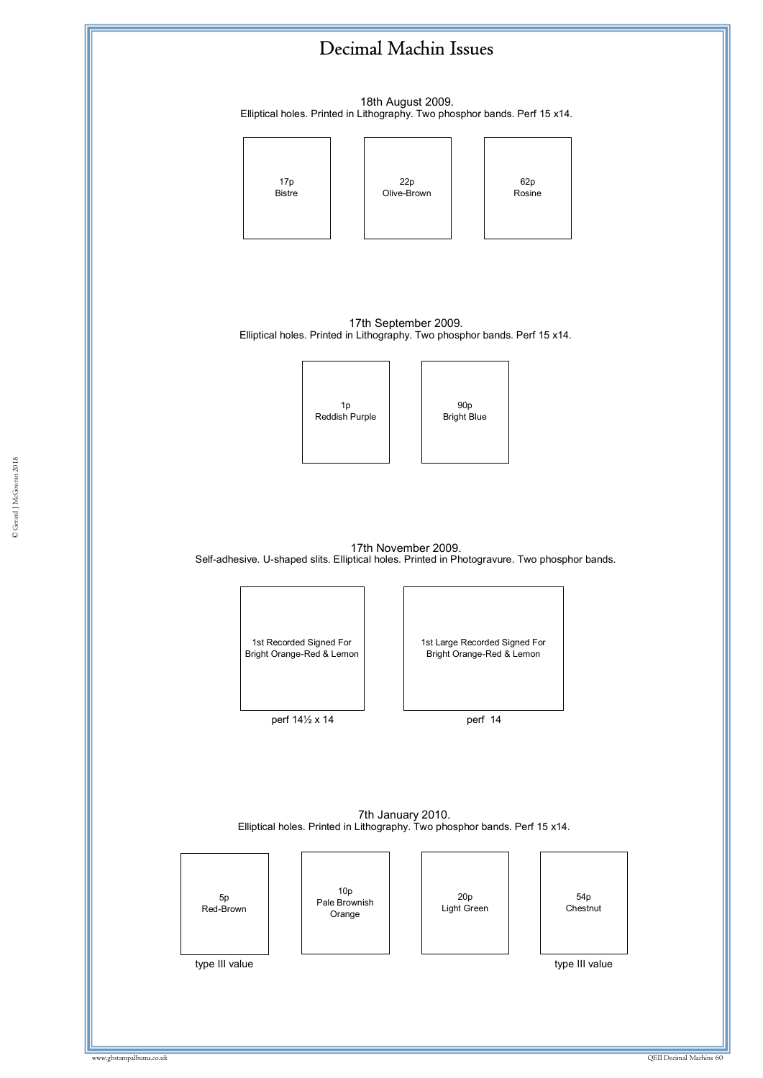18th August 2009. Elliptical holes. Printed in Lithography. Two phosphor bands. Perf 15 x14.

![](_page_59_Figure_2.jpeg)

17th November 2009. Self-adhesive. U-shaped slits. Elliptical holes. Printed in Photogravure. Two phosphor bands.

© Gerard J McGouran 2018

![](_page_59_Figure_4.jpeg)

7th January 2010. Elliptical holes. Printed in Lithography. Two phosphor bands. Perf 15 x14.

| 5p<br>Red-Brown | 10 <sub>p</sub><br>Pale Brownish<br>Orange | 20p<br>Light Green | 54 <sub>p</sub><br>Chestnut |
|-----------------|--------------------------------------------|--------------------|-----------------------------|
| type III value  |                                            |                    | type III value              |
|                 |                                            |                    |                             |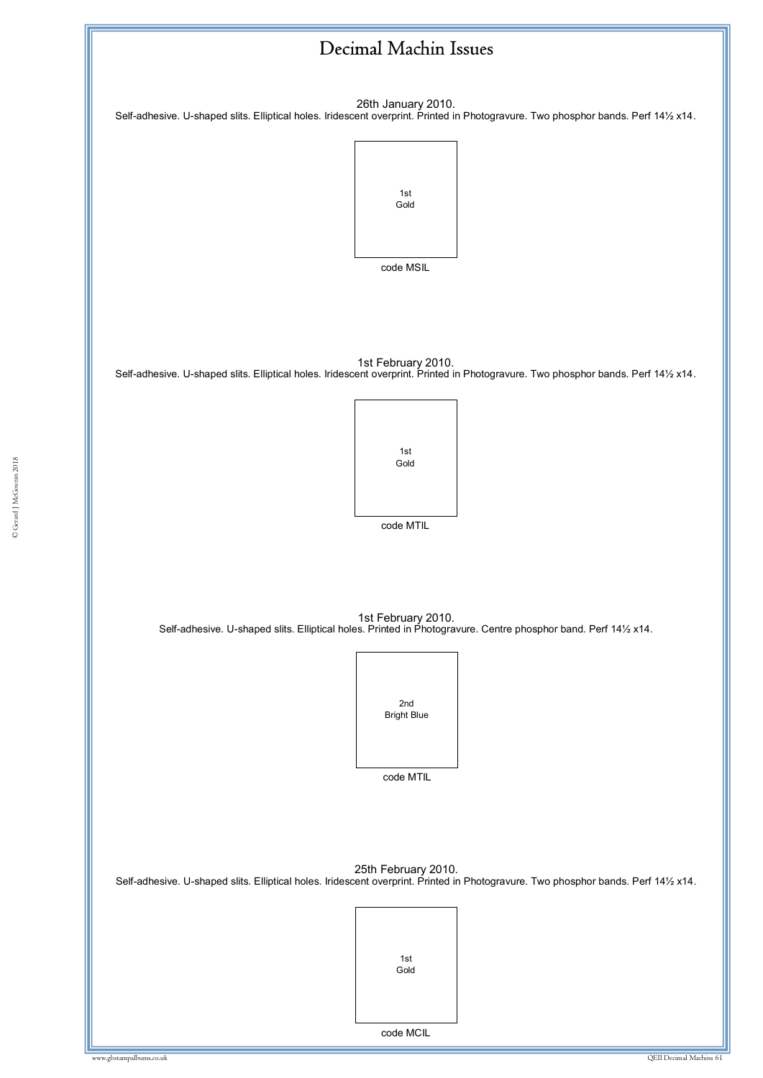![](_page_60_Figure_0.jpeg)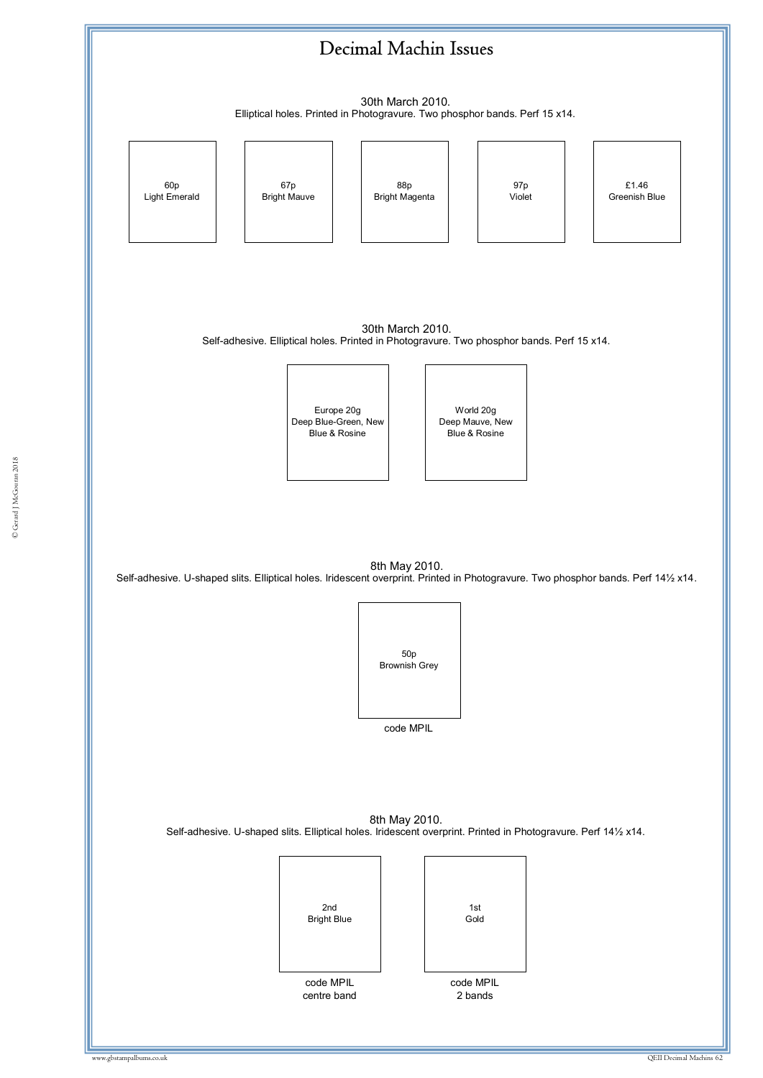![](_page_61_Figure_0.jpeg)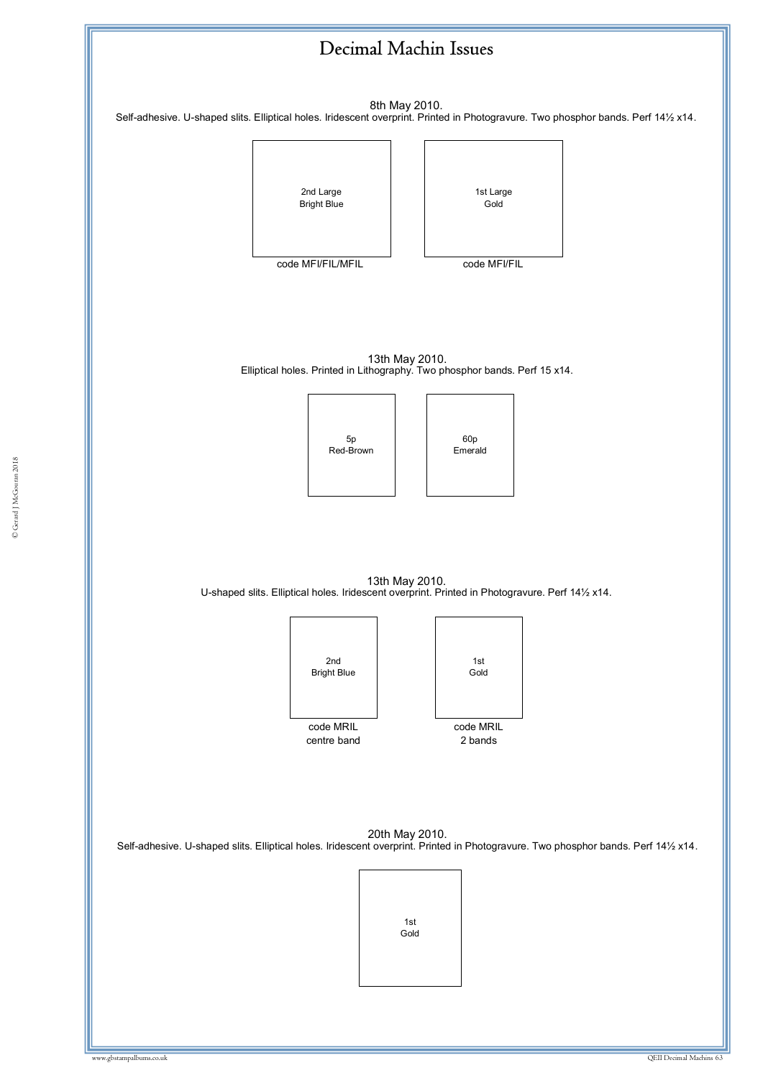![](_page_62_Figure_0.jpeg)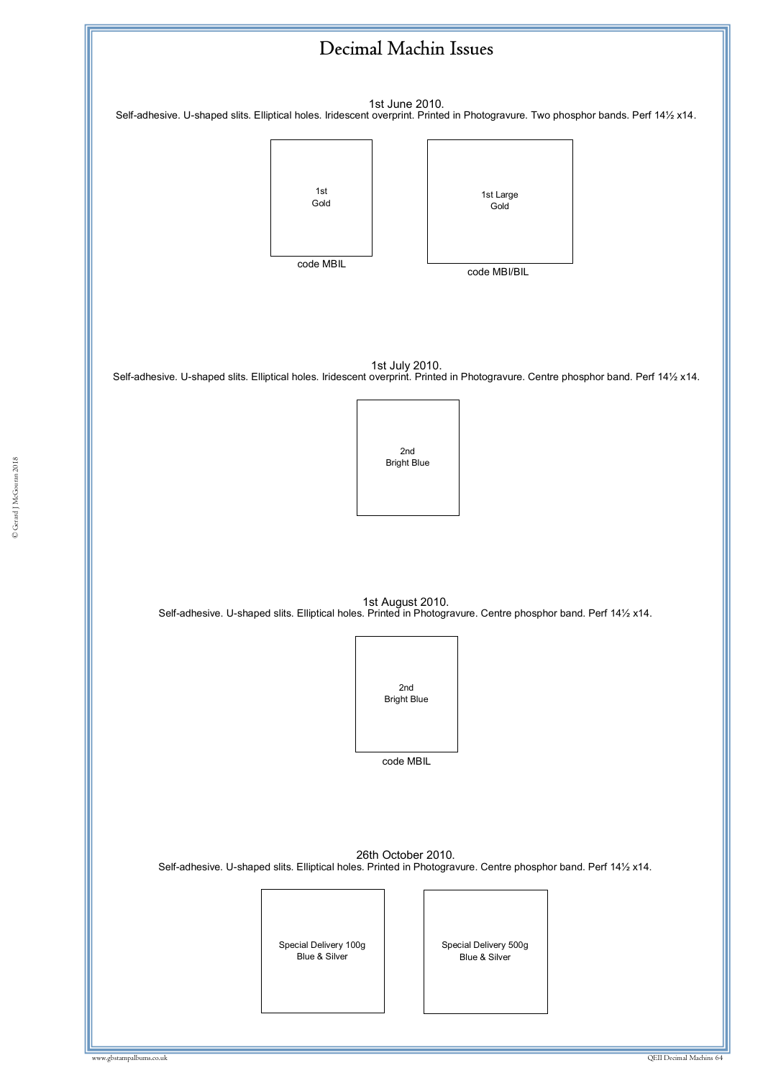![](_page_63_Figure_0.jpeg)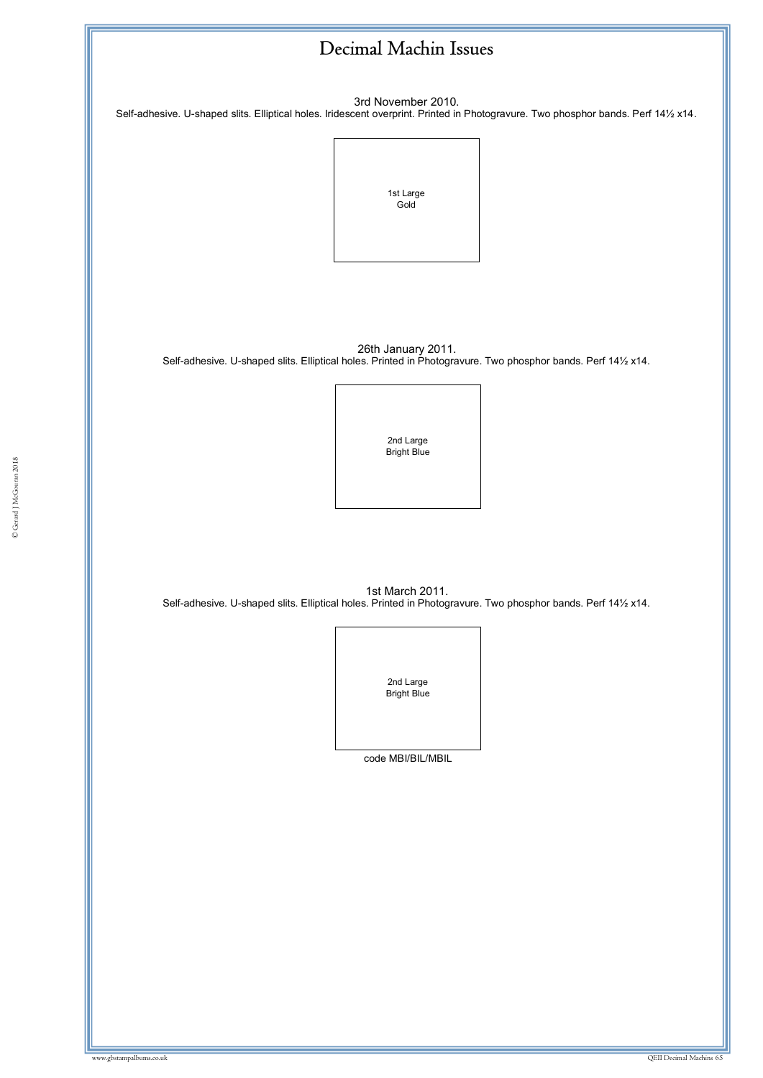3rd November 2010.

Self-adhesive. U-shaped slits. Elliptical holes. Iridescent overprint. Printed in Photogravure. Two phosphor bands. Perf 14½ x14.

![](_page_64_Picture_3.jpeg)

26th January 2011. Self-adhesive. U-shaped slits. Elliptical holes. Printed in Photogravure. Two phosphor bands. Perf 14½ x14.

![](_page_64_Picture_5.jpeg)

ww.gbstampalbums.com

1st March 2011. Self-adhesive. U-shaped slits. Elliptical holes. Printed in Photogravure. Two phosphor bands. Perf 14½ x14.

![](_page_64_Picture_7.jpeg)

code MBI/BIL/MBIL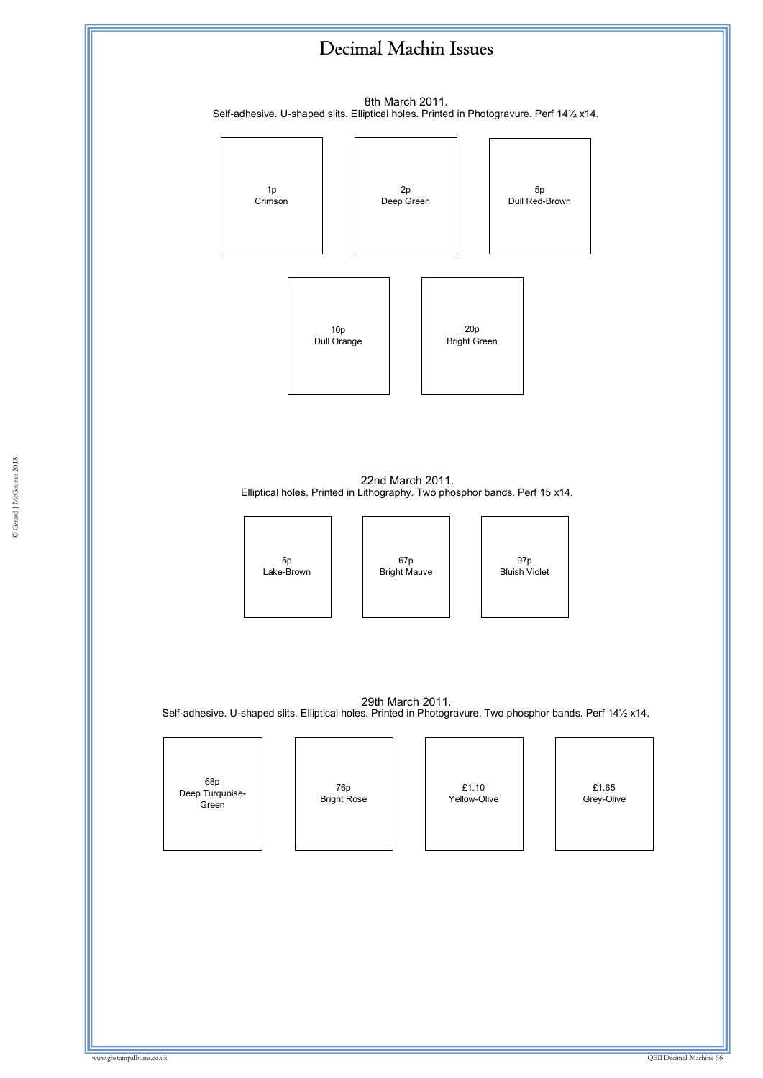8th March 2011. Self-adhesive. U-shaped slits. Elliptical holes. Printed in Photogravure. Perf 14½ x14.

![](_page_65_Figure_2.jpeg)

22nd March 2011. Elliptical holes. Printed in Lithography. Two phosphor bands. Perf 15 x14.

![](_page_65_Picture_4.jpeg)

67p Bright Mauve

97p Bluish Violet

29th March 2011. Self-adhesive. U-shaped slits. Elliptical holes. Printed in Photogravure. Two phosphor bands. Perf 14½ x14.

68p Deep Turquoise-Green

76p Bright Rose

£1.10 Yellow-Olive

![](_page_65_Picture_11.jpeg)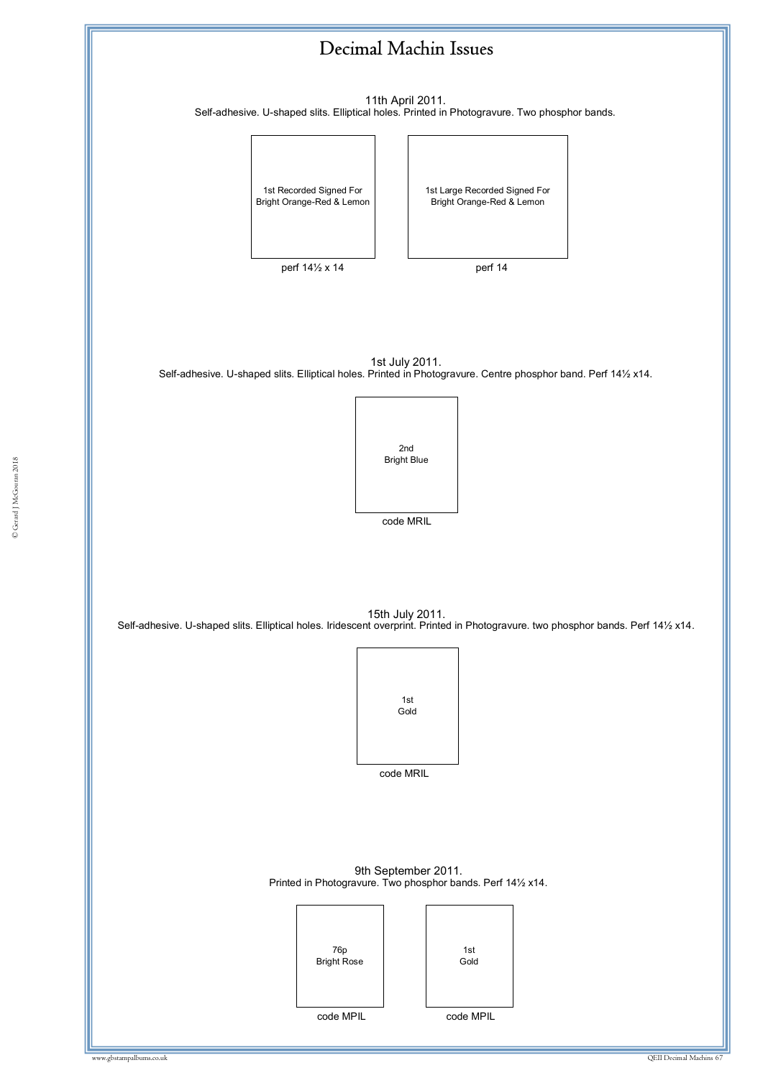![](_page_66_Figure_0.jpeg)

11th April 2011. Self-adhesive. U-shaped slits. Elliptical holes. Printed in Photogravure. Two phosphor bands.

![](_page_66_Picture_2.jpeg)

![](_page_66_Picture_3.jpeg)

perf  $14\frac{1}{2}$  x 14 perf 14

1st July 2011. Self-adhesive. U-shaped slits. Elliptical holes. Printed in Photogravure. Centre phosphor band. Perf 14½ x14.

![](_page_66_Picture_7.jpeg)

15th July 2011. Self-adhesive. U-shaped slits. Elliptical holes. Iridescent overprint. Printed in Photogravure. two phosphor bands. Perf 14½ x14.

![](_page_66_Picture_9.jpeg)

code MRIL

9th September 2011. Printed in Photogravure. Two phosphor bands. Perf 14½ x14.

![](_page_66_Picture_12.jpeg)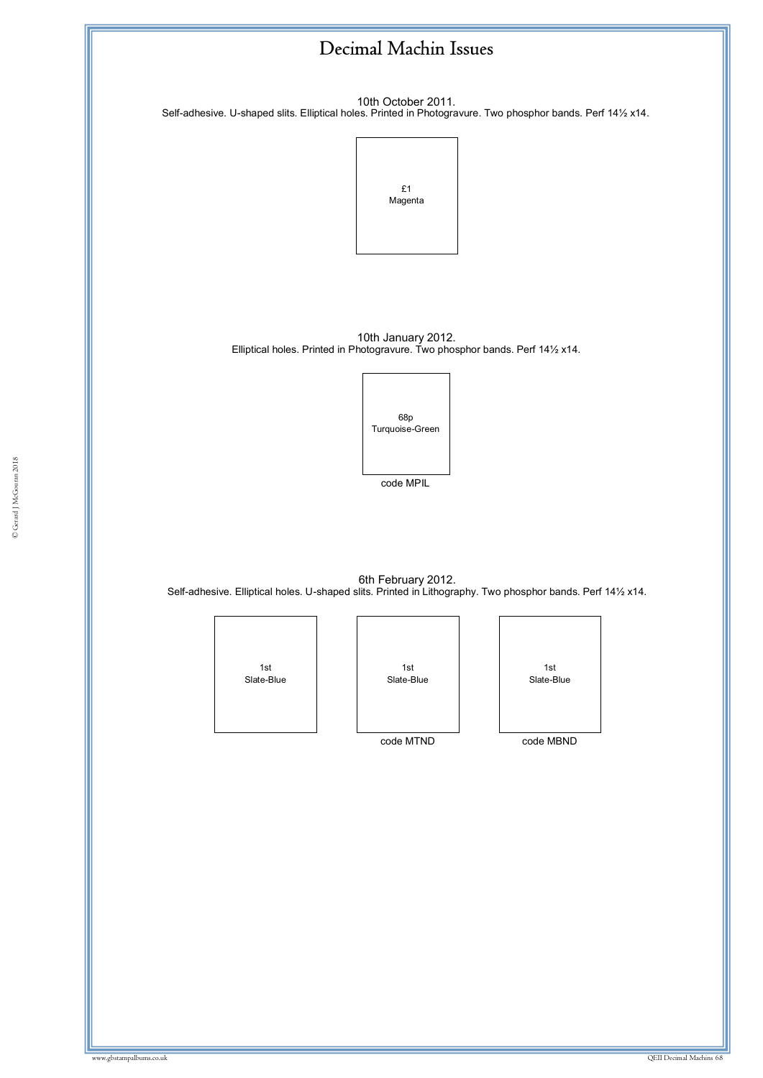10th October 2011. Self-adhesive. U-shaped slits. Elliptical holes. Printed in Photogravure. Two phosphor bands. Perf 14½ x14.

![](_page_67_Figure_2.jpeg)

10th January 2012. Elliptical holes. Printed in Photogravure. Two phosphor bands. Perf 14½ x14.

![](_page_67_Picture_4.jpeg)

6th February 2012. Self-adhesive. Elliptical holes. U-shaped slits. Printed in Lithography. Two phosphor bands. Perf 14½ x14.

![](_page_67_Picture_6.jpeg)

1st Slate-Blue

code MTND

![](_page_67_Picture_9.jpeg)

code MBND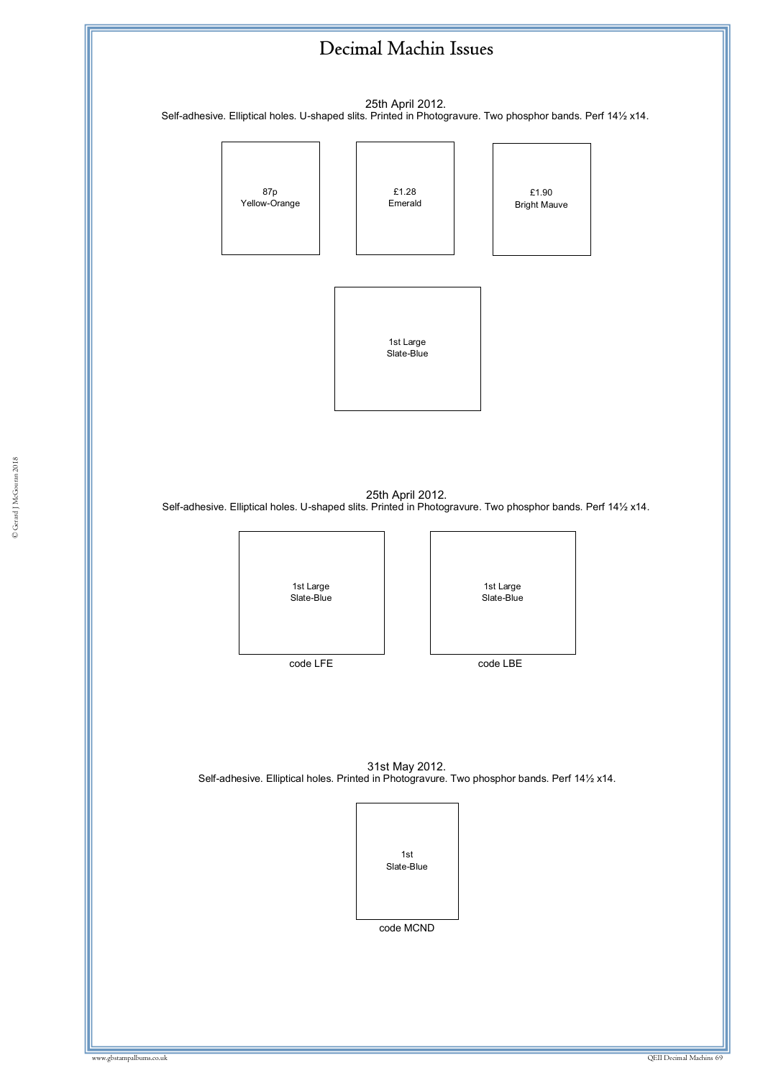![](_page_68_Figure_0.jpeg)

25th April 2012. Self-adhesive. Elliptical holes. U-shaped slits. Printed in Photogravure. Two phosphor bands. Perf 14½ x14.

![](_page_68_Figure_2.jpeg)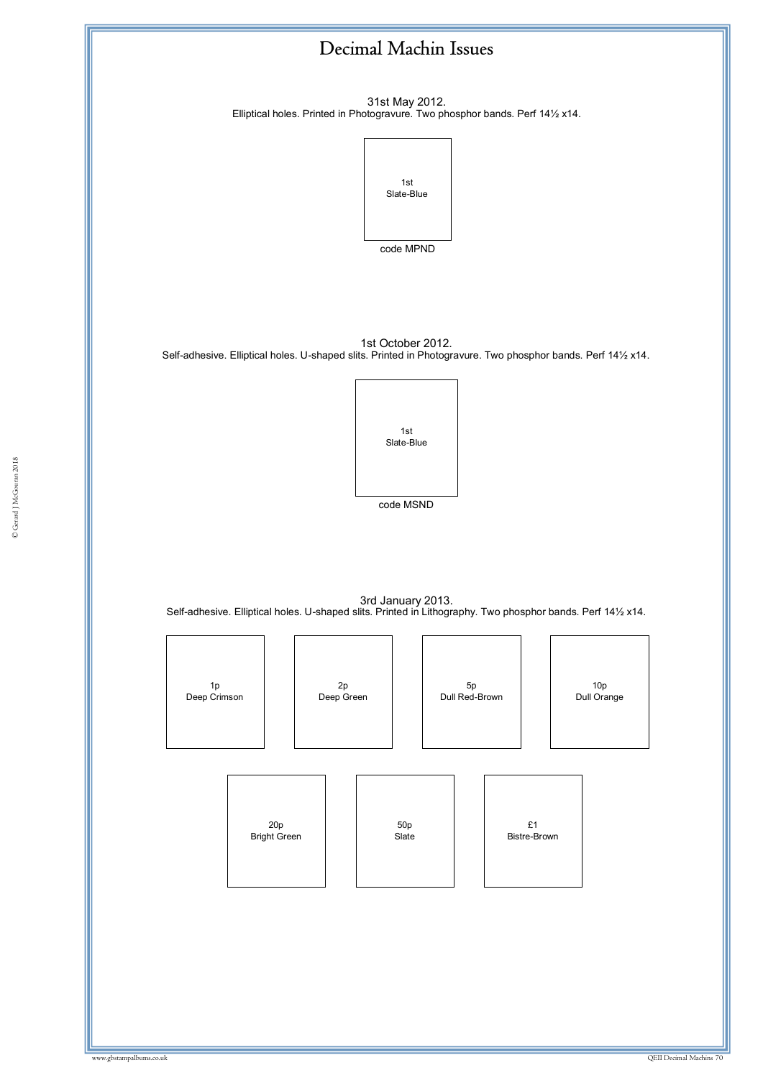31st May 2012. Elliptical holes. Printed in Photogravure. Two phosphor bands. Perf 14½ x14.

![](_page_69_Picture_2.jpeg)

1st October 2012.

Self-adhesive. Elliptical holes. U-shaped slits. Printed in Photogravure. Two phosphor bands. Perf 14½ x14.

![](_page_69_Picture_5.jpeg)

code MSND code MSND

3rd January 2013. Self-adhesive. Elliptical holes. U-shaped slits. Printed in Lithography. Two phosphor bands. Perf 14½ x14.

![](_page_69_Figure_8.jpeg)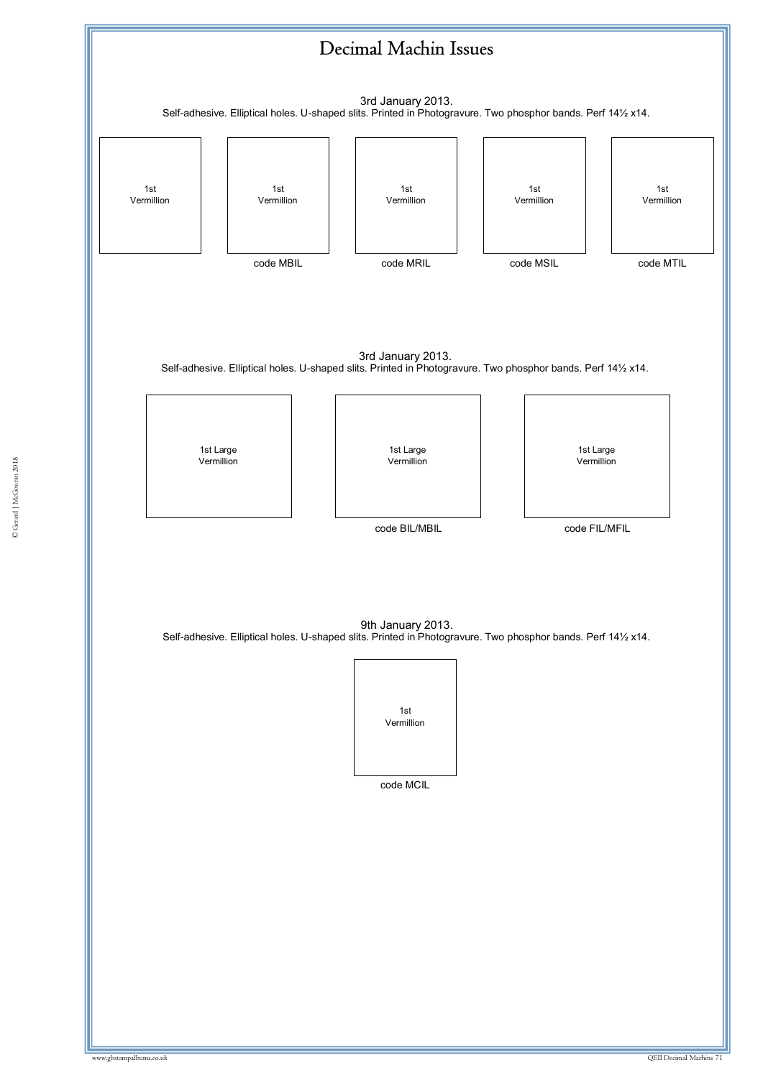![](_page_70_Figure_0.jpeg)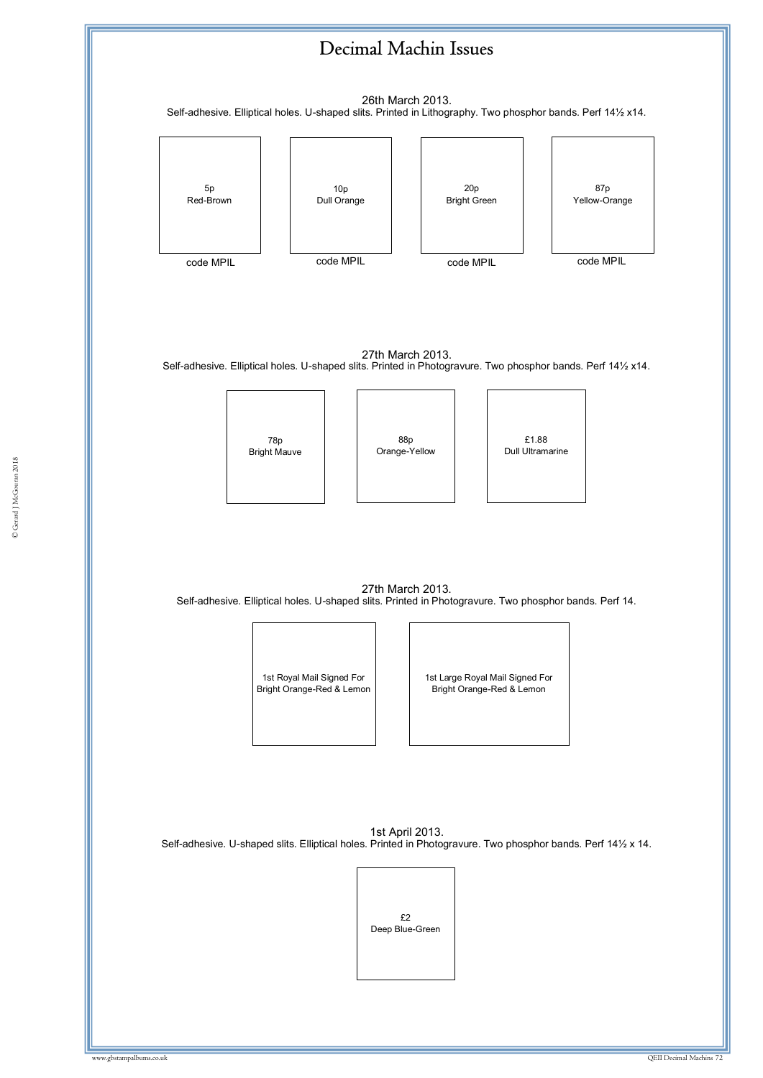![](_page_71_Figure_0.jpeg)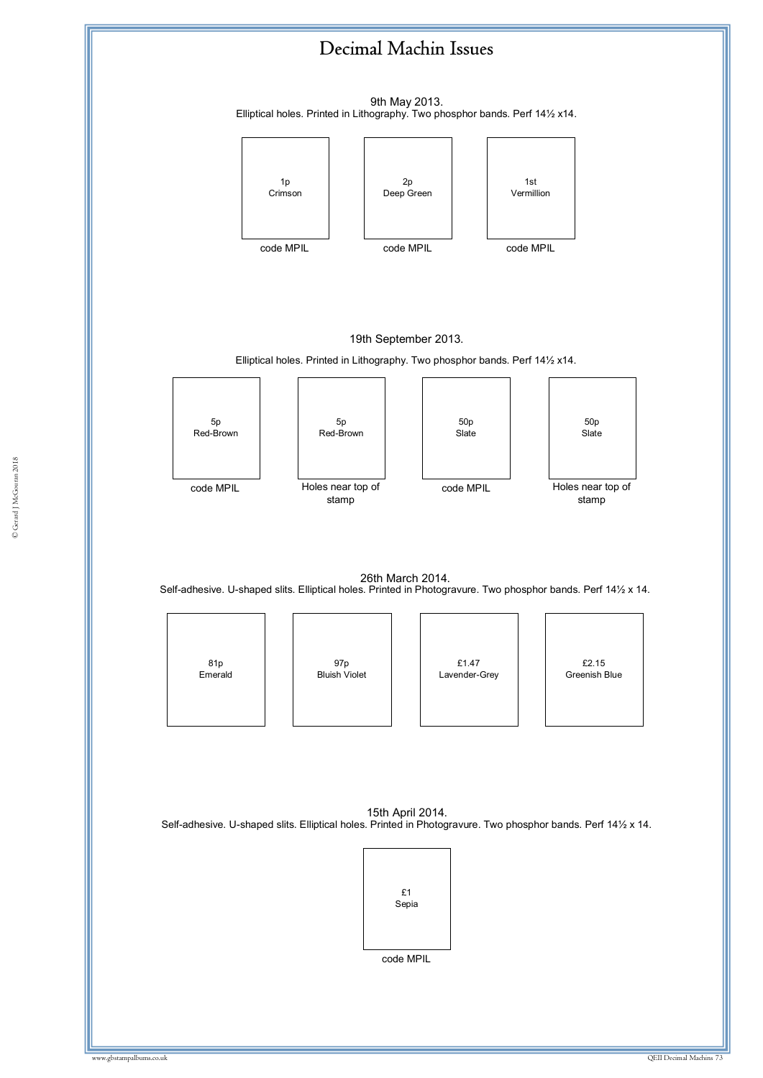## Decimal Machin Issues

9th May 2013. Elliptical holes. Printed in Lithography. Two phosphor bands. Perf 14½ x14.



## 19th September 2013.

Elliptical holes. Printed in Lithography. Two phosphor bands. Perf 14½ x14.



26th March 2014. Self-adhesive. U-shaped slits. Elliptical holes. Printed in Photogravure. Two phosphor bands. Perf 14½ x 14.



15th April 2014. Self-adhesive. U-shaped slits. Elliptical holes. Printed in Photogravure. Two phosphor bands. Perf 14½ x 14.

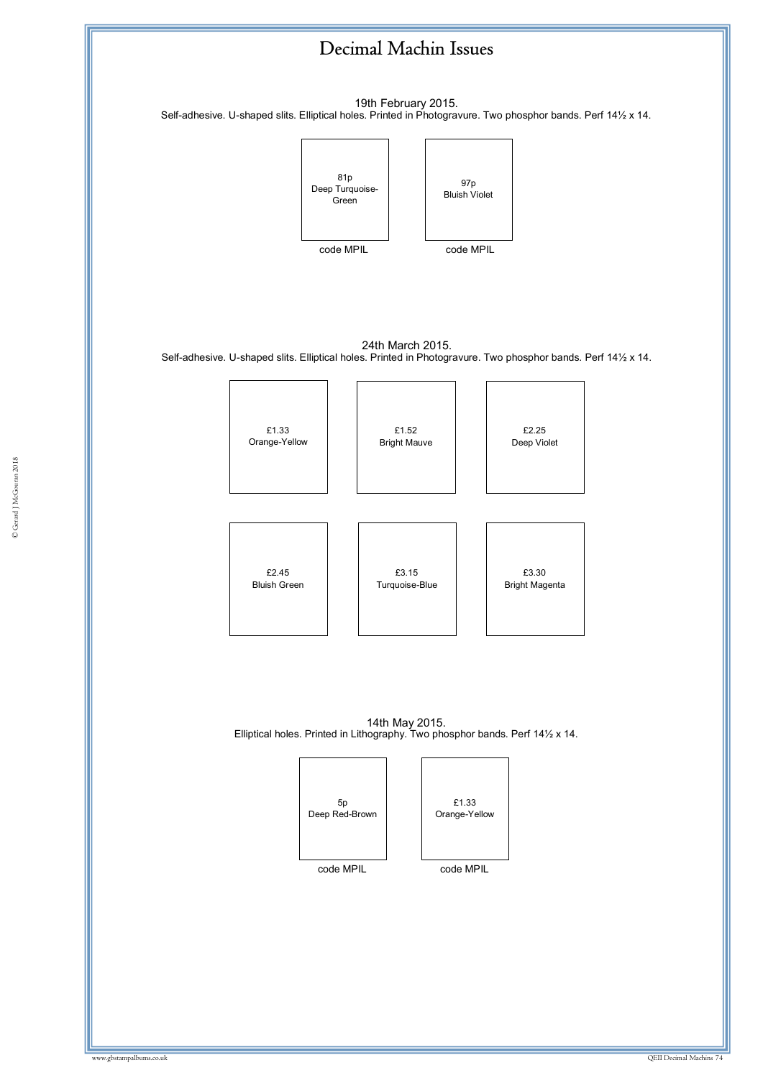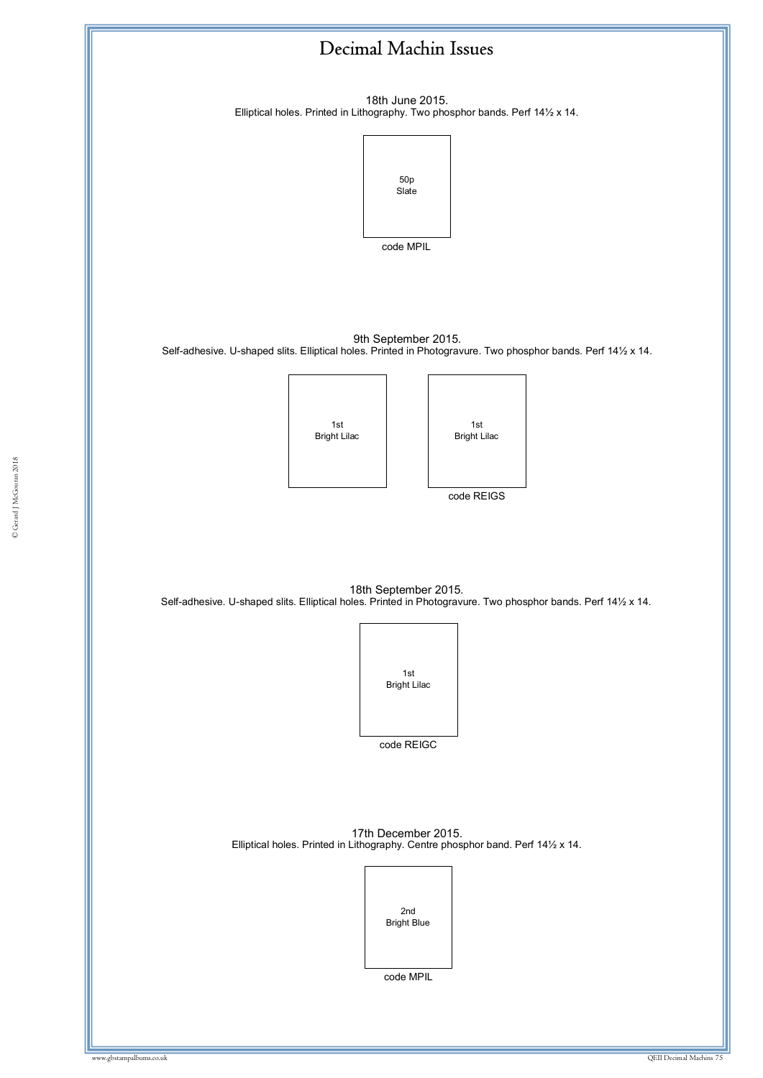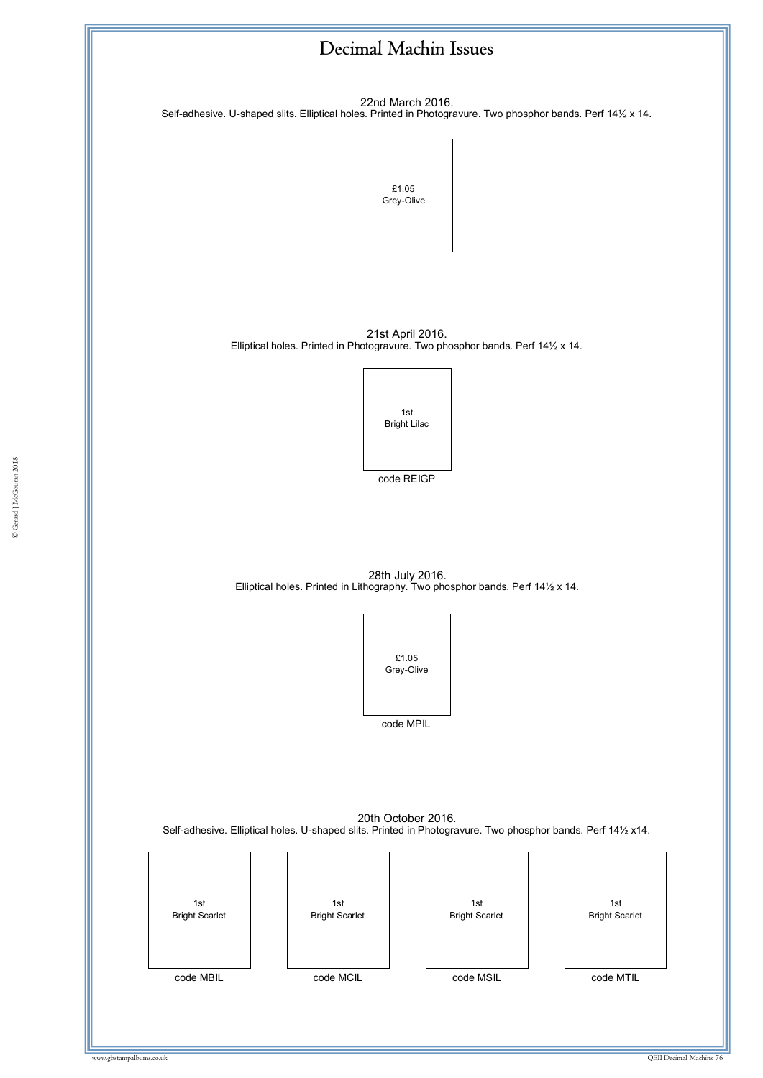

22nd March 2016. Self-adhesive. U-shaped slits. Elliptical holes. Printed in Photogravure. Two phosphor bands. Perf 14½ x 14.



21st April 2016. Elliptical holes. Printed in Photogravure. Two phosphor bands. Perf 14½ x 14.



code REIGP

28th July 2016. Elliptical holes. Printed in Lithography. Two phosphor bands. Perf 14½ x 14.



20th October 2016. Self-adhesive. Elliptical holes. U-shaped slits. Printed in Photogravure. Two phosphor bands. Perf 14½ x14.

| 1st                   | 1st                   | 1st                   | 1st                   |
|-----------------------|-----------------------|-----------------------|-----------------------|
| <b>Bright Scarlet</b> | <b>Bright Scarlet</b> | <b>Bright Scarlet</b> | <b>Bright Scarlet</b> |
| code MBIL             | code MCIL             | code MSIL             |                       |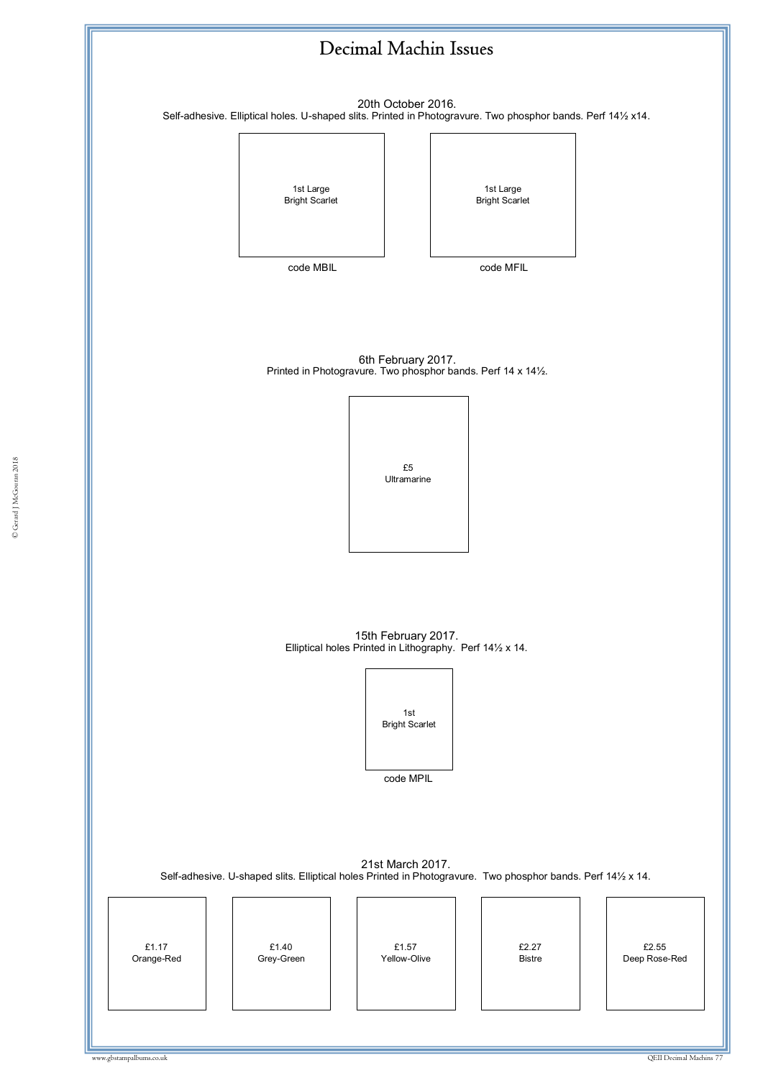

20th October 2016. Self-adhesive. Elliptical holes. U-shaped slits. Printed in Photogravure. Two phosphor bands. Perf 14½ x14.

> 1st Large Bright Scarlet

1st Large Bright Scarlet

code MBIL

code MFIL

6th February 2017. Printed in Photogravure. Two phosphor bands. Perf 14 x 14½.

enterprise de la component de la component de la component de la component de la component de la component de<br>La component de la component de la component de la component de la component de la component de la component d<br>L ww.gbstampalbums.co.uk £5 Ultramarine

15th February 2017. Elliptical holes Printed in Lithography. Perf 14½ x 14.

> 1st Bright Scarlet

> > code MPIL

21st March 2017. Self-adhesive. U-shaped slits. Elliptical holes Printed in Photogravure. Two phosphor bands. Perf 14½ x 14.

| £1.17<br>£1.40<br>£1.57<br>£2.27<br>£2.55<br>Grey-Green<br>Deep Rose-Red<br>Orange-Red<br>Yellow-Olive<br><b>Bistre</b> |
|-------------------------------------------------------------------------------------------------------------------------|
|-------------------------------------------------------------------------------------------------------------------------|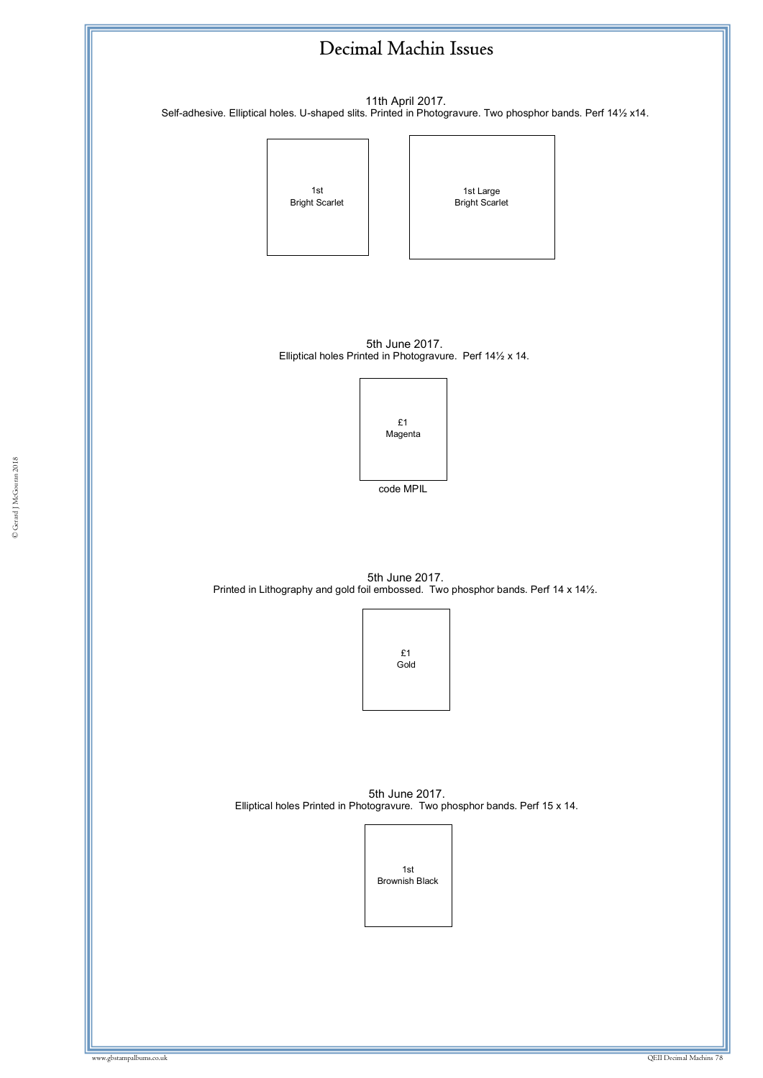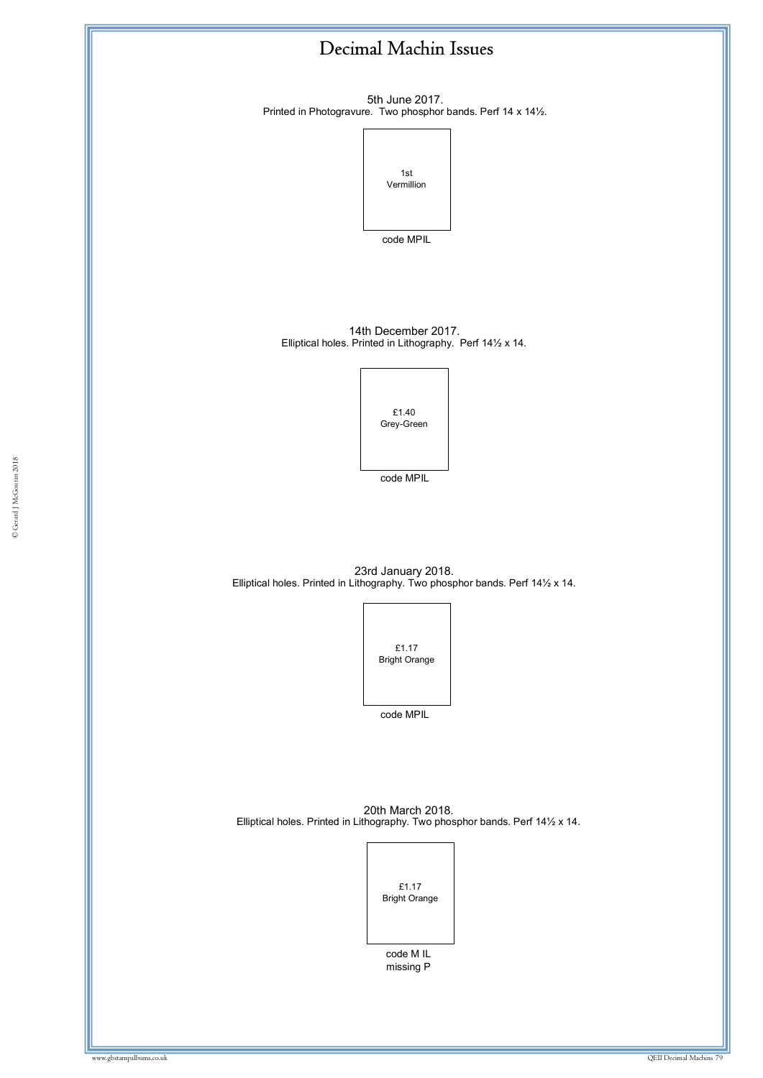

5th June 2017. Printed in Photogravure. Two phosphor bands. Perf 14 x 14½.



code MPIL

14th December 2017. Elliptical holes. Printed in Lithography. Perf 14½ x 14.

> £1.40 Grey-Green

© Gerard J McGouran 2018 code MPIL

23rd January 2018. Elliptical holes. Printed in Lithography. Two phosphor bands. Perf 14½ x 14.



20th March 2018. Elliptical holes. Printed in Lithography. Two phosphor bands. Perf 14½ x 14.



code M IL missing P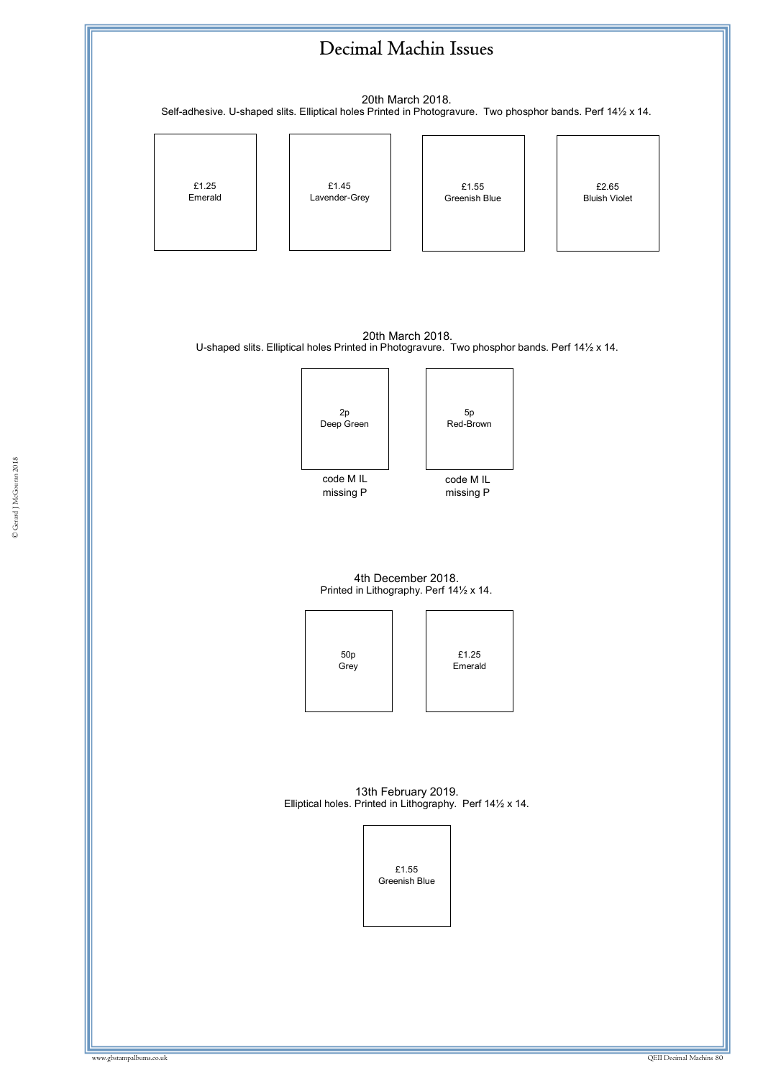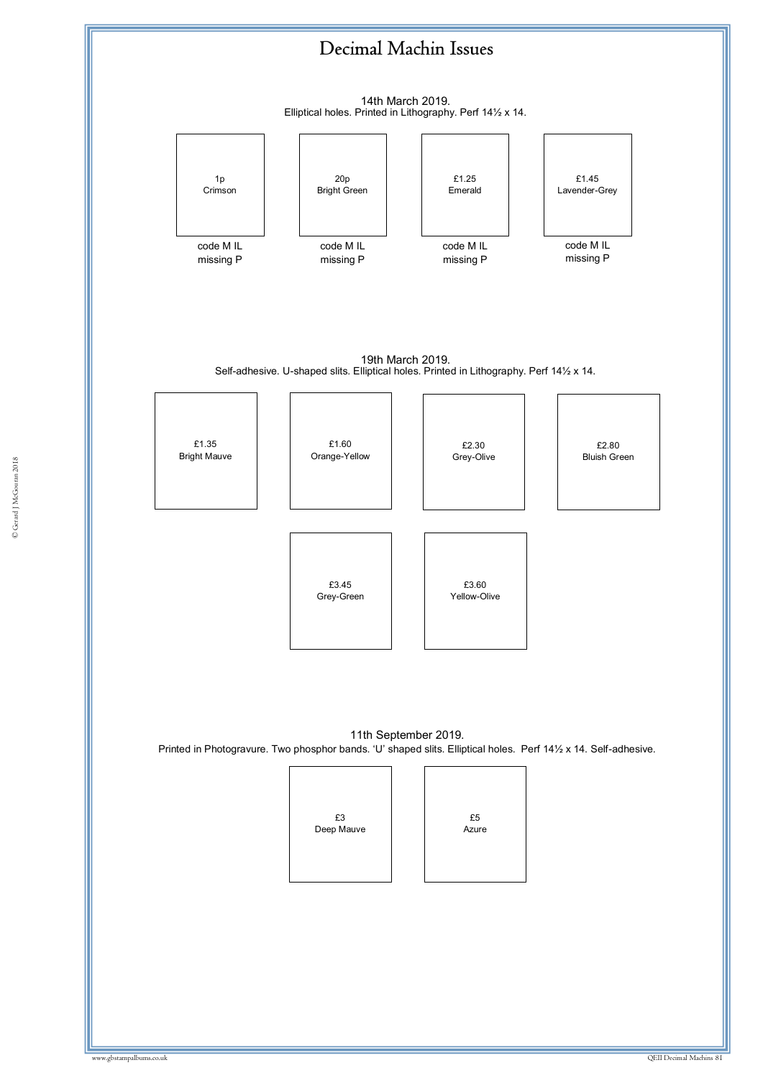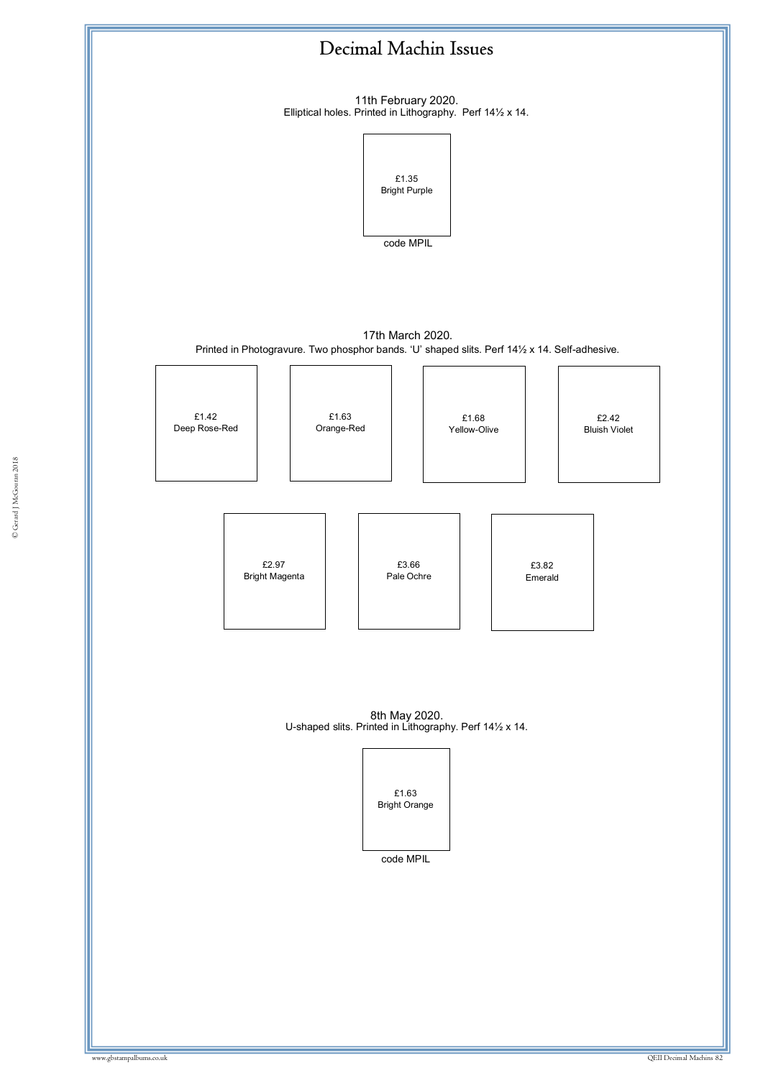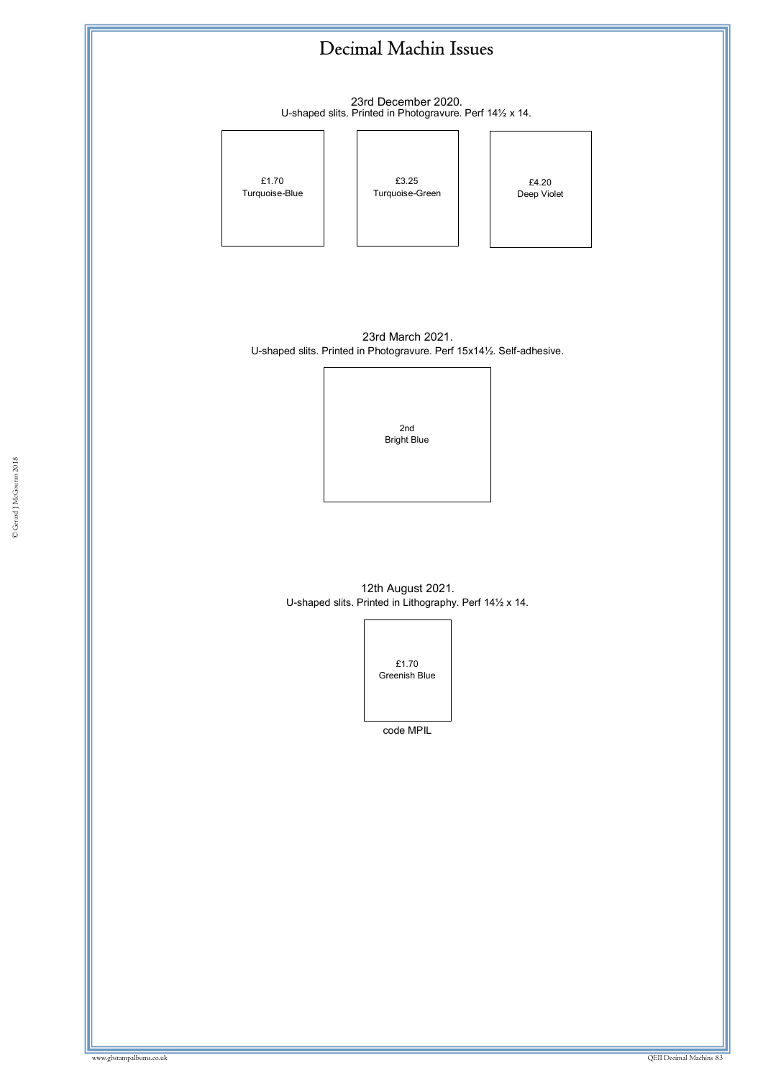

23rd December 2020. U-shaped slits. Printed in Photogravure. Perf 14½ x 14.



£4.20 Deep Violet

23rd March 2021. U-shaped slits. Printed in Photogravure. Perf 15x14½. Self-adhesive.

> 2nd Bright Blue

© Gerard J McGouran 2018

12th August 2021. U-shaped slits. Printed in Lithography. Perf 14½ x 14.



code MPIL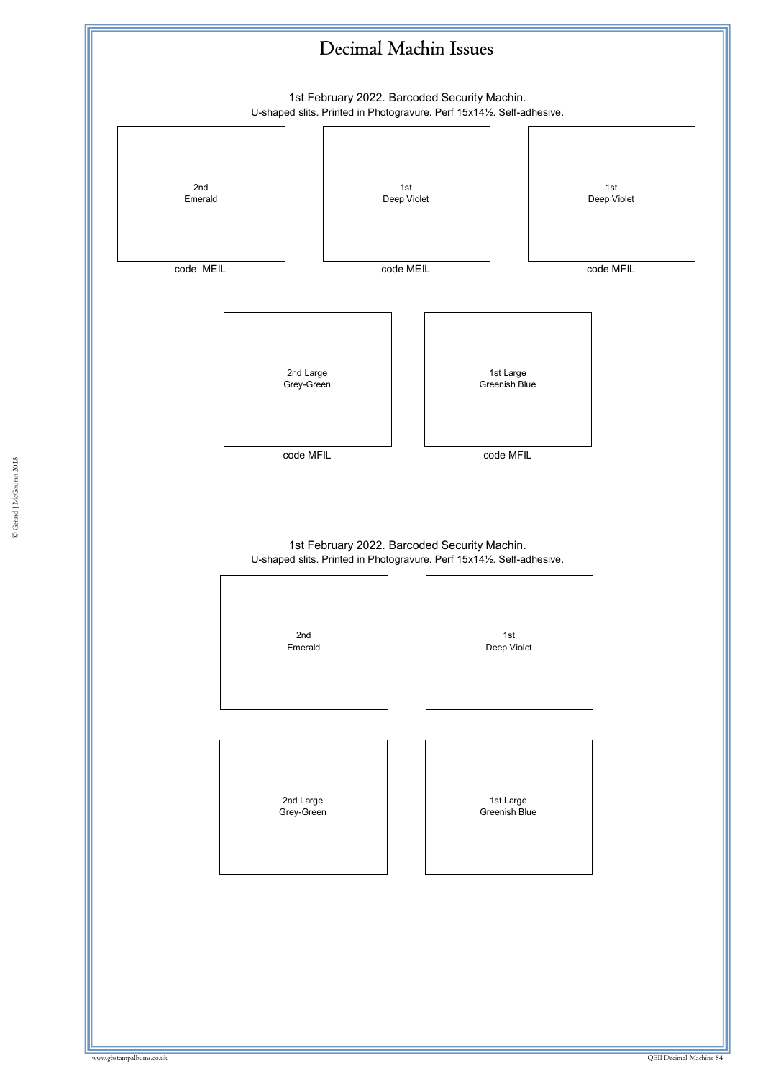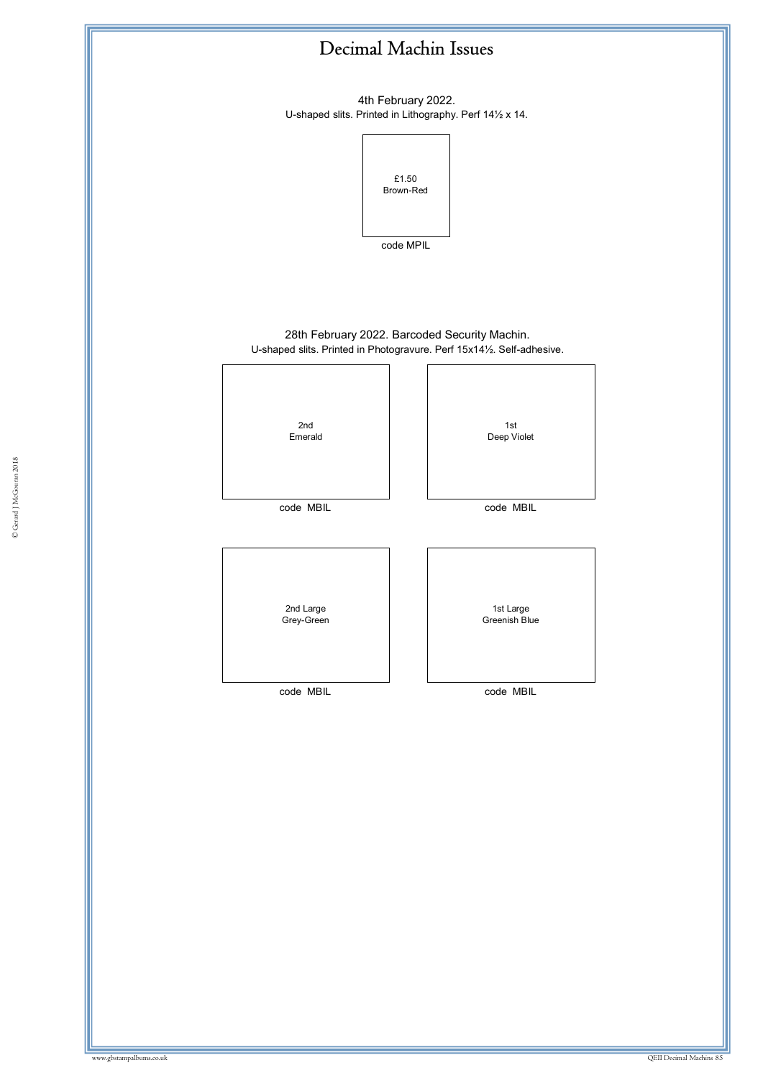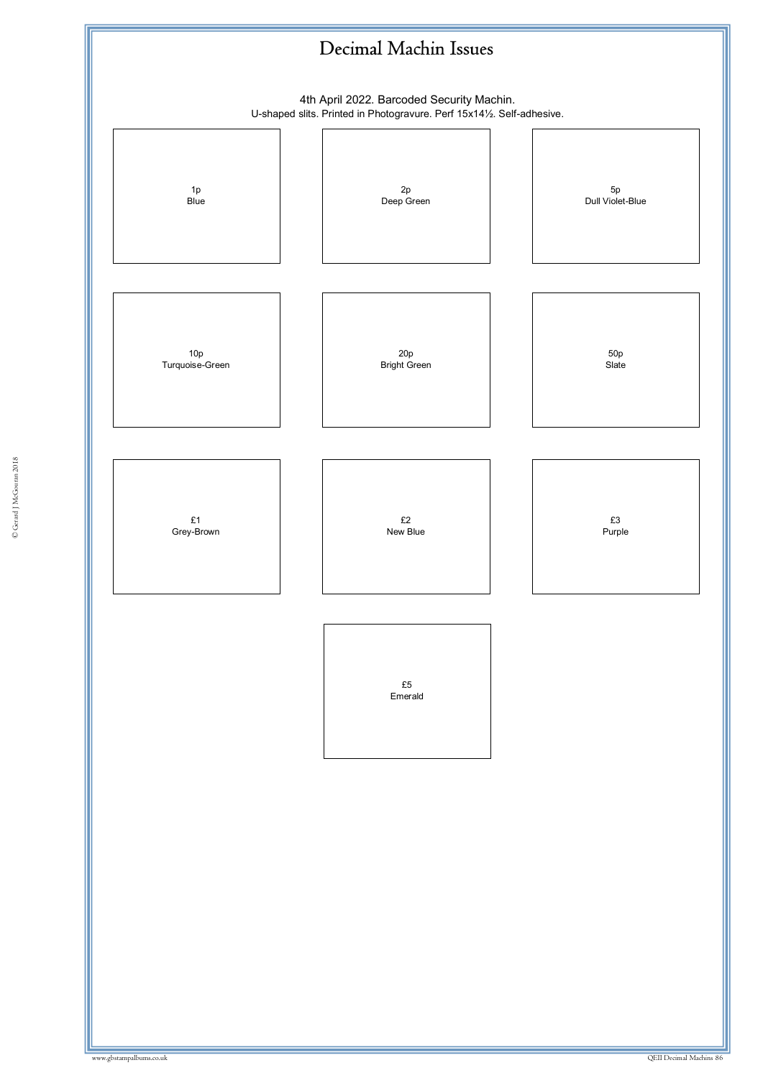